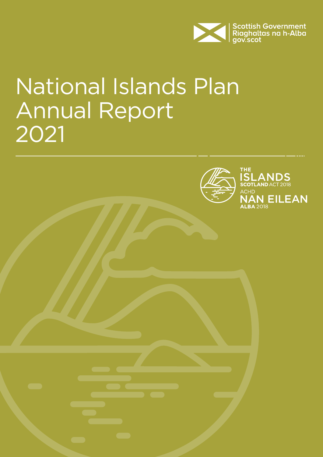

# National Islands Plan Annual Report 2021

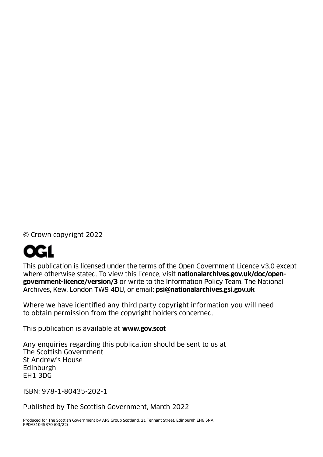© Crown copyright 2022



This publication is licensed under the terms of the Open Government Licence v3.0 except where otherwise stated. To view this licence, visit **[nationalarchives.gov.uk/doc/open](http://nationalarchives.gov.uk/doc/open-government-licence/version/3)[government-licence/version/3](http://nationalarchives.gov.uk/doc/open-government-licence/version/3)** or write to the Information Policy Team, The National Archives, Kew, London TW9 4DU, or email: **[psi@nationalarchives.gsi.gov.uk](mailto:psi@nationalarchives.gsi.gov.uk)**

Where we have identified any third party copyright information you will need to obtain permission from the copyright holders concerned.

This publication is available at **[www.gov](http://www.gov.scot).scot**

Any enquiries regarding this publication should be sent to us at The Scottish Government St Andrew's House Edinburgh EH1 3DG

ISBN: 978-1-80435-202-1

Published by The Scottish Government, March 2022

Produced for The Scottish Government by APS Group Scotland, 21 Tennant Street, Edinburgh EH6 5NA PPDAS1045870 (03/22)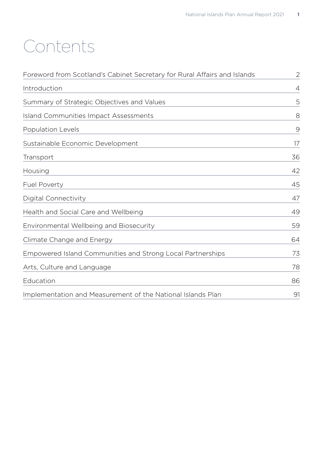# Contents

| Foreword from Scotland's Cabinet Secretary for Rural Affairs and Islands | $\mathbf{2}$   |
|--------------------------------------------------------------------------|----------------|
| Introduction                                                             | $\overline{4}$ |
| Summary of Strategic Objectives and Values                               | 5              |
| <b>Island Communities Impact Assessments</b>                             | 8              |
| <b>Population Levels</b>                                                 | $\Theta$       |
| Sustainable Economic Development                                         | 17             |
| Transport                                                                | 36             |
| Housing                                                                  | 42             |
| <b>Fuel Poverty</b>                                                      | 45             |
| Digital Connectivity                                                     | 47             |
| Health and Social Care and Wellbeing                                     | 49             |
| Environmental Wellbeing and Biosecurity                                  | 59             |
| Climate Change and Energy                                                | 64             |
| Empowered Island Communities and Strong Local Partnerships               | 73             |
| Arts, Culture and Language                                               | 78             |
| Education                                                                | 86             |
| Implementation and Measurement of the National Islands Plan              | 91             |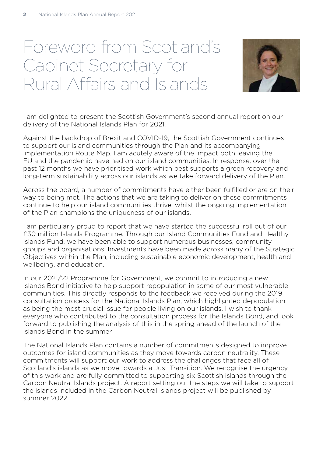# <span id="page-3-0"></span>Foreword from Scotland's Cabinet Secretary for Rural Affairs and Islands



I am delighted to present the Scottish Government's second annual report on our delivery of the National Islands Plan for 2021.

Against the backdrop of Brexit and COVID-19, the Scottish Government continues to support our island communities through the Plan and its accompanying Implementation Route Map. I am acutely aware of the impact both leaving the EU and the pandemic have had on our island communities. In response, over the past 12 months we have prioritised work which best supports a green recovery and long-term sustainability across our islands as we take forward delivery of the Plan.

Across the board, a number of commitments have either been fulfilled or are on their way to being met. The actions that we are taking to deliver on these commitments continue to help our island communities thrive, whilst the ongoing implementation of the Plan champions the uniqueness of our islands.

I am particularly proud to report that we have started the successful roll out of our £30 million Islands Programme. Through our Island Communities Fund and Healthy Islands Fund, we have been able to support numerous businesses, community groups and organisations. Investments have been made across many of the Strategic Objectives within the Plan, including sustainable economic development, health and wellbeing, and education.

In our 2021/22 Programme for Government, we commit to introducing a new Islands Bond initiative to help support repopulation in some of our most vulnerable communities. This directly responds to the feedback we received during the 2019 consultation process for the National Islands Plan, which highlighted depopulation as being the most crucial issue for people living on our islands. I wish to thank everyone who contributed to the consultation process for the Islands Bond, and look forward to publishing the analysis of this in the spring ahead of the launch of the Islands Bond in the summer.

The National Islands Plan contains a number of commitments designed to improve outcomes for island communities as they move towards carbon neutrality. These commitments will support our work to address the challenges that face all of Scotland's islands as we move towards a Just Transition. We recognise the urgency of this work and are fully committed to supporting six Scottish islands through the Carbon Neutral Islands project. A report setting out the steps we will take to support the islands included in the Carbon Neutral Islands project will be published by summer 2022.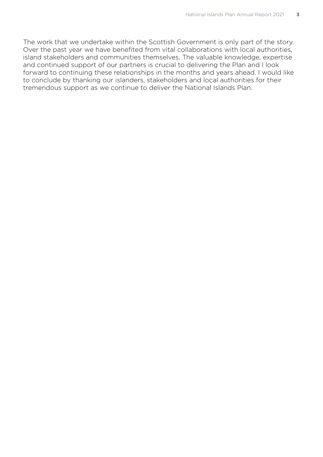The work that we undertake within the Scottish Government is only part of the story. Over the past year we have benefited from vital collaborations with local authorities, island stakeholders and communities themselves. The valuable knowledge, expertise and continued support of our partners is crucial to delivering the Plan and I look forward to continuing these relationships in the months and years ahead. I would like to conclude by thanking our islanders, stakeholders and local authorities for their tremendous support as we continue to deliver the National Islands Plan.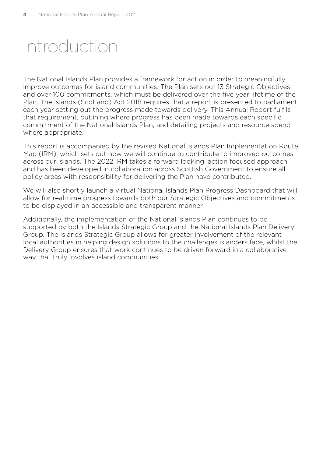# <span id="page-5-0"></span>Introduction

The National Islands Plan provides a framework for action in order to meaningfully improve outcomes for island communities. The Plan sets out 13 Strategic Objectives and over 100 commitments, which must be delivered over the five year lifetime of the Plan. The Islands (Scotland) Act 2018 requires that a report is presented to parliament each year setting out the progress made towards delivery. This Annual Report fulfils that requirement, outlining where progress has been made towards each specific commitment of the National Islands Plan, and detailing projects and resource spend where appropriate.

This report is accompanied by the revised National Islands Plan Implementation Route Map (IRM), which sets out how we will continue to contribute to improved outcomes across our islands. The 2022 IRM takes a forward looking, action focused approach and has been developed in collaboration across Scottish Government to ensure all policy areas with responsibility for delivering the Plan have contributed.

We will also shortly launch a virtual National Islands Plan Progress Dashboard that will allow for real-time progress towards both our Strategic Objectives and commitments to be displayed in an accessible and transparent manner.

Additionally, the implementation of the National Islands Plan continues to be supported by both the Islands Strategic Group and the National Islands Plan Delivery Group. The Islands Strategic Group allows for greater involvement of the relevant local authorities in helping design solutions to the challenges islanders face, whilst the Delivery Group ensures that work continues to be driven forward in a collaborative way that truly involves island communities.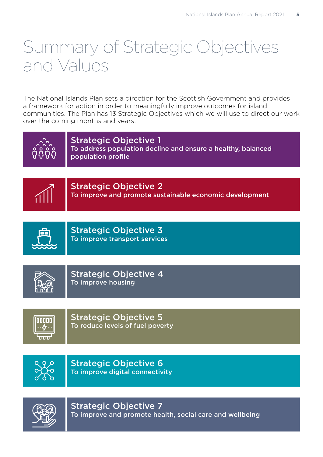# <span id="page-6-0"></span>Summary of Strategic Objectives and Values

The National Islands Plan sets a direction for the Scottish Government and provides a framework for action in order to meaningfully improve outcomes for island communities. The Plan has 13 Strategic Objectives which we will use to direct our work over the coming months and years:

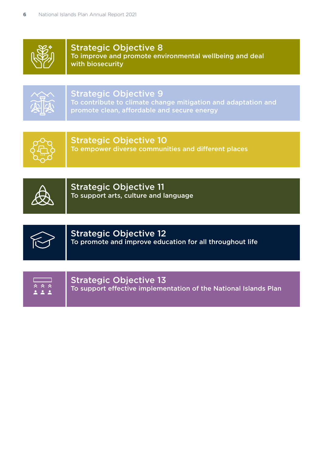

Strategic Objective 8 To improve and promote environmental wellbeing and deal with biosecurity



# Strategic Objective 9

To contribute to climate change mitigation and adaptation and promote clean, affordable and secure energy



Strategic Objective 10

To empower diverse communities and different places



Strategic Objective 11 To support arts, culture and language



# Strategic Objective 12 To promote and improve education for all throughout life

| くくぐん とうしゃ ふくしゃ |  |
|----------------|--|
|                |  |

Strategic Objective 13 To support effective implementation of the National Islands Plan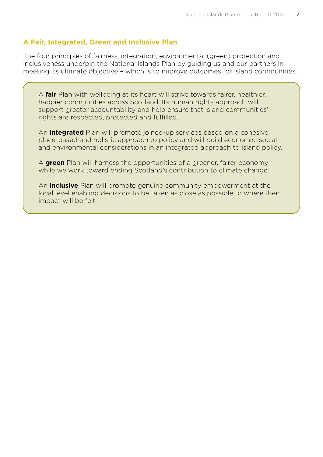# **A Fair, Integrated, Green and Inclusive Plan**

The four principles of fairness, integration, environmental (green) protection and inclusiveness underpin the National Islands Plan by quiding us and our partners in meeting its ultimate objective – which is to improve outcomes for island communities.

A **fair** Plan with wellbeing at its heart will strive towards fairer, healthier, happier communities across Scotland. Its human rights approach will support greater accountability and help ensure that island communities' rights are respected, protected and fulfilled.

An **integrated** Plan will promote joined-up services based on a cohesive, place-based and holistic approach to policy and will build economic, social and environmental considerations in an integrated approach to island policy.

A **green** Plan will harness the opportunities of a greener, fairer economy while we work toward ending Scotland's contribution to climate change.

An **inclusive** Plan will promote genuine community empowerment at the local level enabling decisions to be taken as close as possible to where their impact will be felt.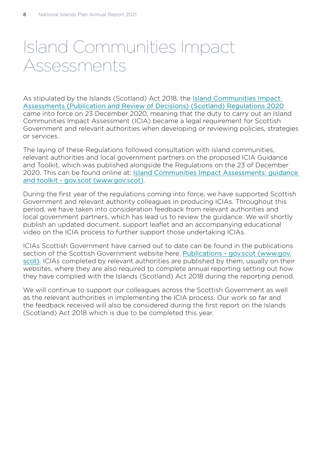# <span id="page-9-0"></span>Island Communities Impact Assessments

As stipulated by the Islands (Scotland) Act 2018, the [Island Communities Impact](https://www.legislation.gov.uk/sdsi/2020/9780111047064/body)  [Assessments \(Publication and Review of Decisions\) \(Scotland\) Regulations 2020](https://www.legislation.gov.uk/sdsi/2020/9780111047064/body) came into force on 23 December 2020, meaning that the duty to carry out an Island Communities Impact Assessment (ICIA) became a legal requirement for Scottish Government and relevant authorities when developing or reviewing policies, strategies or services.

The laying of these Regulations followed consultation with island communities, relevant authorities and local government partners on the proposed ICIA Guidance and Toolkit, which was published alongside the Regulations on the 23 of December 2020. This can be found online at: [Island Communities Impact Assessments: guidance](https://www.gov.scot/publications/island-communities-impact-assessments-guidance-toolkit/)  [and toolkit - gov.scot \(www.gov.scot\)](https://www.gov.scot/publications/island-communities-impact-assessments-guidance-toolkit/).

During the first year of the regulations coming into force, we have supported Scottish Government and relevant authority colleagues in producing ICIAs. Throughout this period, we have taken into consideration feedback from relevant authorities and local government partners, which has lead us to review the guidance. We will shortly publish an updated document, support leaflet and an accompanying educational video on the ICIA process to further support those undertaking ICIAs.

ICIAs Scottish Government have carried out to date can be found in the publications section of the Scottish Government website here: [Publications - gov.scot \(www.gov.](https://www.gov.scot/publications/) [scot\)](https://www.gov.scot/publications/). ICIAs completed by relevant authorities are published by them, usually on their websites, where they are also required to complete annual reporting setting out how they have complied with the Islands (Scotland) Act 2018 during the reporting period.

We will continue to support our colleagues across the Scottish Government as well as the relevant authorities in implementing the ICIA process. Our work so far and the feedback received will also be considered during the first report on the Islands (Scotland) Act 2018 which is due to be completed this year.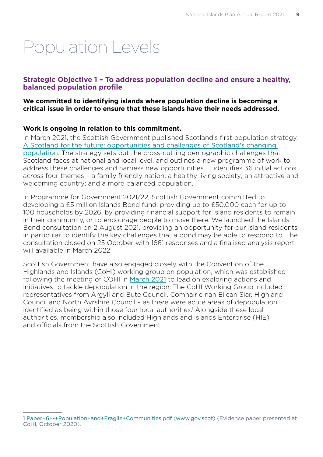# <span id="page-10-0"></span>Population Levels

# **Strategic Objective 1 – To address population decline and ensure a healthy, balanced population profile**

#### **We committed to identifying islands where population decline is becoming a critical issue in order to ensure that these islands have their needs addressed.**

# **Work is ongoing in relation to this commitment.**

In March 2021, the Scottish Government published Scotland's first population strategy, [A Scotland for the future: opportunities and challenges of Scotland's changing](https://www.gov.scot/publications/scotland-future-opportunities-challenges-scotlands-changing-population/pages/9/)  [population](https://www.gov.scot/publications/scotland-future-opportunities-challenges-scotlands-changing-population/pages/9/). The strategy sets out the cross-cutting demographic challenges that Scotland faces at national and local level, and outlines a new programme of work to address these challenges and harness new opportunities. It identifies 36 initial actions across four themes – a family friendly nation; a healthy living society; an attractive and welcoming country; and a more balanced population.

In Programme for Government 2021/22, Scottish Government committed to developing a £5 million Islands Bond fund, providing up to £50,000 each for up to 100 households by 2026, by providing financial support for island residents to remain in their community, or to encourage people to move there. We launched the Islands Bond consultation on 2 August 2021, providing an opportunity for our island residents in particular to identify the key challenges that a bond may be able to respond to. The consultation closed on 25 October with 1661 responses and a finalised analysis report will available in March 2022.

Scottish Government have also engaged closely with the Convention of the Highlands and Islands (CoHI) working group on population, which was established following the meeting of COHI in [March 2021](https://www.gov.scot/publications/convention-of-the-highlands-and-islands-meeting-papers-march-2021/) to lead on exploring actions and initiatives to tackle depopulation in the region. The CoHI Working Group included representatives from Argyll and Bute Council, Comhairle nan Eilean Siar, Highland Council and North Ayrshire Council – as there were acute areas of depopulation identified as being within those four local authorities.<sup>1</sup> Alongside these local authorities, membership also included Highlands and Islands Enterprise (HIE) and officials from the Scottish Government.

<sup>1</sup> [Paper+6+-+Population+and+Fragile+Communities.pdf \(www.gov.scot\)](https://www.gov.scot/binaries/content/documents/govscot/publications/minutes/2021/02/convention-of-the-highlands-and-islands-meeting-papers-october-2020/documents/paper-6-population-and-fragile-communities/paper-6-population-and-fragile-communities/govscot%3Adocument/Paper%2B6%2B-%2BPopulation%2Band%2BFragile%2BCommunities.pdf) (Evidence paper presented at CoHI, October 2020).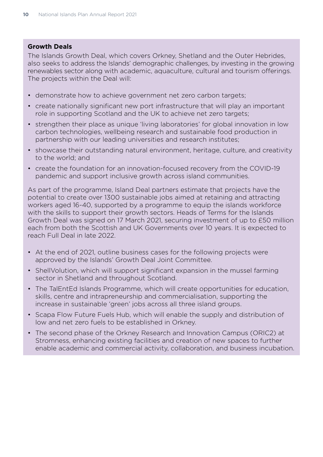### **Growth Deals**

The Islands Growth Deal, which covers Orkney, Shetland and the Outer Hebrides, also seeks to address the Islands' demographic challenges, by investing in the growing renewables sector along with academic, aquaculture, cultural and tourism offerings. The projects within the Deal will:

- demonstrate how to achieve government net zero carbon targets;
- create nationally significant new port infrastructure that will play an important role in supporting Scotland and the UK to achieve net zero targets;
- strengthen their place as unique 'living laboratories' for global innovation in low carbon technologies, wellbeing research and sustainable food production in partnership with our leading universities and research institutes;
- showcase their outstanding natural environment, heritage, culture, and creativity to the world; and
- create the foundation for an innovation-focused recovery from the COVID-19 pandemic and support inclusive growth across island communities.

As part of the programme, Island Deal partners estimate that projects have the potential to create over 1300 sustainable jobs aimed at retaining and attracting workers aged 16-40, supported by a programme to equip the islands workforce with the skills to support their growth sectors. Heads of Terms for the Islands Growth Deal was signed on 17 March 2021, securing investment of up to £50 million each from both the Scottish and UK Governments over 10 years. It is expected to reach Full Deal in late 2022.

- At the end of 2021, outline business cases for the following projects were approved by the Islands' Growth Deal Joint Committee.
- ShellVolution, which will support significant expansion in the mussel farming sector in Shetland and throughout Scotland.
- The TalEntEd Islands Programme, which will create opportunities for education, skills, centre and intrapreneurship and commercialisation, supporting the increase in sustainable 'green' jobs across all three island groups.
- Scapa Flow Future Fuels Hub, which will enable the supply and distribution of low and net zero fuels to be established in Orkney.
- The second phase of the Orkney Research and Innovation Campus (ORIC2) at Stromness, enhancing existing facilities and creation of new spaces to further enable academic and commercial activity, collaboration, and business incubation.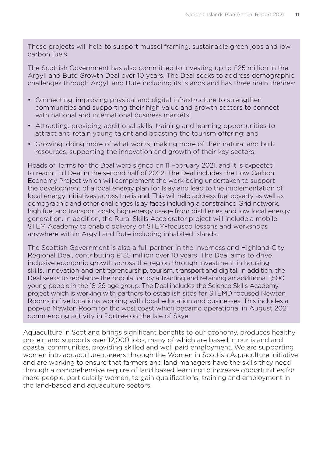These projects will help to support mussel framing, sustainable green jobs and low carbon fuels.

The Scottish Government has also committed to investing up to £25 million in the Argyll and Bute Growth Deal over 10 years. The Deal seeks to address demographic challenges through Argyll and Bute including its Islands and has three main themes:

- Connecting: improving physical and digital infrastructure to strengthen communities and supporting their high value and growth sectors to connect with national and international business markets;
- Attracting: providing additional skills, training and learning opportunities to attract and retain young talent and boosting the tourism offering; and
- Growing: doing more of what works; making more of their natural and built resources, supporting the innovation and growth of their key sectors.

Heads of Terms for the Deal were signed on 11 February 2021, and it is expected to reach Full Deal in the second half of 2022. The Deal includes the Low Carbon Economy Project which will complement the work being undertaken to support the development of a local energy plan for Islay and lead to the implementation of local energy initiatives across the island. This will help address fuel poverty as well as demographic and other challenges Islay faces including a constrained Grid network, high fuel and transport costs, high energy usage from distilleries and low local energy generation. In addition, the Rural Skills Accelerator project will include a mobile STEM Academy to enable delivery of STEM-focused lessons and workshops anywhere within Argyll and Bute including inhabited islands.

The Scottish Government is also a full partner in the Inverness and Highland City Regional Deal, contributing £135 million over 10 years. The Deal aims to drive inclusive economic growth across the region through investment in housing, skills, innovation and entrepreneurship, tourism, transport and digital. In addition, the Deal seeks to rebalance the population by attracting and retaining an additional 1,500 young people in the 18-29 age group. The Deal includes the Science Skills Academy project which is working with partners to establish sites for STEMD focused Newton Rooms in five locations working with local education and businesses. This includes a pop-up Newton Room for the west coast which became operational in August 2021 commencing activity in Portree on the Isle of Skye.

Aquaculture in Scotland brings significant benefits to our economy, produces healthy protein and supports over 12,000 jobs, many of which are based in our island and coastal communities, providing skilled and well paid employment. We are supporting women into aquaculture careers through the Women in Scottish Aquaculture initiative and are working to ensure that farmers and land managers have the skills they need through a comprehensive require of land based learning to increase opportunities for more people, particularly women, to gain qualifications, training and employment in the land-based and aquaculture sectors.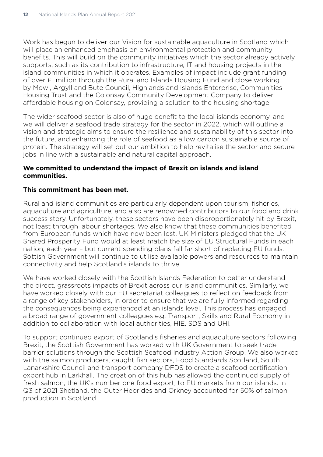Work has begun to deliver our Vision for sustainable aquaculture in Scotland which will place an enhanced emphasis on environmental protection and community benefits. This will build on the community initiatives which the sector already actively supports, such as its contribution to infrastructure, IT and housing projects in the island communities in which it operates. Examples of impact include grant funding of over £1 million through the Rural and Islands Housing Fund and close working by Mowi, Argyll and Bute Council, Highlands and Islands Enterprise, Communities Housing Trust and the Colonsay Community Development Company to deliver affordable housing on Colonsay, providing a solution to the housing shortage.

The wider seafood sector is also of huge benefit to the local islands economy, and we will deliver a seafood trade strategy for the sector in 2022, which will outline a vision and strategic aims to ensure the resilience and sustainability of this sector into the future, and enhancing the role of seafood as a low carbon sustainable source of protein. The strategy will set out our ambition to help revitalise the sector and secure jobs in line with a sustainable and natural capital approach.

# **We committed to understand the impact of Brexit on islands and island communities.**

# **This commitment has been met.**

Rural and island communities are particularly dependent upon tourism, fisheries, aquaculture and agriculture, and also are renowned contributors to our food and drink success story. Unfortunately, these sectors have been disproportionately hit by Brexit, not least through labour shortages. We also know that these communities benefited from European funds which have now been lost. UK Ministers pledged that the UK Shared Prosperity Fund would at least match the size of EU Structural Funds in each nation, each year – but current spending plans fall far short of replacing EU funds. Sottish Government will continue to utilise available powers and resources to maintain connectivity and help Scotland's islands to thrive.

We have worked closely with the Scottish Islands Federation to better understand the direct, grassroots impacts of Brexit across our island communities. Similarly, we have worked closely with our EU secretariat colleagues to reflect on feedback from a range of key stakeholders, in order to ensure that we are fully informed regarding the consequences being experienced at an islands level. This process has engaged a broad range of government colleagues e.g. Transport, Skills and Rural Economy in addition to collaboration with local authorities, HIE, SDS and UHI.

To support continued export of Scotland's fisheries and aquaculture sectors following Brexit, the Scottish Government has worked with UK Government to seek trade barrier solutions through the Scottish Seafood Industry Action Group. We also worked with the salmon producers, caught fish sectors, Food Standards Scotland, South Lanarkshire Council and transport company DFDS to create a seafood certification export hub in Larkhall. The creation of this hub has allowed the continued supply of fresh salmon, the UK's number one food export, to EU markets from our islands. In Q3 of 2021 Shetland, the Outer Hebrides and Orkney accounted for 50% of salmon production in Scotland.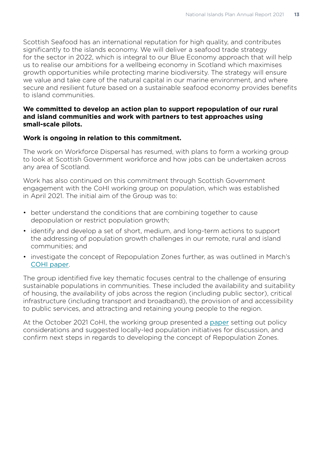Scottish Seafood has an international reputation for high quality, and contributes significantly to the islands economy. We will deliver a seafood trade strategy for the sector in 2022, which is integral to our Blue Economy approach that will help us to realise our ambitions for a wellbeing economy in Scotland which maximises growth opportunities while protecting marine biodiversity. The strategy will ensure we value and take care of the natural capital in our marine environment, and where secure and resilient future based on a sustainable seafood economy provides benefits to island communities.

#### **We committed to develop an action plan to support repopulation of our rural and island communities and work with partners to test approaches using small-scale pilots.**

#### **Work is ongoing in relation to this commitment.**

The work on Workforce Dispersal has resumed, with plans to form a working group to look at Scottish Government workforce and how jobs can be undertaken across any area of Scotland.

Work has also continued on this commitment through Scottish Government engagement with the CoHI working group on population, which was established in April 2021. The initial aim of the Group was to:

- better understand the conditions that are combining together to cause depopulation or restrict population growth;
- identify and develop a set of short, medium, and long-term actions to support the addressing of population growth challenges in our remote, rural and island communities; and
- investigate the concept of Repopulation Zones further, as was outlined in March's [COHI paper](https://www.gov.scot/binaries/content/documents/govscot/publications/minutes/2021/08/convention-of-the-highlands-and-islands-meeting-papers-march-2021/documents/paper-3-population---national-and-regional-update/paper-3-population---national-and-regional-update/govscot%3Adocument/Paper%2B3%2B-%2BPopulation%2B-%2BNational%2Band%2BRegional%2BUpdate.pdf).

The group identified five key thematic focuses central to the challenge of ensuring sustainable populations in communities. These included the availability and suitability of housing, the availability of jobs across the region (including public sector), critical infrastructure (including transport and broadband), the provision of and accessibility to public services, and attracting and retaining young people to the region.

At the October 2021 CoHI, the working group presented a [paper](https://www.gov.scot/publications/convention-of-the-highlands-and-islands-meeting-papers-october-2021/) setting out policy considerations and suggested locally-led population initiatives for discussion, and confirm next steps in regards to developing the concept of Repopulation Zones.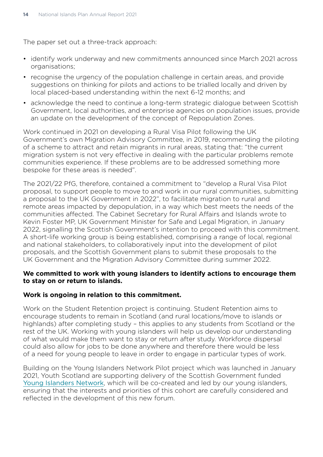The paper set out a three-track approach:

- identify work underway and new commitments announced since March 2021 across organisations;
- recognise the urgency of the population challenge in certain areas, and provide suggestions on thinking for pilots and actions to be trialled locally and driven by local placed-based understanding within the next 6-12 months; and
- acknowledge the need to continue a long-term strategic dialogue between Scottish Government, local authorities, and enterprise agencies on population issues, provide an update on the development of the concept of Repopulation Zones.

Work continued in 2021 on developing a Rural Visa Pilot following the UK Government's own Migration Advisory Committee, in 2019, recommending the piloting of a scheme to attract and retain migrants in rural areas, stating that: "the current migration system is not very effective in dealing with the particular problems remote communities experience. If these problems are to be addressed something more bespoke for these areas is needed".

The 2021/22 PfG, therefore, contained a commitment to "develop a Rural Visa Pilot proposal, to support people to move to and work in our rural communities, submitting a proposal to the UK Government in 2022", to facilitate migration to rural and remote areas impacted by depopulation, in a way which best meets the needs of the communities affected. The Cabinet Secretary for Rural Affairs and Islands wrote to Kevin Foster MP, UK Government Minister for Safe and Legal Migration, in January 2022, signalling the Scottish Government's intention to proceed with this commitment. A short-life working group is being established, comprising a range of local, regional and national stakeholders, to collaboratively input into the development of pilot proposals, and the Scottish Government plans to submit these proposals to the UK Government and the Migration Advisory Committee during summer 2022.

#### **We committed to work with young islanders to identify actions to encourage them to stay on or return to islands.**

#### **Work is ongoing in relation to this commitment.**

Work on the Student Retention project is continuing. Student Retention aims to encourage students to remain in Scotland (and rural locations/move to islands or highlands) after completing study – this applies to any students from Scotland or the rest of the UK. Working with young islanders will help us develop our understanding of what would make them want to stay or return after study. Workforce dispersal could also allow for jobs to be done anywhere and therefore there would be less of a need for young people to leave in order to engage in particular types of work.

Building on the Young Islanders Network Pilot project which was launched in January 2021, Youth Scotland are supporting delivery of the Scottish Government funded [Young Islanders Network](https://www.youthscotland.org.uk/programmes/young-islanders-network/), which will be co-created and led by our young islanders, ensuring that the interests and priorities of this cohort are carefully considered and reflected in the development of this new forum.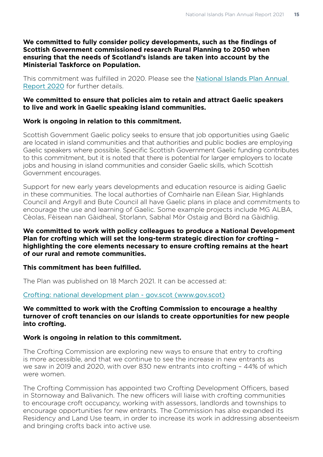#### **We committed to fully consider policy developments, such as the findings of Scottish Government commissioned research Rural Planning to 2050 when ensuring that the needs of Scotland's islands are taken into account by the Ministerial Taskforce on Population.**

This commitment was fulfilled in 2020. Please see the [National Islands Plan Annual](https://www.gov.scot/publications/national-islands-plan-annual-report-2020/)  [Report 2020](https://www.gov.scot/publications/national-islands-plan-annual-report-2020/) for further details.

#### **We committed to ensure that policies aim to retain and attract Gaelic speakers to live and work in Gaelic speaking island communities.**

#### **Work is ongoing in relation to this commitment.**

Scottish Government Gaelic policy seeks to ensure that job opportunities using Gaelic are located in island communities and that authorities and public bodies are employing Gaelic speakers where possible. Specific Scottish Government Gaelic funding contributes to this commitment, but it is noted that there is potential for larger employers to locate jobs and housing in island communities and consider Gaelic skills, which Scottish Government encourages.

Support for new early years developments and education resource is aiding Gaelic in these communities. The local authorties of Comhairle nan Eilean Siar, Highlands Council and Argyll and Bute Council all have Gaelic plans in place and commitments to encourage the use and learning of Gaelic. Some example projects include MG ALBA, Cèolas, Fèisean nan Gàidheal, Storlann, Sabhal Mòr Ostaig and Bòrd na Gàidhlig.

#### **We committed to work with policy colleagues to produce a National Development Plan for crofting which will set the long-term strategic direction for crofting – highlighting the core elements necessary to ensure crofting remains at the heart of our rural and remote communities.**

#### **This commitment has been fulfilled.**

The Plan was published on 18 March 2021. It can be accessed at:

#### [Crofting: national development plan - gov.scot \(www.gov.scot\)](https://www.gov.scot/publications/national-development-plan-crofting/)

#### **We committed to work with the Crofting Commission to encourage a healthy turnover of croft tenancies on our islands to create opportunities for new people into crofting.**

#### **Work is ongoing in relation to this commitment.**

The Crofting Commission are exploring new ways to ensure that entry to crofting is more accessible, and that we continue to see the increase in new entrants as we saw in 2019 and 2020, with over 830 new entrants into crofting – 44% of which were women.

The Crofting Commission has appointed two Crofting Development Officers, based in Stornoway and Balivanich. The new officers will liaise with crofting communities to encourage croft occupancy, working with assessors, landlords and townships to encourage opportunities for new entrants. The Commission has also expanded its Residency and Land Use team, in order to increase its work in addressing absenteeism and bringing crofts back into active use.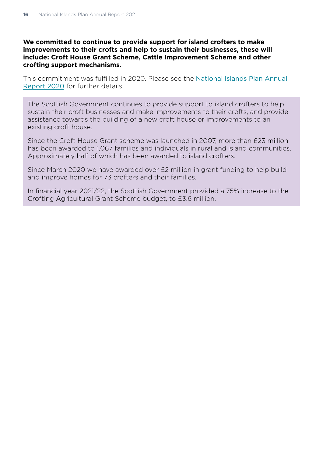#### **We committed to continue to provide support for island crofters to make improvements to their crofts and help to sustain their businesses, these will include: Croft House Grant Scheme, Cattle Improvement Scheme and other crofting support mechanisms.**

This commitment was fulfilled in 2020. Please see the [National Islands Plan Annual](https://www.gov.scot/publications/national-islands-plan-annual-report-2020/)  [Report 2020](https://www.gov.scot/publications/national-islands-plan-annual-report-2020/) for further details.

The Scottish Government continues to provide support to island crofters to help sustain their croft businesses and make improvements to their crofts, and provide assistance towards the building of a new croft house or improvements to an existing croft house.

Since the Croft House Grant scheme was launched in 2007, more than £23 million has been awarded to 1,067 families and individuals in rural and island communities. Approximately half of which has been awarded to island crofters.

Since March 2020 we have awarded over £2 million in grant funding to help build and improve homes for 73 crofters and their families.

In financial year 2021/22, the Scottish Government provided a 75% increase to the Crofting Agricultural Grant Scheme budget, to £3.6 million.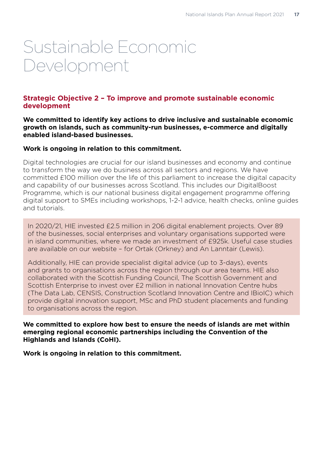# <span id="page-18-0"></span>Sustainable Economic Development

# **Strategic Objective 2 – To improve and promote sustainable economic development**

**We committed to identify key actions to drive inclusive and sustainable economic growth on islands, such as community-run businesses, e-commerce and digitally enabled island-based businesses.** 

#### **Work is ongoing in relation to this commitment.**

Digital technologies are crucial for our island businesses and economy and continue to transform the way we do business across all sectors and regions. We have committed £100 million over the life of this parliament to increase the digital capacity and capability of our businesses across Scotland. This includes our DigitalBoost Programme, which is our national business digital engagement programme offering digital support to SMEs including workshops, 1-2-1 advice, health checks, online guides and tutorials.

In 2020/21, HIE invested £2.5 million in 206 digital enablement projects. Over 89 of the businesses, social enterprises and voluntary organisations supported were in island communities, where we made an investment of £925k. Useful case studies are available on our website – for Ortak (Orkney) and An Lanntair (Lewis).

Additionally, HIE can provide specialist digital advice (up to 3-days), events and grants to organisations across the region through our area teams. HIE also collaborated with the Scottish Funding Council, The Scottish Government and Scottish Enterprise to invest over £2 million in national Innovation Centre hubs (The Data Lab, CENSIS, Construction Scotland Innovation Centre and IBioIC) which provide digital innovation support, MSc and PhD student placements and funding to organisations across the region.

**We committed to explore how best to ensure the needs of islands are met within emerging regional economic partnerships including the Convention of the Highlands and Islands (CoHI).**

**Work is ongoing in relation to this commitment.**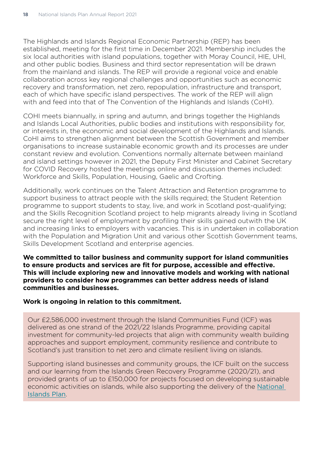The Highlands and Islands Regional Economic Partnership (REP) has been established, meeting for the first time in December 2021. Membership includes the six local authorities with island populations, together with Moray Council, HIE, UHI, and other public bodies. Business and third sector representation will be drawn from the mainland and islands. The REP will provide a regional voice and enable collaboration across key regional challenges and opportunities such as economic recovery and transformation, net zero, repopulation, infrastructure and transport, each of which have specific island perspectives. The work of the REP will align with and feed into that of The Convention of the Highlands and Islands (CoHI).

COHI meets biannually, in spring and autumn, and brings together the Highlands and Islands Local Authorities, public bodies and institutions with responsibility for, or interests in, the economic and social development of the Highlands and Islands. CoHI aims to strengthen alignment between the Scottish Government and member organisations to increase sustainable economic growth and its processes are under constant review and evolution. Conventions normally alternate between mainland and island settings however in 2021, the Deputy First Minister and Cabinet Secretary for COVID Recovery hosted the meetings online and discussion themes included: Workforce and Skills, Population, Housing, Gaelic and Crofting.

Additionally, work continues on the Talent Attraction and Retention programme to support business to attract people with the skills required; the Student Retention programme to support students to stay, live, and work in Scotland post-qualifying; and the Skills Recognition Scotland project to help migrants already living in Scotland secure the right level of employment by profiling their skills gained outwith the UK and increasing links to employers with vacancies. This is in undertaken in collaboration with the Population and Migration Unit and various other Scottish Government teams, Skills Development Scotland and enterprise agencies.

**We committed to tailor business and community support for island communities to ensure products and services are fit for purpose, accessible and effective. This will include exploring new and innovative models and working with national providers to consider how programmes can better address needs of island communities and businesses.** 

# **Work is ongoing in relation to this commitment.**

Our £2,586,000 investment through the Island Communities Fund (ICF) was delivered as one strand of the 2021/22 Islands Programme, providing capital investment for community-led projects that align with community wealth building approaches and support employment, community resilience and contribute to Scotland's just transition to net zero and climate resilient living on islands.

Supporting island businesses and community groups, the ICF built on the success and our learning from the Islands Green Recovery Programme (2020/21), and provided grants of up to £150,000 for projects focused on developing sustainable economic activities on islands, while also supporting the delivery of the [National](https://www.gov.scot/publications/national-plan-scotlands-islands/)  [Islands Plan](https://www.gov.scot/publications/national-plan-scotlands-islands/).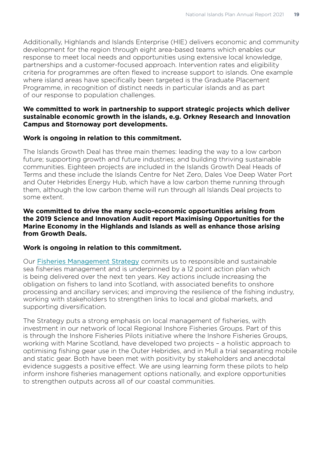Additionally, Highlands and Islands Enterprise (HIE) delivers economic and community development for the region through eight area-based teams which enables our response to meet local needs and opportunities using extensive local knowledge, partnerships and a customer-focused approach. Intervention rates and eligibility criteria for programmes are often flexed to increase support to islands. One example where island areas have specifically been targeted is the Graduate Placement Programme, in recognition of distinct needs in particular islands and as part of our response to population challenges.

### **We committed to work in partnership to support strategic projects which deliver sustainable economic growth in the islands, e.g. Orkney Research and Innovation Campus and Stornoway port developments.**

#### **Work is ongoing in relation to this commitment.**

The Islands Growth Deal has three main themes: leading the way to a low carbon future; supporting growth and future industries; and building thriving sustainable communities. Eighteen projects are included in the Islands Growth Deal Heads of Terms and these include the Islands Centre for Net Zero, Dales Voe Deep Water Port and Outer Hebrides Energy Hub, which have a low carbon theme running through them, although the low carbon theme will run through all Islands Deal projects to some extent.

#### **We committed to drive the many socio-economic opportunities arising from the 2019 Science and Innovation Audit report Maximising Opportunities for the Marine Economy in the Highlands and Islands as well as enhance those arising from Growth Deals.**

#### **Work is ongoing in relation to this commitment.**

Our [Fisheries Management Strategy](https://www.gov.scot/publications/scotlands-future-fisheries-management-strategy-2020-2030/) commits us to responsible and sustainable sea fisheries management and is underpinned by a 12 point action plan which is being delivered over the next ten years. Key actions include increasing the obligation on fishers to land into Scotland, with associated benefits to onshore processing and ancillary services; and improving the resilience of the fishing industry, working with stakeholders to strengthen links to local and global markets, and supporting diversification.

The Strategy puts a strong emphasis on local management of fisheries, with investment in our network of local Regional Inshore Fisheries Groups. Part of this is through the Inshore Fisheries Pilots initiative where the Inshore Fisheries Groups, working with Marine Scotland, have developed two projects – a holistic approach to optimising fishing gear use in the Outer Hebrides, and in Mull a trial separating mobile and static gear. Both have been met with positivity by stakeholders and anecdotal evidence suggests a positive effect. We are using learning form these pilots to help inform inshore fisheries management options nationally, and explore opportunities to strengthen outputs across all of our coastal communities.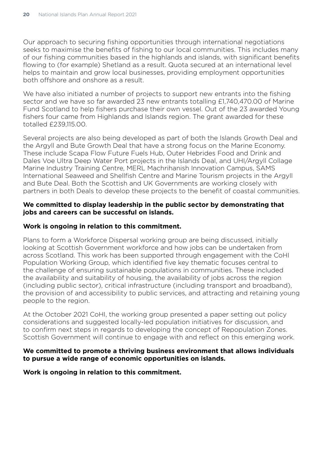Our approach to securing fishing opportunities through international negotiations seeks to maximise the benefits of fishing to our local communities. This includes many of our fishing communities based in the highlands and islands, with significant benefits flowing to (for example) Shetland as a result. Quota secured at an international level helps to maintain and grow local businesses, providing employment opportunities both offshore and onshore as a result.

We have also initiated a number of projects to support new entrants into the fishing sector and we have so far awarded 23 new entrants totalling £1,740,470.00 of Marine Fund Scotland to help fishers purchase their own vessel. Out of the 23 awarded Young fishers four came from Highlands and Islands region. The grant awarded for these totalled £239,115.00.

Several projects are also being developed as part of both the Islands Growth Deal and the Argyll and Bute Growth Deal that have a strong focus on the Marine Economy. These include Scapa Flow Future Fuels Hub, Outer Hebrides Food and Drink and Dales Voe Ultra Deep Water Port projects in the Islands Deal, and UHI/Argyll Collage Marine Industry Training Centre, MERL Machrihanish Innovation Campus, SAMS International Seaweed and Shellfish Centre and Marine Tourism projects in the Argyll and Bute Deal. Both the Scottish and UK Governments are working closely with partners in both Deals to develop these projects to the benefit of coastal communities.

#### **We committed to display leadership in the public sector by demonstrating that jobs and careers can be successful on islands.**

### **Work is ongoing in relation to this commitment.**

Plans to form a Workforce Dispersal working group are being discussed, initially looking at Scottish Government workforce and how jobs can be undertaken from across Scotland. This work has been supported through engagement with the CoHI Population Working Group, which identified five key thematic focuses central to the challenge of ensuring sustainable populations in communities. These included the availability and suitability of housing, the availability of jobs across the region (including public sector), critical infrastructure (including transport and broadband), the provision of and accessibility to public services, and attracting and retaining young people to the region.

At the October 2021 CoHI, the working group presented a [paper](https://www.gov.scot/publications/convention-of-the-highlands-and-islands-meeting-papers-october-2021/) setting out policy considerations and suggested locally-led population initiatives for discussion, and to confirm next steps in regards to developing the concept of Repopulation Zones. Scottish Government will continue to engage with and reflect on this emerging work.

#### **We committed to promote a thriving business environment that allows individuals to pursue a wide range of economic opportunities on islands.**

**Work is ongoing in relation to this commitment.**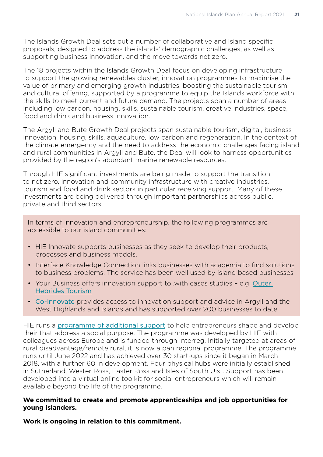The Islands Growth Deal sets out a number of collaborative and Island specific proposals, designed to address the islands' demographic challenges, as well as supporting business innovation, and the move towards net zero.

The 18 projects within the Islands Growth Deal focus on developing infrastructure to support the growing renewables cluster, innovation programmes to maximise the value of primary and emerging growth industries, boosting the sustainable tourism and cultural offering, supported by a programme to equip the Islands workforce with the skills to meet current and future demand. The projects span a number of areas including low carbon, housing, skills, sustainable tourism, creative industries, space, food and drink and business innovation.

The Argyll and Bute Growth Deal projects span sustainable tourism, digital, business innovation, housing, skills, aquaculture, low carbon and regeneration. In the context of the climate emergency and the need to address the economic challenges facing island and rural communities in Argyll and Bute, the Deal will look to harness opportunities provided by the region's abundant marine renewable resources.

Through HIE significant investments are being made to support the transition to net zero, innovation and community infrastructure with creative industries, tourism and food and drink sectors in particular receiving support. Many of these investments are being delivered through important partnerships across public, private and third sectors.

In terms of innovation and entrepreneurship, the following programmes are accessible to our island communities:

- HIE Innovate supports businesses as they seek to develop their products, processes and business models.
- [Interface](https://interface-online.org.uk/) Knowledge Connection links businesses with academia to find solutions to business problems. The service has been well used by island based businesses
- Your Business offers innovation support to .with cases studies e.g. [Outer](https://interface-online.org.uk/case-studies/outer-hebrides-tourism-community-interest-company)  [Hebrides Tourism](https://interface-online.org.uk/case-studies/outer-hebrides-tourism-community-interest-company)
- [Co-Innovate](https://www.hie.co.uk/support/browse-all-support-services/co-innovate/) provides access to innovation support and advice in Argyll and the West Highlands and Islands and has supported over 200 businesses to date.

HIE runs a [programme of additional support](https://www.nweurope.eu/projects/project-search/sunse-support-network-for-social-entrepreneurs/) to help entrepreneurs shape and develop their that address a social purpose. The programme was developed by HIE with colleagues across Europe and is funded through Interreg. Initially targeted at areas of rural disadvantage/remote rural, it is now a pan regional programme. The programme runs until June 2022 and has achieved over 30 start-ups since it began in March 2018, with a further 60 in development. Four physical hubs were initially established in Sutherland, Wester Ross, Easter Ross and Isles of South Uist. Support has been developed into a virtual online toolkit for social entrepreneurs which will remain available beyond the life of the programme.

#### **We committed to create and promote apprenticeships and job opportunities for young islanders.**

**Work is ongoing in relation to this commitment.**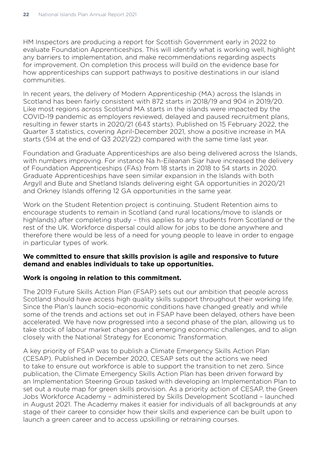HM Inspectors are producing a report for Scottish Government early in 2022 to evaluate Foundation Apprenticeships. This will identify what is working well, highlight any barriers to implementation, and make recommendations regarding aspects for improvement. On completion this process will build on the evidence base for how apprenticeships can support pathways to positive destinations in our island communities.

In recent years, the delivery of Modern Apprenticeship (MA) across the Islands in Scotland has been fairly consistent with 872 starts in 2018/19 and 904 in 2019/20. Like most regions across Scotland MA starts in the islands were impacted by the COVID-19 pandemic as employers reviewed, delayed and paused recruitment plans, resulting in fewer starts in 2020/21 (643 starts). Published on 15 February 2022, the Quarter 3 statistics, covering April-December 2021, show a positive increase in MA starts (514 at the end of Q3 2021/22) compared with the same time last year.

Foundation and Graduate Apprenticeships are also being delivered across the Islands, with numbers improving. For instance Na h-Eileanan Siar have increased the delivery of Foundation Apprenticeships (FAs) from 18 starts in 2018 to 54 starts in 2020. Graduate Apprenticeships have seen similar expansion in the Islands with both Argyll and Bute and Shetland Islands delivering eight GA opportunities in 2020/21 and Orkney Islands offering 12 GA opportunities in the same year.

Work on the Student Retention project is continuing. Student Retention aims to encourage students to remain in Scotland (and rural locations/move to islands or highlands) after completing study – this applies to any students from Scotland or the rest of the UK. Workforce dispersal could allow for jobs to be done anywhere and therefore there would be less of a need for young people to leave in order to engage in particular types of work.

#### **We committed to ensure that skills provision is agile and responsive to future demand and enables individuals to take up opportunities.**

# **Work is ongoing in relation to this commitment.**

The 2019 Future Skills Action Plan (FSAP) sets out our ambition that people across Scotland should have access high quality skills support throughout their working life. Since the Plan's launch socio-economic conditions have changed greatly and while some of the trends and actions set out in FSAP have been delayed, others have been accelerated. We have now progressed into a second phase of the plan, allowing us to take stock of labour market changes and emerging economic challenges, and to align closely with the National Strategy for Economic Transformation.

A key priority of FSAP was to publish a Climate Emergency Skills Action Plan (CESAP). Published in December 2020, CESAP sets out the actions we need to take to ensure out workforce is able to support the transition to net zero. Since publication, the Climate Emergency Skills Action Plan has been driven forward by an Implementation Steering Group tasked with developing an Implementation Plan to set out a route map for green skills provision. As a priority action of CESAP, the Green Jobs Workforce Academy – administered by Skills Development Scotland – launched in August 2021. The Academy makes it easier for individuals of all backgrounds at any stage of their career to consider how their skills and experience can be built upon to launch a green career and to access upskilling or retraining courses.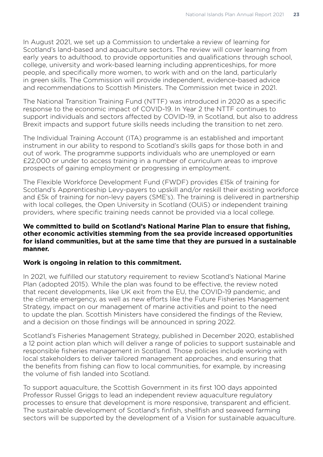In August 2021, we set up a Commission to undertake a review of learning for Scotland's land-based and aquaculture sectors. The review will cover learning from early years to adulthood, to provide opportunities and qualifications through school, college, university and work-based learning including apprenticeships, for more people, and specifically more women, to work with and on the land, particularly in green skills. The Commission will provide independent, evidence-based advice and recommendations to Scottish Ministers. The Commission met twice in 2021.

The National Transition Training Fund (NTTF) was introduced in 2020 as a specific response to the economic impact of COVID-19. In Year 2 the NTTF continues to support individuals and sectors affected by COVID-19, in Scotland, but also to address Brexit impacts and support future skills needs including the transition to net zero.

The Individual Training Account (ITA) programme is an established and important instrument in our ability to respond to Scotland's skills gaps for those both in and out of work. The programme supports individuals who are unemployed or earn £22,000 or under to access training in a number of curriculum areas to improve prospects of gaining employment or progressing in employment.

The Flexible Workforce Development Fund (FWDF) provides £15k of training for Scotland's Apprenticeship Levy-payers to upskill and/or reskill their existing workforce and £5k of training for non-levy payers (SME's). The training is delivered in partnership with local colleges, the Open University in Scotland (OUiS) or independent training providers, where specific training needs cannot be provided via a local college.

#### **We committed to build on Scotland's National Marine Plan to ensure that fishing, other economic activities stemming from the sea provide increased opportunities for island communities, but at the same time that they are pursued in a sustainable manner.**

# **Work is ongoing in relation to this commitment.**

In 2021, we fulfilled our statutory requirement to review Scotland's National Marine Plan (adopted 2015). While the plan was found to be effective, the review noted that recent developments, like UK exit from the EU, the COVID-19 pandemic, and the climate emergency, as well as new efforts like the Future Fisheries Management Strategy, impact on our management of marine activities and point to the need to update the plan. Scottish Ministers have considered the findings of the Review, and a decision on those findings will be announced in spring 2022.

Scotland's Fisheries Management Strategy, published in December 2020, established a 12 point action plan which will deliver a range of policies to support sustainable and responsible fisheries management in Scotland. Those policies include working with local stakeholders to deliver tailored management approaches, and ensuring that the benefits from fishing can flow to local communities, for example, by increasing the volume of fish landed into Scotland.

To support aquaculture, the Scottish Government in its first 100 days appointed Professor Russel Griggs to lead an independent review aquaculture regulatory processes to ensure that development is more responsive, transparent and efficient. The sustainable development of Scotland's finfish, shellfish and seaweed farming sectors will be supported by the development of a Vision for sustainable aquaculture.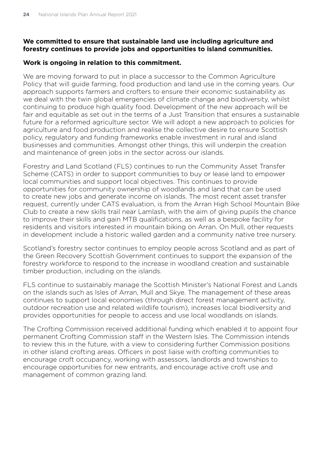# **We committed to ensure that sustainable land use including agriculture and forestry continues to provide jobs and opportunities to island communities.**

#### **Work is ongoing in relation to this commitment.**

We are moving forward to put in place a successor to the Common Agriculture Policy that will guide farming, food production and land use in the coming years. Our approach supports farmers and crofters to ensure their economic sustainability as we deal with the twin global emergencies of climate change and biodiversity, whilst continuing to produce high quality food. Development of the new approach will be fair and equitable as set out in the terms of a Just Transition that ensures a sustainable future for a reformed agriculture sector. We will adopt a new approach to policies for agriculture and food production and realise the collective desire to ensure Scottish policy, regulatory and funding frameworks enable investment in rural and island businesses and communities. Amongst other things, this will underpin the creation and maintenance of green jobs in the sector across our islands.

Forestry and Land Scotland (FLS) continues to run the Community Asset Transfer Scheme (CATS) in order to support communities to buy or lease land to empower local communities and support local objectives. This continues to provide opportunities for community ownership of woodlands and land that can be used to create new jobs and generate income on islands. The most recent asset transfer request, currently under CATS evaluation, is from the Arran High School Mountain Bike Club to create a new skills trail near Lamlash, with the aim of giving pupils the chance to improve their skills and gain MTB qualifications, as well as a bespoke facility for residents and visitors interested in mountain biking on Arran. On Mull, other requests in development include a historic walled garden and a community native tree nursery.

Scotland's forestry sector continues to employ people across Scotland and as part of the Green Recovery Scottish Government continues to support the expansion of the forestry workforce to respond to the increase in woodland creation and sustainable timber production, including on the islands.

FLS continue to sustainably manage the Scottish Minister's National Forest and Lands on the islands such as Isles of Arran, Mull and Skye. The management of these areas continues to support local economies (through direct forest management activity, outdoor recreation use and related wildlife tourism), increases local biodiversity and provides opportunities for people to access and use local woodlands on islands.

The Crofting Commission received additional funding which enabled it to appoint four permanent Crofting Commission staff in the Western Isles. The Commission intends to review this in the future, with a view to considering further Commission positions in other island crofting areas. Officers in post liaise with crofting communities to encourage croft occupancy, working with assessors, landlords and townships to encourage opportunities for new entrants, and encourage active croft use and management of common grazing land.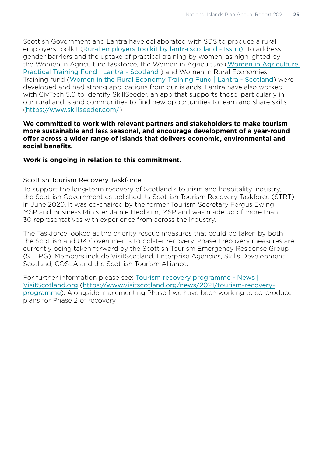Scottish Government and Lantra have collaborated with SDS to produce a rural employers toolkit ([Rural employers toolkit by lantra.scotland - Issuu\)](https://eu-west-1.protection.sophos.com?d=issuu.com&u=aHR0cHM6Ly9pc3N1dS5jb20vbGFudHJhLnNjb3RsYW5kL2RvY3MvcnVyYWxfdG9vbGtpdA==&i=NWQyNzBjMDIxMTQ3YjYxNDI0NTUzODgw&t=d2JSaW5iOU8wSXN4OFhLZDBnTDlTZlhRVkErcTgxVklabVErUkg1QTJ1bz0=&h=10befe5df6074e09a109818858c53d12). To address gender barriers and the uptake of practical training by women, as highlighted by the Women in Agriculture taskforce, the Women in Agriculture ([Women in Agriculture](https://eu-west-1.protection.sophos.com?d=lantra.co.uk&u=aHR0cHM6Ly93d3cuc2NvdGxhbmQubGFudHJhLmNvLnVrL3dvbWVuLWFncmljdWx0dXJlLXByYWN0aWNhbC10cmFpbmluZy1mdW5k&i=NWQyNzBjMDIxMTQ3YjYxNDI0NTUzODgw&t=VTU0TjEwVGUyUC84K2JhcDlpSm5IN0tXYXkyQitEbFhYSTVENkRDazdhST0=&h=10befe5df6074e09a109818858c53d12)  [Practical Training Fund | Lantra - Scotland](https://eu-west-1.protection.sophos.com?d=lantra.co.uk&u=aHR0cHM6Ly93d3cuc2NvdGxhbmQubGFudHJhLmNvLnVrL3dvbWVuLWFncmljdWx0dXJlLXByYWN0aWNhbC10cmFpbmluZy1mdW5k&i=NWQyNzBjMDIxMTQ3YjYxNDI0NTUzODgw&t=VTU0TjEwVGUyUC84K2JhcDlpSm5IN0tXYXkyQitEbFhYSTVENkRDazdhST0=&h=10befe5df6074e09a109818858c53d12) ) and Women in Rural Economies Training fund ([Women in the Rural Economy Training Fund | Lantra - Scotland](https://eu-west-1.protection.sophos.com?d=lantra.co.uk&u=aHR0cHM6Ly93d3cuc2NvdGxhbmQubGFudHJhLmNvLnVrL3dvbWVuLXJ1cmFsLWVjb25vbXktdHJhaW5pbmctZnVuZA==&i=NWQyNzBjMDIxMTQ3YjYxNDI0NTUzODgw&t=TEZKZzhwVWV6cUxKUzQwMEQybW1uN3g3VUhSMWU2c3pVUXRGTjQ4S2JkST0=&h=10befe5df6074e09a109818858c53d12)) were developed and had strong applications from our islands. Lantra have also worked with CivTech 5.0 to identify SkillSeeder, an app that supports those, particularly in our rural and island communities to find new opportunities to learn and share skills (<https://www.skillseeder.com/>).

#### **We committed to work with relevant partners and stakeholders to make tourism more sustainable and less seasonal, and encourage development of a year-round offer across a wider range of islands that delivers economic, environmental and social benefits.**

#### **Work is ongoing in relation to this commitment.**

#### Scottish Tourism Recovery Taskforce

To support the long-term recovery of Scotland's tourism and hospitality industry, the Scottish Government established its Scottish Tourism Recovery Taskforce (STRT) in June 2020. It was co-chaired by the former Tourism Secretary Fergus Ewing, MSP and Business Minister Jamie Hepburn, MSP and was made up of more than 30 representatives with experience from across the industry.

The Taskforce looked at the priority rescue measures that could be taken by both the Scottish and UK Governments to bolster recovery. Phase 1 recovery measures are currently being taken forward by the Scottish Tourism Emergency Response Group (STERG). Members include VisitScotland, Enterprise Agencies, Skills Development Scotland, COSLA and the Scottish Tourism Alliance.

For further information please see: [Tourism recovery programme - News |](https://www.visitscotland.org/news/2021/tourism-recovery-programme)  [VisitScotland.org](https://www.visitscotland.org/news/2021/tourism-recovery-programme) ([https://www.visitscotland.org/news/2021/tourism-recovery](https://www.visitscotland.org/news/2021/tourism-recovery-programme)[programme](https://www.visitscotland.org/news/2021/tourism-recovery-programme)). Alongside implementing Phase 1 we have been working to co-produce plans for Phase 2 of recovery.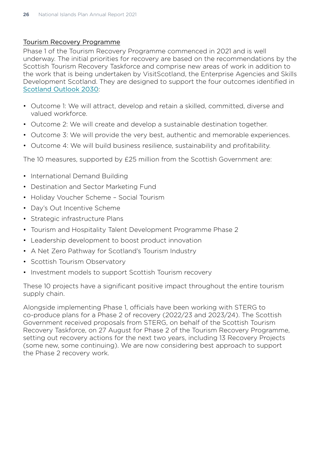#### Tourism Recovery Programme

Phase 1 of the Tourism Recovery Programme commenced in 2021 and is well underway. The initial priorities for recovery are based on the recommendations by the Scottish Tourism Recovery Taskforce and comprise new areas of work in addition to the work that is being undertaken by VisitScotland, the Enterprise Agencies and Skills Development Scotland. They are designed to support the four outcomes identified in [Scotland Outlook 2030](https://scottishtourismalliance.co.uk/scotland-outlook-2030-overview/):

- Outcome 1: We will attract, develop and retain a skilled, committed, diverse and valued workforce.
- Outcome 2: We will create and develop a sustainable destination together.
- Outcome 3: We will provide the very best, authentic and memorable experiences.
- Outcome 4: We will build business resilience, sustainability and profitability.

The 10 measures, supported by £25 million from the Scottish Government are:

- International Demand Building
- Destination and Sector Marketing Fund
- Holiday Voucher Scheme Social Tourism
- Day's Out Incentive Scheme
- Strategic infrastructure Plans
- Tourism and Hospitality Talent Development Programme Phase 2
- Leadership development to boost product innovation
- A Net Zero Pathway for Scotland's Tourism Industry
- Scottish Tourism Observatory
- Investment models to support Scottish Tourism recovery

These 10 projects have a significant positive impact throughout the entire tourism supply chain.

Alongside implementing Phase 1, officials have been working with STERG to co-produce plans for a Phase 2 of recovery (2022/23 and 2023/24). The Scottish Government received proposals from STERG, on behalf of the Scottish Tourism Recovery Taskforce, on 27 August for Phase 2 of the Tourism Recovery Programme, setting out recovery actions for the next two years, including 13 Recovery Projects (some new, some continuing). We are now considering best approach to support the Phase 2 recovery work.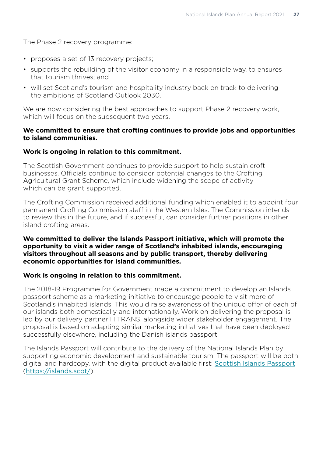The Phase 2 recovery programme:

- proposes a set of 13 recovery projects;
- supports the rebuilding of the visitor economy in a responsible way, to ensures that tourism thrives; and
- will set Scotland's tourism and hospitality industry back on track to delivering the ambitions of Scotland Outlook 2030.

We are now considering the best approaches to support Phase 2 recovery work, which will focus on the subsequent two years.

#### **We committed to ensure that crofting continues to provide jobs and opportunities to island communities.**

# **Work is ongoing in relation to this commitment.**

The Scottish Government continues to provide support to help sustain croft businesses. Officials continue to consider potential changes to the Crofting Agricultural Grant Scheme, which include widening the scope of activity which can be grant supported.

The Crofting Commission received additional funding which enabled it to appoint four permanent Crofting Commission staff in the Western Isles. The Commission intends to review this in the future, and if successful, can consider further positions in other island crofting areas.

#### **We committed to deliver the Islands Passport initiative, which will promote the opportunity to visit a wider range of Scotland's inhabited islands, encouraging visitors throughout all seasons and by public transport, thereby delivering economic opportunities for island communities.**

# **Work is ongoing in relation to this commitment.**

The 2018-19 Programme for Government made a commitment to develop an Islands passport scheme as a marketing initiative to encourage people to visit more of Scotland's inhabited islands. This would raise awareness of the unique offer of each of our islands both domestically and internationally. Work on delivering the proposal is led by our delivery partner HITRANS, alongside wider stakeholder engagement. The proposal is based on adapting similar marketing initiatives that have been deployed successfully elsewhere, including the Danish islands passport.

The Islands Passport will contribute to the delivery of the National Islands Plan by supporting economic development and sustainable tourism. The passport will be both digital and hardcopy, with the digital product available first: [Scottish Islands Passport](https://islands.scot/) (<https://islands.scot/>).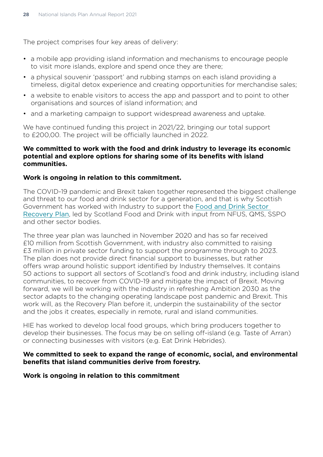The project comprises four key areas of delivery:

- a mobile app providing island information and mechanisms to encourage people to visit more islands, explore and spend once they are there;
- a physical souvenir 'passport' and rubbing stamps on each island providing a timeless, digital detox experience and creating opportunities for merchandise sales;
- a website to enable visitors to access the app and passport and to point to other organisations and sources of island information; and
- and a marketing campaign to support widespread awareness and uptake.

We have continued funding this project in 2021/22, bringing our total support to £200,00. The project will be officially launched in 2022.

#### **We committed to work with the food and drink industry to leverage its economic potential and explore options for sharing some of its benefits with island communities.**

#### **Work is ongoing in relation to this commitment.**

The COVID-19 pandemic and Brexit taken together represented the biggest challenge and threat to our food and drink sector for a generation, and that is why Scottish Government has worked with Industry to support the [Food and Drink Sector](https://www.bing.com/search?q=the+Food+%26+Drink+Sector+Recovery+Plan&cvid=bf48994d3ed94217a575e52e4141ba85&aqs=edge..69i57.2548j0j4&FORM=ANAB01&PC=U531)  [Recovery Plan](https://www.bing.com/search?q=the+Food+%26+Drink+Sector+Recovery+Plan&cvid=bf48994d3ed94217a575e52e4141ba85&aqs=edge..69i57.2548j0j4&FORM=ANAB01&PC=U531), led by Scotland Food and Drink with input from NFUS, QMS, SSPO and other sector bodies.

The three year plan was launched in November 2020 and has so far received £10 million from Scottish Government, with industry also committed to raising £3 million in private sector funding to support the programme through to 2023. The plan does not provide direct financial support to businesses, but rather offers wrap around holistic support identified by Industry themselves. It contains 50 actions to support all sectors of Scotland's food and drink industry, including island communities, to recover from COVID-19 and mitigate the impact of Brexit. Moving forward, we will be working with the industry in refreshing Ambition 2030 as the sector adapts to the changing operating landscape post pandemic and Brexit. This work will, as the Recovery Plan before it, underpin the sustainability of the sector and the jobs it creates, especially in remote, rural and island communities.

HIE has worked to develop local food groups, which bring producers together to develop their businesses. The focus may be on selling off-island (e.g. Taste of Arran) or connecting businesses with visitors (e.g. Eat Drink Hebrides).

#### **We committed to seek to expand the range of economic, social, and environmental benefits that island communities derive from forestry.**

#### **Work is ongoing in relation to this commitment**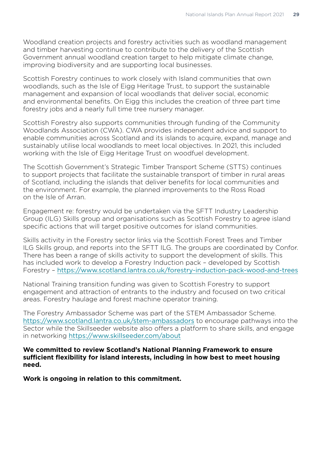Woodland creation projects and forestry activities such as woodland management and timber harvesting continue to contribute to the delivery of the Scottish Government annual woodland creation target to help mitigate climate change, improving biodiversity and are supporting local businesses.

Scottish Forestry continues to work closely with Island communities that own woodlands, such as the Isle of Eigg Heritage Trust, to support the sustainable management and expansion of local woodlands that deliver social, economic and environmental benefits. On Eigg this includes the creation of three part time forestry jobs and a nearly full time tree nursery manager.

Scottish Forestry also supports communities through funding of the Community Woodlands Association (CWA). CWA provides independent advice and support to enable communities across Scotland and its islands to acquire, expand, manage and sustainably utilise local woodlands to meet local objectives. In 2021, this included working with the Isle of Eigg Heritage Trust on woodfuel development.

The Scottish Government's Strategic Timber Transport Scheme (STTS) continues to support projects that facilitate the sustainable transport of timber in rural areas of Scotland, including the islands that deliver benefits for local communities and the environment. For example, the planned improvements to the Ross Road on the Isle of Arran.

Engagement re: forestry would be undertaken via the SFTT Industry Leadership Group (ILG) Skills group and organisations such as Scottish Forestry to agree island specific actions that will target positive outcomes for island communities.

Skills activity in the Forestry sector links via the Scottish Forest Trees and Timber ILG Skills group, and reports into the SFTT ILG. The groups are coordinated by Confor. There has been a range of skills activity to support the development of skills. This has included work to develop a Forestry Induction pack – developed by Scottish Forestry – <https://www.scotland.lantra.co.uk/forestry-induction-pack-wood-and-trees>

National Training transition funding was given to Scottish Forestry to support engagement and attraction of entrants to the industry and focused on two critical areas. Forestry haulage and forest machine operator training.

The Forestry Ambassador Scheme was part of the STEM Ambassador Scheme. [https://www.scotland.lantra.co.uk/stem-ambassadors](https://eur01.safelinks.protection.outlook.com/?url=https%3A%2F%2Fwww.scotland.lantra.co.uk%2Fstem-ambassadors&data=04%7C01%7CSamantha.Findlay%40sds.co.uk%7C76b629d9546449f927b108d9e25030a5%7C33ca6d475e4f477484f1696cbb508cbe%7C0%7C0%7C637789656313136977%7CUnknown%7CTWFpbGZsb3d8eyJWIjoiMC4wLjAwMDAiLCJQIjoiV2luMzIiLCJBTiI6Ik1haWwiLCJXVCI6Mn0%3D%7C3000&sdata=u8r4pRemMyUKEeTTyFKraim42ebufWYJY8Zxlr%2FLrfE%3D&reserved=0) to encourage pathways into the Sector while the Skillseeder website also offers a platform to share skills, and engage in networking [https://www.skillseeder.com/about](https://eur01.safelinks.protection.outlook.com/?url=https%3A%2F%2Fwww.skillseeder.com%2Fabout&data=04%7C01%7CSamantha.Findlay%40sds.co.uk%7C76b629d9546449f927b108d9e25030a5%7C33ca6d475e4f477484f1696cbb508cbe%7C0%7C0%7C637789656313136977%7CUnknown%7CTWFpbGZsb3d8eyJWIjoiMC4wLjAwMDAiLCJQIjoiV2luMzIiLCJBTiI6Ik1haWwiLCJXVCI6Mn0%3D%7C3000&sdata=CS8WHivMwXWkoja2L8I5cjGqiHInsg4MQBJRx2SvwBA%3D&reserved=0)

#### **We committed to review Scotland's National Planning Framework to ensure sufficient flexibility for island interests, including in how best to meet housing need.**

**Work is ongoing in relation to this commitment.**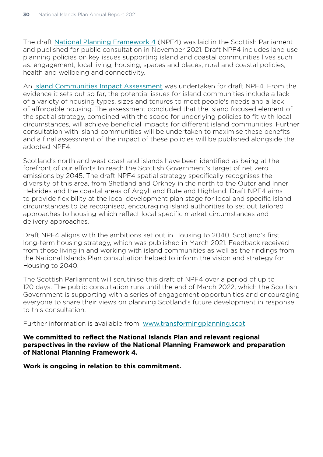The draft [National Planning Framework 4](https://www.transformingplanning.scot/national-planning-framework/) (NPF4) was laid in the Scottish Parliament and published for public consultation in November 2021. Draft NPF4 includes land use planning policies on key issues supporting island and coastal communities lives such as: engagement, local living, housing, spaces and places, rural and coastal policies, health and wellbeing and connectivity.

An [Island Communities Impact Assessment](https://www.gov.scot/publications/scotland-2045-scotlands-fourth-national-planning-framework-draft-integrated-impact-assessment-society-equalities-impact-assessment/pages/9/) was undertaken for draft NPF4. From the evidence it sets out so far, the potential issues for island communities include a lack of a variety of housing types, sizes and tenures to meet people's needs and a lack of affordable housing. The assessment concluded that the island focused element of the spatial strategy, combined with the scope for underlying policies to fit with local circumstances, will achieve beneficial impacts for different island communities. Further consultation with island communities will be undertaken to maximise these benefits and a final assessment of the impact of these policies will be published alongside the adopted NPF4.

Scotland's north and west coast and islands have been identified as being at the forefront of our efforts to reach the Scottish Government's target of net zero emissions by 2045. The draft NPF4 spatial strategy specifically recognises the diversity of this area, from Shetland and Orkney in the north to the Outer and Inner Hebrides and the coastal areas of Argyll and Bute and Highland. Draft NPF4 aims to provide flexibility at the local development plan stage for local and specific island circumstances to be recognised, encouraging island authorities to set out tailored approaches to housing which reflect local specific market circumstances and delivery approaches.

Draft NPF4 aligns with the ambitions set out in Housing to 2040, Scotland's first long-term housing strategy, which was published in March 2021. Feedback received from those living in and working with island communities as well as the findings from the National Islands Plan consultation helped to inform the vision and strategy for Housing to 2040.

The Scottish Parliament will scrutinise this draft of NPF4 over a period of up to 120 days. The public consultation runs until the end of March 2022, which the Scottish Government is supporting with a series of engagement opportunities and encouraging everyone to share their views on planning Scotland's future development in response to this consultation.

Further information is available from: [www.transformingplanning.scot](http://www.transformingplanning.scot)

**We committed to reflect the National Islands Plan and relevant regional perspectives in the review of the National Planning Framework and preparation of National Planning Framework 4.** 

**Work is ongoing in relation to this commitment.**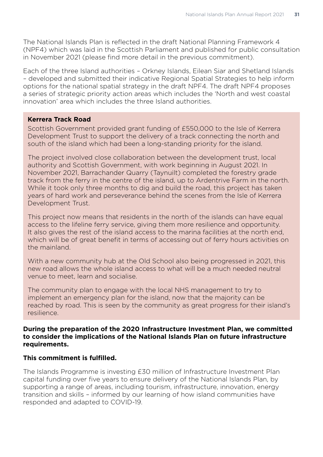The National Islands Plan is reflected in the draft National Planning Framework 4 (NPF4) which was laid in the Scottish Parliament and published for public consultation in November 2021 (please find more detail in the previous commitment).

Each of the three Island authorities – Orkney Islands, Eilean Siar and Shetland Islands – developed and submitted their indicative Regional Spatial Strategies to help inform options for the national spatial strategy in the draft NPF4. The draft NPF4 proposes a series of strategic priority action areas which includes the 'North and west coastal innovation' area which includes the three Island authorities.

#### **Kerrera Track Road**

Scottish Government provided grant funding of £550,000 to the Isle of Kerrera Development Trust to support the delivery of a track connecting the north and south of the island which had been a long-standing priority for the island.

The project involved close collaboration between the development trust, local authority and Scottish Government, with work beginning in August 2021. In November 2021, Barrachander Quarry (Taynuilt) completed the forestry grade track from the ferry in the centre of the island, up to Ardentrive Farm in the north. While it took only three months to dig and build the road, this project has taken years of hard work and perseverance behind the scenes from the Isle of Kerrera Development Trust.

This project now means that residents in the north of the islands can have equal access to the lifeline ferry service, giving them more resilience and opportunity. It also gives the rest of the island access to the marina facilities at the north end, which will be of great benefit in terms of accessing out of ferry hours activities on the mainland.

With a new community hub at the Old School also being progressed in 2021, this new road allows the whole island access to what will be a much needed neutral venue to meet, learn and socialise.

The community plan to engage with the local NHS management to try to implement an emergency plan for the island, now that the majority can be reached by road. This is seen by the community as great progress for their island's resilience.

#### **During the preparation of the 2020 Infrastructure Investment Plan, we committed to consider the implications of the National Islands Plan on future infrastructure requirements.**

# **This commitment is fulfilled.**

The Islands Programme is investing £30 million of Infrastructure Investment Plan capital funding over five years to ensure delivery of the National Islands Plan, by supporting a range of areas, including tourism, infrastructure, innovation, energy transition and skills – informed by our learning of how island communities have responded and adapted to COVID-19.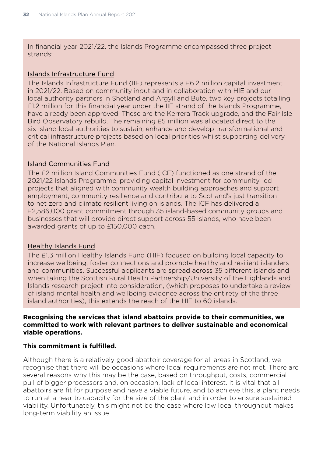In financial year 2021/22, the Islands Programme encompassed three project strands:

#### Islands Infrastructure Fund

The Islands Infrastructure Fund (IIF) represents a £6.2 million capital investment in 2021/22. Based on community input and in collaboration with HIE and our local authority partners in Shetland and Argyll and Bute, two key projects totalling £1.2 million for this financial year under the IIF strand of the Islands Programme, have already been approved. These are the Kerrera Track upgrade, and the Fair Isle Bird Observatory rebuild. The remaining £5 million was allocated direct to the six island local authorities to sustain, enhance and develop transformational and critical infrastructure projects based on local priorities whilst supporting delivery of the National Islands Plan.

#### Island Communities Fund

The £2 million Island Communities Fund (ICF) functioned as one strand of the 2021/22 Islands Programme, providing capital investment for community-led projects that aligned with community wealth building approaches and support employment, community resilience and contribute to Scotland's just transition to net zero and climate resilient living on islands. The ICF has delivered a £2,586,000 grant commitment through 35 island-based community groups and businesses that will provide direct support across 55 islands, who have been awarded grants of up to £150,000 each.

#### Healthy Islands Fund

The £1.3 million Healthy Islands Fund (HIF) focused on building local capacity to increase wellbeing, foster connections and promote healthy and resilient islanders and communities. Successful applicants are spread across 35 different islands and when taking the Scottish Rural Health Partnership/University of the Highlands and Islands research project into consideration, (which proposes to undertake a review of island mental health and wellbeing evidence across the entirety of the three island authorities), this extends the reach of the HIF to 60 islands.

#### **Recognising the services that island abattoirs provide to their communities, we committed to work with relevant partners to deliver sustainable and economical viable operations.**

#### **This commitment is fulfilled.**

Although there is a relatively good abattoir coverage for all areas in Scotland, we recognise that there will be occasions where local requirements are not met. There are several reasons why this may be the case, based on throughput, costs, commercial pull of bigger processors and, on occasion, lack of local interest. It is vital that all abattoirs are fit for purpose and have a viable future, and to achieve this, a plant needs to run at a near to capacity for the size of the plant and in order to ensure sustained viability. Unfortunately, this might not be the case where low local throughput makes long-term viability an issue.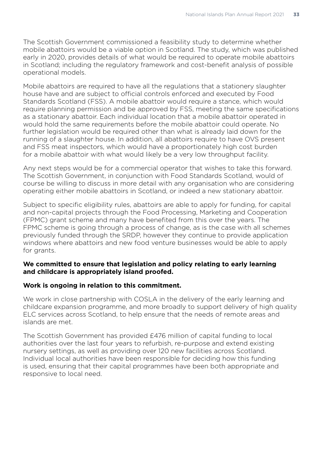The Scottish Government commissioned a feasibility study to determine whether mobile abattoirs would be a viable option in Scotland. The study, which was published early in 2020, provides details of what would be required to operate mobile abattoirs in Scotland; including the regulatory framework and cost-benefit analysis of possible operational models.

Mobile abattoirs are required to have all the regulations that a stationery slaughter house have and are subject to official controls enforced and executed by Food Standards Scotland (FSS). A mobile abattoir would require a stance, which would require planning permission and be approved by FSS, meeting the same specifications as a stationary abattoir. Each individual location that a mobile abattoir operated in would hold the same requirements before the mobile abattoir could operate. No further legislation would be required other than what is already laid down for the running of a slaughter house. In addition, all abattoirs require to have OVS present and FSS meat inspectors, which would have a proportionately high cost burden for a mobile abattoir with what would likely be a very low throughput facility.

Any next steps would be for a commercial operator that wishes to take this forward. The Scottish Government, in conjunction with Food Standards Scotland, would of course be willing to discuss in more detail with any organisation who are considering operating either mobile abattoirs in Scotland, or indeed a new stationary abattoir.

Subject to specific eligibility rules, abattoirs are able to apply for funding, for capital and non-capital projects through the Food Processing, Marketing and Cooperation (FPMC) grant scheme and many have benefited from this over the years. The FPMC scheme is going through a process of change, as is the case with all schemes previously funded through the SRDP, however they continue to provide application windows where abattoirs and new food venture businesses would be able to apply for grants.

# **We committed to ensure that legislation and policy relating to early learning and childcare is appropriately island proofed.**

# **Work is ongoing in relation to this commitment.**

We work in close partnership with COSLA in the delivery of the early learning and childcare expansion programme, and more broadly to support delivery of high quality ELC services across Scotland, to help ensure that the needs of remote areas and islands are met.

The Scottish Government has provided £476 million of capital funding to local authorities over the last four years to refurbish, re-purpose and extend existing nursery settings, as well as providing over 120 new facilities across Scotland. Individual local authorities have been responsible for deciding how this funding is used, ensuring that their capital programmes have been both appropriate and responsive to local need.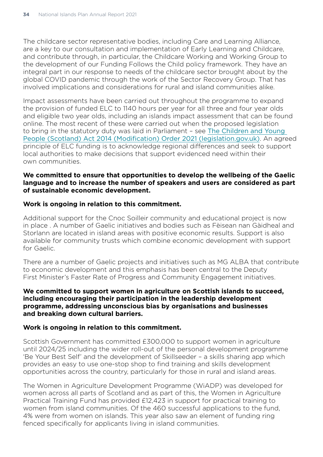The childcare sector representative bodies, including Care and Learning Alliance, are a key to our consultation and implementation of Early Learning and Childcare, and contribute through, in particular, the Childcare Working and Working Group to the development of our Funding Follows the Child policy framework. They have an integral part in our response to needs of the childcare sector brought about by the global COVID pandemic through the work of the Sector Recovery Group. That has involved implications and considerations for rural and island communities alike.

Impact assessments have been carried out throughout the programme to expand the provision of funded ELC to 1140 hours per year for all three and four year olds and eligible two year olds, including an islands impact assessment that can be found online. The most recent of these were carried out when the proposed legislation to bring in the statutory duty was laid in Parliament – see [The Children and Young](https://www.legislation.gov.uk/ssi/2021/127/pdfs/ssiod_20210127_en_002.pdf)  [People \(Scotland\) Act 2014 \(Modification\) Order 2021 \(legislation.gov.uk\)](https://www.legislation.gov.uk/ssi/2021/127/pdfs/ssiod_20210127_en_002.pdf). An agreed principle of ELC funding is to acknowledge regional differences and seek to support local authorities to make decisions that support evidenced need within their own communities.

#### **We committed to ensure that opportunities to develop the wellbeing of the Gaelic language and to increase the number of speakers and users are considered as part of sustainable economic development.**

#### **Work is ongoing in relation to this commitment.**

Additional support for the Cnoc Soilleir community and educational project is now in place . A number of Gaelic initiatives and bodies such as Fèisean nan Gàidheal and Storlann are located in island areas with positive economic results. Support is also available for community trusts which combine economic development with support for Gaelic.

There are a number of Gaelic projects and initiatives such as MG ALBA that contribute to economic development and this emphasis has been central to the Deputy First Minister's Faster Rate of Progress and Community Engagement initiatives.

#### **We committed to support women in agriculture on Scottish islands to succeed, including encouraging their participation in the leadership development programme, addressing unconscious bias by organisations and businesses and breaking down cultural barriers.**

# **Work is ongoing in relation to this commitment.**

Scottish Government has committed £300,000 to support women in agriculture until 2024/25 including the wider roll-out of the personal development programme 'Be Your Best Self' and the development of Skillseeder – a skills sharing app which provides an easy to use one-stop shop to find training and skills development opportunities across the country, particularly for those in rural and island areas.

The Women in Agriculture Development Programme (WiADP) was developed for women across all parts of Scotland and as part of this, the Women in Agriculture Practical Training Fund has provided £12,423 in support for practical training to women from island communities. Of the 460 successful applications to the fund, 4% were from women on islands. This year also saw an element of funding ring fenced specifically for applicants living in island communities.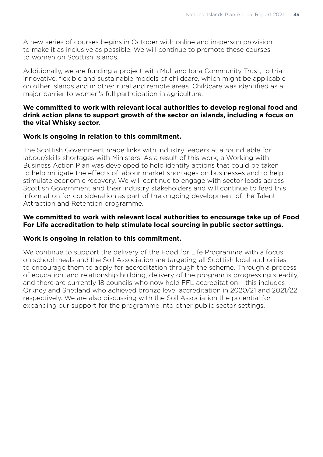A new series of courses begins in October with online and in-person provision to make it as inclusive as possible. We will continue to promote these courses to women on Scottish islands.

Additionally, we are funding a project with Mull and Iona Community Trust, to trial innovative, flexible and sustainable models of childcare, which might be applicable on other islands and in other rural and remote areas. Childcare was identified as a major barrier to women's full participation in agriculture.

## **We committed to work with relevant local authorities to develop regional food and drink action plans to support growth of the sector on islands, including a focus on the vital Whisky sector.**

## **Work is ongoing in relation to this commitment.**

The Scottish Government made links with industry leaders at a roundtable for labour/skills shortages with Ministers. As a result of this work, a Working with Business Action Plan was developed to help identify actions that could be taken to help mitigate the effects of labour market shortages on businesses and to help stimulate economic recovery. We will continue to engage with sector leads across Scottish Government and their industry stakeholders and will continue to feed this information for consideration as part of the ongoing development of the Talent Attraction and Retention programme.

## **We committed to work with relevant local authorities to encourage take up of Food For Life accreditation to help stimulate local sourcing in public sector settings.**

#### **Work is ongoing in relation to this commitment.**

We continue to support the delivery of the Food for Life Programme with a focus on school meals and the Soil Association are targeting all Scottish local authorities to encourage them to apply for accreditation through the scheme. Through a process of education, and relationship building, delivery of the program is progressing steadily, and there are currently 18 councils who now hold FFL accreditation – this includes Orkney and Shetland who achieved bronze level accreditation in 2020/21 and 2021/22 respectively. We are also discussing with the Soil Association the potential for expanding our support for the programme into other public sector settings.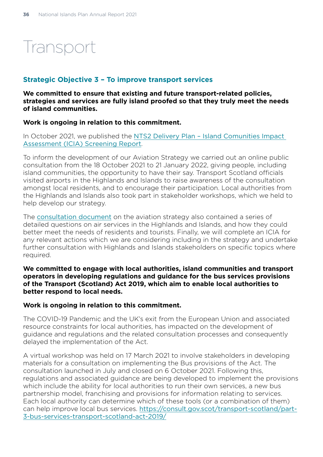## **Transport**

## **Strategic Objective 3 – To improve transport services**

**We committed to ensure that existing and future transport-related policies, strategies and services are fully island proofed so that they truly meet the needs of island communities.** 

## **Work is ongoing in relation to this commitment.**

In October 2021, we published the [NTS2 Delivery Plan – Island Comunities Impact](https://www.transport.gov.scot/media/50435/icia-screening-report-nts2-delivery-plan.pdf)  [Assessment \(ICIA\) Screening Report](https://www.transport.gov.scot/media/50435/icia-screening-report-nts2-delivery-plan.pdf).

To inform the development of our Aviation Strategy we carried out an online public consultation from the 18 October 2021 to 21 January 2022, giving people, including island communities, the opportunity to have their say. Transport Scotland officials visited airports in the Highlands and Islands to raise awareness of the consultation amongst local residents, and to encourage their participation. Local authorities from the Highlands and Islands also took part in stakeholder workshops, which we held to help develop our strategy.

The [consultation document](https://www.transport.gov.scot/media/50382/discussion-document-to-inform-the-development-of-an-aviation-strategy-pdf.pdf#:~:text=The%20Aviation%20Strategy%20will%20then%20form%20the%20basis,and%20other%20relevant%20organisations%20to%20achieve%20our%20vision.) on the aviation strategy also contained a series of detailed questions on air services in the Highlands and Islands, and how they could better meet the needs of residents and tourists. Finally, we will complete an ICIA for any relevant actions which we are considering including in the strategy and undertake further consultation with Highlands and Islands stakeholders on specific topics where required.

#### **We committed to engage with local authorities, island communities and transport operators in developing regulations and guidance for the bus services provisions of the Transport (Scotland) Act 2019, which aim to enable local authorities to better respond to local needs.**

#### **Work is ongoing in relation to this commitment.**

The COVID-19 Pandemic and the UK's exit from the European Union and associated resource constraints for local authorities, has impacted on the development of guidance and regulations and the related consultation processes and consequently delayed the implementation of the Act.

A virtual workshop was held on 17 March 2021 to involve stakeholders in developing materials for a consultation on implementing the Bus provisions of the Act. The consultation launched in July and closed on 6 October 2021. Following this, regulations and associated guidance are being developed to implement the provisions which include the ability for local authorities to run their own services, a new bus partnership model, franchising and provisions for information relating to services. Each local authority can determine which of these tools (or a combination of them) can help improve local bus services. [https://consult.gov.scot/transport-scotland/part-](https://consult.gov.scot/transport-scotland/part-3-bus-services-transport-scotland-act-2019/)[3-bus-services-transport-scotland-act-2019/](https://consult.gov.scot/transport-scotland/part-3-bus-services-transport-scotland-act-2019/)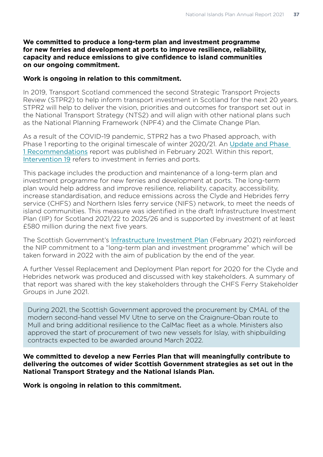#### **We committed to produce a long-term plan and investment programme for new ferries and development at ports to improve resilience, reliability, capacity and reduce emissions to give confidence to island communities on our ongoing commitment.**

#### **Work is ongoing in relation to this commitment.**

In 2019, Transport Scotland commenced the second Strategic Transport Projects Review (STPR2) to help inform transport investment in Scotland for the next 20 years. STPR2 will help to deliver the vision, priorities and outcomes for transport set out in the National Transport Strategy (NTS2) and will align with other national plans such as the National Planning Framework (NPF4) and the Climate Change Plan.

As a result of the COVID-19 pandemic, STPR2 has a two Phased approach, with Phase 1 reporting to the original timescale of winter 2020/21. An [Update and Phase](https://www.transport.gov.scot/media/49128/stpr2-update-and-phase-1-landscape-version-15-feb-2021.pdf)  [1 Recommendations](https://www.transport.gov.scot/media/49128/stpr2-update-and-phase-1-landscape-version-15-feb-2021.pdf) report was published in February 2021. Within this report, [Intervention 19](https://www.transport.gov.scot/media/49071/stpr2-phase-1-ast-project-19-investment-in-ferries-and-ports-3-feb-2021.pdf) refers to investment in ferries and ports.

This package includes the production and maintenance of a long-term plan and investment programme for new ferries and development at ports. The long-term plan would help address and improve resilience, reliability, capacity, accessibility, increase standardisation, and reduce emissions across the Clyde and Hebrides ferry service (CHFS) and Northern Isles ferry service (NIFS) network, to meet the needs of island communities. This measure was identified in the draft Infrastructure Investment Plan (IIP) for Scotland 2021/22 to 2025/26 and is supported by investment of at least £580 million during the next five years.

The Scottish Government's [Infrastructure Investment Plan](https://www.gov.scot/publications/national-mission-local-impact-infrastructure-investment-plan-scotland-2021-22-2025-26/) (February 2021) reinforced the NIP commitment to a "long-term plan and investment programme" which will be taken forward in 2022 with the aim of publication by the end of the year.

A further Vessel Replacement and Deployment Plan report for 2020 for the Clyde and Hebrides network was produced and discussed with key stakeholders. A summary of that report was shared with the key stakeholders through the CHFS Ferry Stakeholder Groups in June 2021.

During 2021, the Scottish Government approved the procurement by CMAL of the modern second-hand vessel MV Utne to serve on the Craignure-Oban route to Mull and bring additional resilience to the CalMac fleet as a whole. Ministers also approved the start of procurement of two new vessels for Islay, with shipbuilding contracts expected to be awarded around March 2022.

**We committed to develop a new Ferries Plan that will meaningfully contribute to delivering the outcomes of wider Scottish Government strategies as set out in the National Transport Strategy and the National Islands Plan.** 

**Work is ongoing in relation to this commitment.**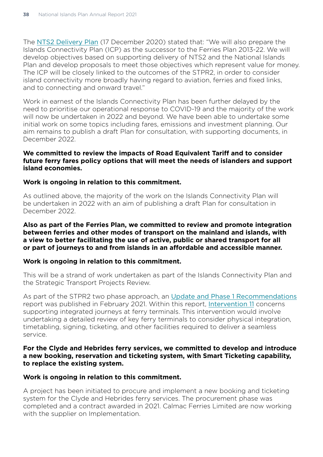The [NTS2 Delivery Plan](https://www.transport.gov.scot/publication/national-transport-strategy-nts2-delivery-plan-2020-to-2022/#:~:text=National%20Transport%20Strategy%20%28NTS2%29%20-%20Delivery%20Plan%20%E2%80%93,the%20future%20including%20addressing%20the%20impacts%20of%20COVID-19) (17 December 2020) stated that: "We will also prepare the Islands Connectivity Plan (ICP) as the successor to the Ferries Plan 2013-22. We will develop objectives based on supporting delivery of NTS2 and the National Islands Plan and develop proposals to meet those objectives which represent value for money. The ICP will be closely linked to the outcomes of the STPR2, in order to consider island connectivity more broadly having regard to aviation, ferries and fixed links, and to connecting and onward travel."

Work in earnest of the Islands Connectivity Plan has been further delayed by the need to prioritise our operational response to COVID-19 and the majority of the work will now be undertaken in 2022 and beyond. We have been able to undertake some initial work on some topics including fares, emissions and investment planning. Our aim remains to publish a draft Plan for consultation, with supporting documents, in December 2022.

#### **We committed to review the impacts of Road Equivalent Tariff and to consider future ferry fares policy options that will meet the needs of islanders and support island economies.**

#### **Work is ongoing in relation to this commitment.**

As outlined above, the majority of the work on the Islands Connectivity Plan will be undertaken in 2022 with an aim of publishing a draft Plan for consultation in December 2022.

#### **Also as part of the Ferries Plan, we committed to review and promote integration between ferries and other modes of transport on the mainland and islands, with a view to better facilitating the use of active, public or shared transport for all or part of journeys to and from islands in an affordable and accessible manner.**

#### **Work is ongoing in relation to this commitment.**

This will be a strand of work undertaken as part of the Islands Connectivity Plan and the Strategic Transport Projects Review.

As part of the STPR2 two phase approach, an [Update and Phase 1 Recommendations](https://www.transport.gov.scot/media/49128/stpr2-update-and-phase-1-landscape-version-15-feb-2021.pdf) report was published in February 2021. Within this report, [Intervention 11](https://www.transport.gov.scot/media/49063/stpr2-phase-1-ast-project-11-infrastructure-to-support-integrated-journeys-at-ferry-terminals-3-feb-2021.pdf) concerns supporting integrated journeys at ferry terminals. This intervention would involve undertaking a detailed review of key ferry terminals to consider physical integration, timetabling, signing, ticketing, and other facilities required to deliver a seamless service.

## **For the Clyde and Hebrides ferry services, we committed to develop and introduce a new booking, reservation and ticketing system, with Smart Ticketing capability, to replace the existing system.**

#### **Work is ongoing in relation to this commitment.**

A project has been initiated to procure and implement a new booking and ticketing system for the Clyde and Hebrides ferry services. The procurement phase was completed and a contract awarded in 2021. Calmac Ferries Limited are now working with the supplier on Implementation.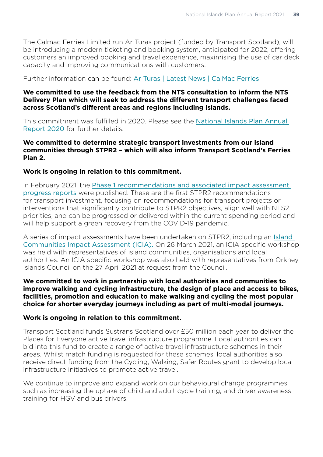The Calmac Ferries Limited run Ar Turas project (funded by Transport Scotland), will be introducing a modern ticketing and booking system, anticipated for 2022, offering customers an improved booking and travel experience, maximising the use of car deck capacity and improving communications with customers.

## Further information can be found: [Ar Turas | Latest News | CalMac Ferries](https://www.calmac.co.uk/arturas/latest-news)

## **We committed to use the feedback from the NTS consultation to inform the NTS Delivery Plan which will seek to address the different transport challenges faced across Scotland's different areas and regions including islands.**

This commitment was fulfilled in 2020. Please see the [National Islands Plan Annual](https://www.gov.scot/publications/national-islands-plan-annual-report-2020/)  [Report 2020](https://www.gov.scot/publications/national-islands-plan-annual-report-2020/) for further details.

## **We committed to determine strategic transport investments from our island communities through STPR2 – which will also inform Transport Scotland's Ferries Plan 2.**

## **Work is ongoing in relation to this commitment.**

In February 2021, the [Phase 1 recommendations and associated impact assessment](https://www.transport.gov.scot/publication/update-and-phase-1-recommendations-february-2021-stpr2/)  [progress reports](https://www.transport.gov.scot/publication/update-and-phase-1-recommendations-february-2021-stpr2/) were published. These are the first STPR2 recommendations for transport investment, focusing on recommendations for transport projects or interventions that significantly contribute to STPR2 objectives, align well with NTS2 priorities, and can be progressed or delivered within the current spending period and will help support a green recovery from the COVID-19 pandemic.

A series of impact assessments have been undertaken on STPR2, including an [Island](https://www.transport.gov.scot/media/50910/island-communities-impact-assessment-draft-report-january-2022-stpr2.pdf)  [Communities Impact Assessment \(ICIA\).](https://www.transport.gov.scot/media/50910/island-communities-impact-assessment-draft-report-january-2022-stpr2.pdf) On 26 March 2021, an ICIA specific workshop was held with representatives of island communities, organisations and local authorities. An ICIA specific workshop was also held with representatives from Orkney Islands Council on the 27 April 2021 at request from the Council.

#### **We committed to work in partnership with local authorities and communities to improve walking and cycling infrastructure, the design of place and access to bikes, facilities, promotion and education to make walking and cycling the most popular choice for shorter everyday journeys including as part of multi-modal journeys.**

#### **Work is ongoing in relation to this commitment.**

Transport Scotland funds Sustrans Scotland over £50 million each year to deliver the Places for Everyone active travel infrastructure programme. Local authorities can bid into this fund to create a range of active travel infrastructure schemes in their areas. Whilst match funding is requested for these schemes, local authorities also receive direct funding from the Cycling, Walking, Safer Routes grant to develop local infrastructure initiatives to promote active travel.

We continue to improve and expand work on our behavioural change programmes, such as increasing the uptake of child and adult cycle training, and driver awareness training for HGV and bus drivers.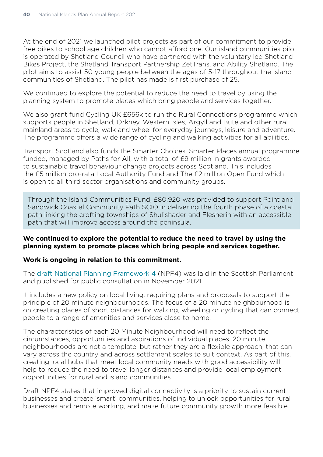At the end of 2021 we launched pilot projects as part of our commitment to provide free bikes to school age children who cannot afford one. Our island communities pilot is operated by Shetland Council who have partnered with the voluntary led Shetland Bikes Project, the Shetland Transport Partnership ZetTrans, and Ability Shetland. The pilot aims to assist 50 young people between the ages of 5-17 throughout the Island communities of Shetland. The pilot has made is first purchase of 25.

We continued to explore the potential to reduce the need to travel by using the planning system to promote places which bring people and services together.

We also grant fund Cycling UK £656k to run the Rural Connections programme which supports people in Shetland, Orkney, Western Isles, Argyll and Bute and other rural mainland areas to cycle, walk and wheel for everyday journeys, leisure and adventure. The programme offers a wide range of cycling and walking activities for all abilities.

Transport Scotland also funds the Smarter Choices, Smarter Places annual programme funded, managed by Paths for All, with a total of £9 million in grants awarded to sustainable travel behaviour change projects across Scotland. This includes the £5 million pro-rata Local Authority Fund and The £2 million Open Fund which is open to all third sector organisations and community groups.

Through the Island Communities Fund, £80,920 was provided to support Point and Sandwick Coastal Community Path SCIO in delivering the fourth phase of a coastal path linking the crofting townships of Shulishader and Flesherin with an accessible path that will improve access around the peninsula.

#### **We continued to explore the potential to reduce the need to travel by using the planning system to promote places which bring people and services together.**

#### **Work is ongoing in relation to this commitment.**

The [draft National Planning Framework 4](https://www.gov.scot/publications/scotland-2045-fourth-national-planning-framework-draft/) (NPF4) was laid in the Scottish Parliament and published for public consultation in November 2021.

It includes a new policy on local living, requiring plans and proposals to support the principle of 20 minute neighbourhoods. The focus of a 20 minute neighbourhood is on creating places of short distances for walking, wheeling or cycling that can connect people to a range of amenities and services close to home.

The characteristics of each 20 Minute Neighbourhood will need to reflect the circumstances, opportunities and aspirations of individual places. 20 minute neighbourhoods are not a template, but rather they are a flexible approach, that can vary across the country and across settlement scales to suit context. As part of this, creating local hubs that meet local community needs with good accessibility will help to reduce the need to travel longer distances and provide local employment opportunities for rural and island communities.

Draft NPF4 states that improved digital connectivity is a priority to sustain current businesses and create 'smart' communities, helping to unlock opportunities for rural businesses and remote working, and make future community growth more feasible.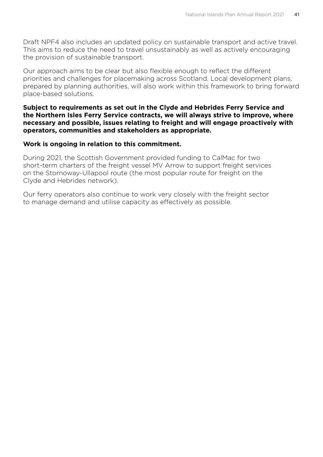Draft NPF4 also includes an updated policy on sustainable transport and active travel. This aims to reduce the need to travel unsustainably as well as actively encouraging the provision of sustainable transport.

Our approach aims to be clear but also flexible enough to reflect the different priorities and challenges for placemaking across Scotland. Local development plans, prepared by planning authorities, will also work within this framework to bring forward place-based solutions.

#### **Subject to requirements as set out in the Clyde and Hebrides Ferry Service and the Northern Isles Ferry Service contracts, we will always strive to improve, where necessary and possible, issues relating to freight and will engage proactively with operators, communities and stakeholders as appropriate.**

## **Work is ongoing in relation to this commitment.**

During 2021, the Scottish Government provided funding to CalMac for two short-term charters of the freight vessel MV Arrow to support freight services on the Stornoway-Ullapool route (the most popular route for freight on the Clyde and Hebrides network).

Our ferry operators also continue to work very closely with the freight sector to manage demand and utilise capacity as effectively as possible.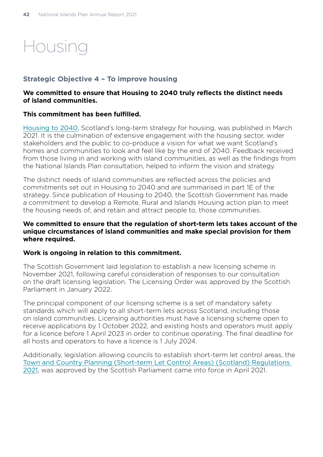## Housing

## **Strategic Objective 4 – To improve housing**

## **We committed to ensure that Housing to 2040 truly reflects the distinct needs of island communities.**

## **This commitment has been fulfilled.**

[Housing to 2040](https://www.gov.scot/publications/housing-2040-2/documents/), Scotland's long-term strategy for housing, was published in March 2021. It is the culmination of extensive engagement with the housing sector, wider stakeholders and the public to co-produce a vision for what we want Scotland's homes and communities to look and feel like by the end of 2040. Feedback received from those living in and working with island communities, as well as the findings from the National Islands Plan consultation, helped to inform the vision and strategy.

The distinct needs of island communities are reflected across the policies and commitments set out in Housing to 2040 and are summarised in part 1E of the strategy. Since publication of Housing to 2040, the Scottish Government has made a commitment to develop a Remote, Rural and Islands Housing action plan to meet the housing needs of, and retain and attract people to, those communities.

## **We committed to ensure that the regulation of short-term lets takes account of the unique circumstances of island communities and make special provision for them where required.**

#### **Work is ongoing in relation to this commitment.**

The Scottish Government laid legislation to establish a new licensing scheme in November 2021, following careful consideration of responses to our consultation on the draft licensing legislation. The Licensing Order was approved by the Scottish Parliament in January 2022.

The principal component of our licensing scheme is a set of mandatory safety standards which will apply to all short-term lets across Scotland, including those on island communities. Licensing authorities must have a licensing scheme open to receive applications by 1 October 2022, and existing hosts and operators must apply for a licence before 1 April 2023 in order to continue operating. The final deadline for all hosts and operators to have a licence is 1 July 2024.

Additionally, legislation allowing councils to establish short-term let control areas, the [Town and Country Planning \(Short-term Let Control Areas\) \(Scotland\) Regulations](https://www.legislation.gov.uk/ssi/2021/154/contents/made)  [2021](https://www.legislation.gov.uk/ssi/2021/154/contents/made), was approved by the Scottish Parliament came into force in April 2021.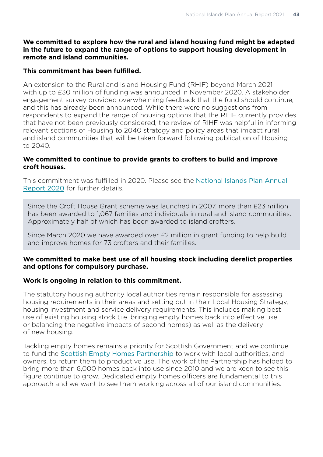## **We committed to explore how the rural and island housing fund might be adapted in the future to expand the range of options to support housing development in remote and island communities.**

## **This commitment has been fulfilled.**

An extension to the Rural and Island Housing Fund (RHIF) beyond March 2021 with up to £30 million of funding was announced in November 2020. A stakeholder engagement survey provided overwhelming feedback that the fund should continue, and this has already been announced. While there were no suggestions from respondents to expand the range of housing options that the RIHF currently provides that have not been previously considered, the review of RIHF was helpful in informing relevant sections of Housing to 2040 strategy and policy areas that impact rural and island communities that will be taken forward following publication of Housing to 2040.

## **We committed to continue to provide grants to crofters to build and improve croft houses.**

This commitment was fulfilled in 2020. Please see the [National Islands Plan Annual](https://www.gov.scot/publications/national-islands-plan-annual-report-2020/)  [Report 2020](https://www.gov.scot/publications/national-islands-plan-annual-report-2020/) for further details.

Since the Croft House Grant scheme was launched in 2007, more than £23 million has been awarded to 1,067 families and individuals in rural and island communities. Approximately half of which has been awarded to island crofters.

Since March 2020 we have awarded over £2 million in grant funding to help build and improve homes for 73 crofters and their families.

## **We committed to make best use of all housing stock including derelict properties and options for compulsory purchase.**

## **Work is ongoing in relation to this commitment.**

The statutory housing authority local authorities remain responsible for assessing housing requirements in their areas and setting out in their Local Housing Strategy, housing investment and service delivery requirements. This includes making best use of existing housing stock (i.e. bringing empty homes back into effective use or balancing the negative impacts of second homes) as well as the delivery of new housing.

Tackling empty homes remains a priority for Scottish Government and we continue to fund the [Scottish Empty Homes Partnership](https://emptyhomespartnership.scot/) to work with local authorities, and owners, to return them to productive use. The work of the Partnership has helped to bring more than 6,000 homes back into use since 2010 and we are keen to see this figure continue to grow. Dedicated empty homes officers are fundamental to this approach and we want to see them working across all of our island communities.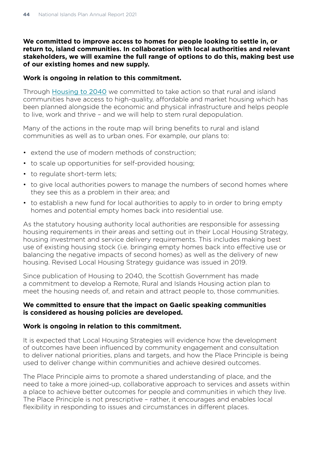**We committed to improve access to homes for people looking to settle in, or return to, island communities. In collaboration with local authorities and relevant stakeholders, we will examine the full range of options to do this, making best use of our existing homes and new supply.** 

#### **Work is ongoing in relation to this commitment.**

Through [Housing to 2040](https://www.gov.scot/publications/housing-2040-2/documents/) we committed to take action so that rural and island communities have access to high-quality, affordable and market housing which has been planned alongside the economic and physical infrastructure and helps people to live, work and thrive – and we will help to stem rural depopulation.

Many of the actions in the route map will bring benefits to rural and island communities as well as to urban ones. For example, our plans to:

- extend the use of modern methods of construction;
- to scale up opportunities for self-provided housing;
- to regulate short-term lets;
- to give local authorities powers to manage the numbers of second homes where they see this as a problem in their area; and
- to establish a new fund for local authorities to apply to in order to bring empty homes and potential empty homes back into residential use.

As the statutory housing authority local authorities are responsible for assessing housing requirements in their areas and setting out in their Local Housing Strategy, housing investment and service delivery requirements. This includes making best use of existing housing stock (i.e. bringing empty homes back into effective use or balancing the negative impacts of second homes) as well as the delivery of new housing. Revised Local Housing Strategy guidance was issued in 2019.

Since publication of Housing to 2040, the Scottish Government has made a commitment to develop a Remote, Rural and Islands Housing action plan to meet the housing needs of, and retain and attract people to, those communities.

#### **We committed to ensure that the impact on Gaelic speaking communities is considered as housing policies are developed.**

#### **Work is ongoing in relation to this commitment.**

It is expected that Local Housing Strategies will evidence how the development of outcomes have been influenced by community engagement and consultation to deliver national priorities, plans and targets, and how the Place Principle is being used to deliver change within communities and achieve desired outcomes.

The Place Principle aims to promote a shared understanding of place, and the need to take a more joined-up, collaborative approach to services and assets within a place to achieve better outcomes for people and communities in which they live. The Place Principle is not prescriptive – rather, it encourages and enables local flexibility in responding to issues and circumstances in different places.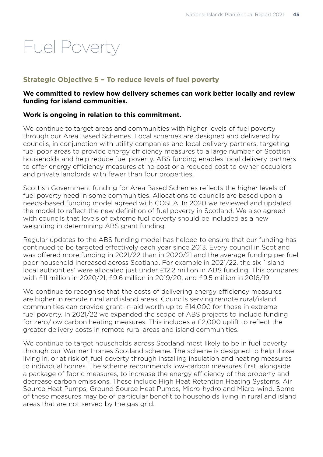## Fuel Poverty

## **Strategic Objective 5 – To reduce levels of fuel poverty**

## **We committed to review how delivery schemes can work better locally and review funding for island communities.**

## **Work is ongoing in relation to this commitment.**

We continue to target areas and communities with higher levels of fuel poverty through our Area Based Schemes. Local schemes are designed and delivered by councils, in conjunction with utility companies and local delivery partners, targeting fuel poor areas to provide energy efficiency measures to a large number of Scottish households and help reduce fuel poverty. ABS funding enables local delivery partners to offer energy efficiency measures at no cost or a reduced cost to owner occupiers and private landlords with fewer than four properties.

Scottish Government funding for Area Based Schemes reflects the higher levels of fuel poverty need in some communities. Allocations to councils are based upon a needs-based funding model agreed with COSLA. In 2020 we reviewed and updated the model to reflect the new definition of fuel poverty in Scotland. We also agreed with councils that levels of extreme fuel poverty should be included as a new weighting in determining ABS grant funding.

Regular updates to the ABS funding model has helped to ensure that our funding has continued to be targeted effectively each year since 2013. Every council in Scotland was offered more funding in 2021/22 than in 2020/21 and the average funding per fuel poor household increased across Scotland. For example in 2021/22, the six `island local authorities' were allocated just under £12.2 million in ABS funding. This compares with £11 million in 2020/21; £9.6 million in 2019/20; and £9.5 million in 2018/19.

We continue to recognise that the costs of delivering energy efficiency measures are higher in remote rural and island areas. Councils serving remote rural/island communities can provide grant-in-aid worth up to £14,000 for those in extreme fuel poverty. In 2021/22 we expanded the scope of ABS projects to include funding for zero/low carbon heating measures. This includes a £2,000 uplift to reflect the greater delivery costs in remote rural areas and island communities.

We continue to target households across Scotland most likely to be in fuel poverty through our Warmer Homes Scotland scheme. The scheme is designed to help those living in, or at risk of, fuel poverty through installing insulation and heating measures to individual homes. The scheme recommends low-carbon measures first, alongside a package of fabric measures, to increase the energy efficiency of the property and decrease carbon emissions. These include High Heat Retention Heating Systems, Air Source Heat Pumps, Ground Source Heat Pumps, Micro-hydro and Micro-wind. Some of these measures may be of particular benefit to households living in rural and island areas that are not served by the gas grid.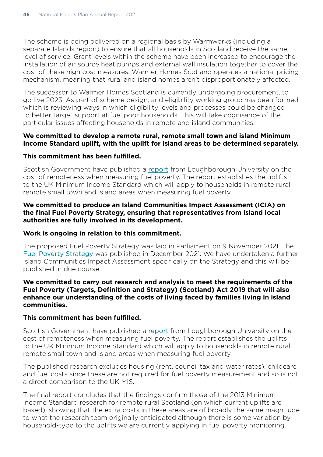The scheme is being delivered on a regional basis by Warmworks (including a separate Islands region) to ensure that all households in Scotland receive the same level of service. Grant levels within the scheme have been increased to encourage the installation of air source heat pumps and external wall insulation together to cover the cost of these high cost measures. Warmer Homes Scotland operates a national pricing mechanism, meaning that rural and island homes aren't disproportionately affected.

The successor to Warmer Homes Scotland is currently undergoing procurement, to go live 2023. As part of scheme design, and eligibility working group has been formed which is reviewing ways in which eligibility levels and processes could be changed to better target support at fuel poor households. This will take cognisance of the particular issues affecting households in remote and island communities.

#### **We committed to develop a remote rural, remote small town and island Minimum Income Standard uplift, with the uplift for island areas to be determined separately.**

#### **This commitment has been fulfilled.**

Scottish Government have published a [report](https://www.gov.scot/publications/cost-remoteness-reflecting-higher-living-costs-remote-rural-scotland-measuring-fuel-poverty/documents/) from Loughborough University on the cost of remoteness when measuring fuel poverty. The report establishes the uplifts to the UK Minimum Income Standard which will apply to households in remote rural, remote small town and island areas when measuring fuel poverty.

#### **We committed to produce an Island Communities Impact Assessment (ICIA) on the final Fuel Poverty Strategy, ensuring that representatives from island local authorities are fully involved in its development.**

#### **Work is ongoing in relation to this commitment.**

The proposed Fuel Poverty Strategy was laid in Parliament on 9 November 2021. The [Fuel Poverty Strategy](https://www.gov.scot/publications/tackling-fuel-poverty-scotland-strategic-approach/documents/) was published in December 2021. We have undertaken a further Island Communities Impact Assessment specifically on the Strategy and this will be published in due course.

#### **We committed to carry out research and analysis to meet the requirements of the Fuel Poverty (Targets, Definition and Strategy) (Scotland) Act 2019 that will also enhance our understanding of the costs of living faced by families living in island communities.**

#### **This commitment has been fulfilled.**

Scottish Government have published a [report](https://www.gov.scot/publications/cost-remoteness-reflecting-higher-living-costs-remote-rural-scotland-measuring-fuel-poverty/pages/2/) from Loughborough University on the cost of remoteness when measuring fuel poverty. The report establishes the uplifts to the UK Minimum Income Standard which will apply to households in remote rural, remote small town and island areas when measuring fuel poverty.

The published research excludes housing (rent, council tax and water rates), childcare and fuel costs since these are not required for fuel poverty measurement and so is not a direct comparison to the UK MIS.

The final report concludes that the findings confirm those of the 2013 Minimum Income Standard research for remote rural Scotland (on which current uplifts are based), showing that the extra costs in these areas are of broadly the same magnitude to what the research team originally anticipated although there is some variation by household-type to the uplifts we are currently applying in fuel poverty monitoring.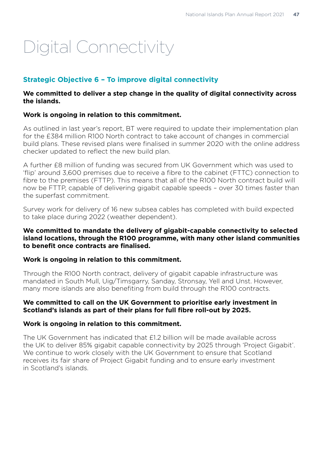# Digital Connectivity

## **Strategic Objective 6 – To improve digital connectivity**

## **We committed to deliver a step change in the quality of digital connectivity across the islands.**

## **Work is ongoing in relation to this commitment.**

As outlined in last year's report, BT were required to update their implementation plan for the £384 million R100 North contract to take account of changes in commercial build plans. These revised plans were finalised in summer 2020 with the online address checker updated to reflect the new build plan.

A further £8 million of funding was secured from UK Government which was used to 'flip' around 3,600 premises due to receive a fibre to the cabinet (FTTC) connection to fibre to the premises (FTTP). This means that all of the R100 North contract build will now be FTTP, capable of delivering gigabit capable speeds – over 30 times faster than the superfast commitment.

Survey work for delivery of 16 new subsea cables has completed with build expected to take place during 2022 (weather dependent).

## **We committed to mandate the delivery of gigabit-capable connectivity to selected island locations, through the R100 programme, with many other island communities to benefit once contracts are finalised.**

## **Work is ongoing in relation to this commitment.**

Through the R100 North contract, delivery of gigabit capable infrastructure was mandated in South Mull, Uig/Timsgarry, Sanday, Stronsay, Yell and Unst. However, many more islands are also benefiting from build through the R100 contracts.

## **We committed to call on the UK Government to prioritise early investment in Scotland's islands as part of their plans for full fibre roll-out by 2025.**

## **Work is ongoing in relation to this commitment.**

The UK Government has indicated that £1.2 billion will be made available across the UK to deliver 85% gigabit capable connectivity by 2025 through 'Project Gigabit'. We continue to work closely with the UK Government to ensure that Scotland receives its fair share of Project Gigabit funding and to ensure early investment in Scotland's islands.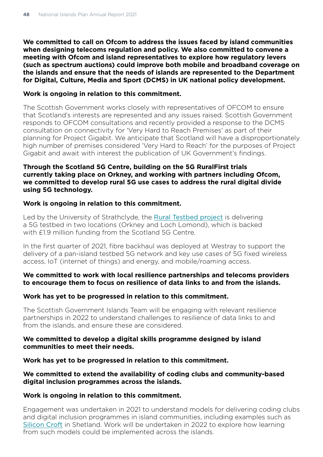**We committed to call on Ofcom to address the issues faced by island communities when designing telecoms regulation and policy. We also committed to convene a meeting with Ofcom and island representatives to explore how regulatory levers (such as spectrum auctions) could improve both mobile and broadband coverage on the islands and ensure that the needs of islands are represented to the Department for Digital, Culture, Media and Sport (DCMS) in UK national policy development.** 

## **Work is ongoing in relation to this commitment.**

The Scottish Government works closely with representatives of OFCOM to ensure that Scotland's interests are represented and any issues raised. Scottish Government responds to OFCOM consultations and recently provided a response to the DCMS consultation on connectivity for 'Very Hard to Reach Premises' as part of their planning for Project Gigabit. We anticipate that Scotland will have a disproportionately high number of premises considered 'Very Hard to Reach' for the purposes of Project Gigabit and await with interest the publication of UK Government's findings.

## **Through the Scotland 5G Centre, building on the 5G RuralFirst trials currently taking place on Orkney, and working with partners including Ofcom, we committed to develop rural 5G use cases to address the rural digital divide using 5G technology.**

#### **Work is ongoing in relation to this commitment.**

Led by the University of Strathclyde, the [Rural Testbed project](https://scotland5gcentre.org/5g-projects/s5gc-projects/projects-5g-scotland-rural-testbed/) is delivering a 5G testbed in two locations (Orkney and Loch Lomond), which is backed with £1.9 million funding from the Scotland 5G Centre.

In the first quarter of 2021, fibre backhaul was deployed at Westray to support the delivery of a pan-island testbed 5G network and key use cases of 5G fixed wireless access, IoT (internet of things) and energy, and mobile/roaming access.

## **We committed to work with local resilience partnerships and telecoms providers to encourage them to focus on resilience of data links to and from the islands.**

#### **Work has yet to be progressed in relation to this commitment.**

The Scottish Government Islands Team will be engaging with relevant resilience partnerships in 2022 to understand challenges to resilience of data links to and from the islands, and ensure these are considered.

## **We committed to develop a digital skills programme designed by island communities to meet their needs.**

**Work has yet to be progressed in relation to this commitment.**

## **We committed to extend the availability of coding clubs and community-based digital inclusion programmes across the islands.**

## **Work is ongoing in relation to this commitment.**

Engagement was undertaken in 2021 to understand models for delivering coding clubs and digital inclusion programmes in island communities, including examples such as [Silicon Croft](https://www.mesomorphic.co.uk/siliconcroft/) in Shetland. Work will be undertaken in 2022 to explore how learning from such models could be implemented across the islands.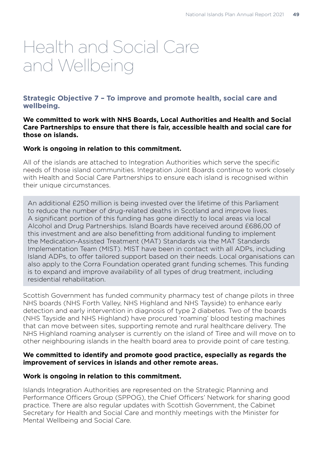## Health and Social Care and Wellbeing

## **Strategic Objective 7 – To improve and promote health, social care and wellbeing.**

**We committed to work with NHS Boards, Local Authorities and Health and Social Care Partnerships to ensure that there is fair, accessible health and social care for those on islands.** 

## **Work is ongoing in relation to this commitment.**

All of the islands are attached to Integration Authorities which serve the specific needs of those island communities. Integration Joint Boards continue to work closely with Health and Social Care Partnerships to ensure each island is recognised within their unique circumstances.

An additional £250 million is being invested over the lifetime of this Parliament to reduce the number of drug-related deaths in Scotland and improve lives. A significant portion of this funding has gone directly to local areas via local Alcohol and Drug Partnerships. Island Boards have received around £686,00 of this investment and are also benefitting from additional funding to implement the Medication-Assisted Treatment (MAT) Standards via the MAT Standards Implementation Team (MIST). MIST have been in contact with all ADPs, including Island ADPs, to offer tailored support based on their needs. Local organisations can also apply to the Corra Foundation operated grant funding schemes. This funding is to expand and improve availability of all types of drug treatment, including residential rehabilitation.

Scottish Government has funded community pharmacy test of change pilots in three NHS boards (NHS Forth Valley, NHS Highland and NHS Tayside) to enhance early detection and early intervention in diagnosis of type 2 diabetes. Two of the boards (NHS Tayside and NHS Highland) have procured 'roaming' blood testing machines that can move between sites, supporting remote and rural healthcare delivery. The NHS Highland roaming analyser is currently on the island of Tiree and will move on to other neighbouring islands in the health board area to provide point of care testing.

#### **We committed to identify and promote good practice, especially as regards the improvement of services in islands and other remote areas.**

## **Work is ongoing in relation to this commitment.**

Islands Integration Authorities are represented on the Strategic Planning and Performance Officers Group (SPPOG), the Chief Officers' Network for sharing good practice. There are also regular updates with Scottish Government, the Cabinet Secretary for Health and Social Care and monthly meetings with the Minister for Mental Wellbeing and Social Care.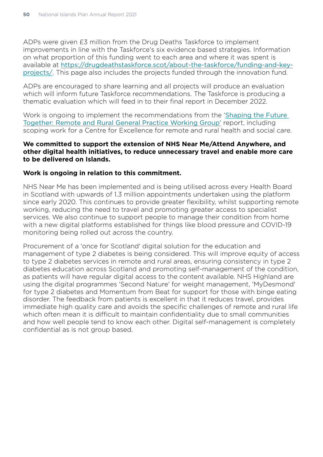ADPs were given £3 million from the Drug Deaths Taskforce to implement improvements in line with the Taskforce's six evidence based strategies. Information on what proportion of this funding went to each area and where it was spent is available at [https://drugdeathstaskforce.scot/about-the-taskforce/funding-and-key](https://drugdeathstaskforce.scot/about-the-taskforce/funding-and-key-projects/)[projects/](https://drugdeathstaskforce.scot/about-the-taskforce/funding-and-key-projects/). This page also includes the projects funded through the innovation fund.

ADPs are encouraged to share learning and all projects will produce an evaluation which will inform future Taskforce recommendations. The Taskforce is producing a thematic evaluation which will feed in to their final report in December 2022.

Work is ongoing to implement the recommendations from the '[Shaping the Future](https://www.gov.scot/publications/shaping-future-together-report-remote-rural-general-practice-working-group/)  [Together: Remote and Rural General Practice Working Group'](https://www.gov.scot/publications/shaping-future-together-report-remote-rural-general-practice-working-group/) report, including scoping work for a Centre for Excellence for remote and rural health and social care.

#### **We committed to support the extension of NHS Near Me/Attend Anywhere, and other digital health initiatives, to reduce unnecessary travel and enable more care to be delivered on Islands.**

## **Work is ongoing in relation to this commitment.**

NHS Near Me has been implemented and is being utilised across every Health Board in Scotland with upwards of 1.3 million appointments undertaken using the platform since early 2020. This continues to provide greater flexibility, whilst supporting remote working, reducing the need to travel and promoting greater access to specialist services. We also continue to support people to manage their condition from home with a new digital platforms established for things like blood pressure and COVID-19 monitoring being rolled out across the country.

Procurement of a 'once for Scotland' digital solution for the education and management of type 2 diabetes is being considered. This will improve equity of access to type 2 diabetes services in remote and rural areas, ensuring consistency in type 2 diabetes education across Scotland and promoting self-management of the condition, as patients will have regular digital access to the content available. NHS Highland are using the digital programmes 'Second Nature' for weight management, 'MyDesmond' for type 2 diabetes and Momentum from Beat for support for those with binge eating disorder. The feedback from patients is excellent in that it reduces travel, provides immediate high quality care and avoids the specific challenges of remote and rural life which often mean it is difficult to maintain confidentiality due to small communities and how well people tend to know each other. Digital self-management is completely confidential as is not group based.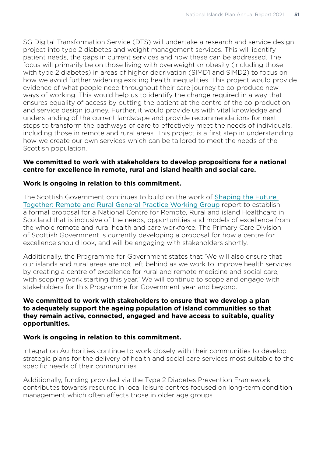SG Digital Transformation Service (DTS) will undertake a research and service design project into type 2 diabetes and weight management services. This will identify patient needs, the gaps in current services and how these can be addressed. The focus will primarily be on those living with overweight or obesity (including those with type 2 diabetes) in areas of higher deprivation (SIMD1 and SIMD2) to focus on how we avoid further widening existing health inequalities. This project would provide evidence of what people need throughout their care journey to co-produce new ways of working. This would help us to identify the change required in a way that ensures equality of access by putting the patient at the centre of the co-production and service design journey. Further, it would provide us with vital knowledge and understanding of the current landscape and provide recommendations for next steps to transform the pathways of care to effectively meet the needs of individuals, including those in remote and rural areas. This project is a first step in understanding how we create our own services which can be tailored to meet the needs of the Scottish population.

## **We committed to work with stakeholders to develop propositions for a national centre for excellence in remote, rural and island health and social care.**

## **Work is ongoing in relation to this commitment.**

The Scottish Government continues to build on the work of [Shaping the Future](https://www.gov.scot/groups/remote-and-rural-general-practice-working-group/)  [Together: Remote and Rural General Practice Working Group](https://www.gov.scot/groups/remote-and-rural-general-practice-working-group/) report to establish a formal proposal for a National Centre for Remote, Rural and island Healthcare in Scotland that is inclusive of the needs, opportunities and models of excellence from the whole remote and rural health and care workforce. The Primary Care Division of Scottish Government is currently developing a proposal for how a centre for excellence should look, and will be engaging with stakeholders shortly.

Additionally, the Programme for Government states that 'We will also ensure that our islands and rural areas are not left behind as we work to improve health services by creating a centre of excellence for rural and remote medicine and social care, with scoping work starting this year.' We will continue to scope and engage with stakeholders for this Programme for Government year and beyond.

## **We committed to work with stakeholders to ensure that we develop a plan to adequately support the ageing population of island communities so that they remain active, connected, engaged and have access to suitable, quality opportunities.**

## **Work is ongoing in relation to this commitment.**

Integration Authorities continue to work closely with their communities to develop strategic plans for the delivery of health and social care services most suitable to the specific needs of their communities.

Additionally, funding provided via the Type 2 Diabetes Prevention Framework contributes towards resource in local leisure centres focused on long-term condition management which often affects those in older age groups.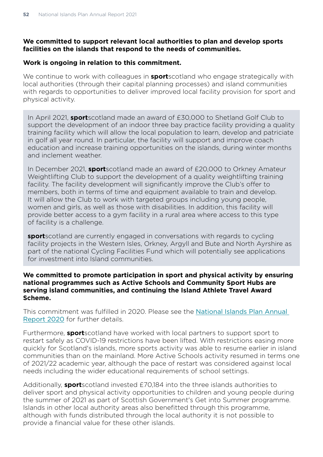## **We committed to support relevant local authorities to plan and develop sports facilities on the islands that respond to the needs of communities.**

#### **Work is ongoing in relation to this commitment.**

We continue to work with colleagues in **sport**scotland who engage strategically with local authorities (through their capital planning processes) and island communities with regards to opportunities to deliver improved local facility provision for sport and physical activity.

In April 2021, **sport**scotland made an award of £30,000 to Shetland Golf Club to support the development of an indoor three bay practice facility providing a quality training facility which will allow the local population to learn, develop and patriciate in golf all year round. In particular, the facility will support and improve coach education and increase training opportunities on the islands, during winter months and inclement weather.

In December 2021, **sport**scotland made an award of £20,000 to Orkney Amateur Weightlifting Club to support the development of a quality weightlifting training facility. The facility development will significantly improve the Club's offer to members, both in terms of time and equipment available to train and develop. It will allow the Club to work with targeted groups including young people, women and girls, as well as those with disabilities. In addition, this facility will provide better access to a gym facility in a rural area where access to this type of facility is a challenge.

**sport**scotland are currently engaged in conversations with regards to cycling facility projects in the Western Isles, Orkney, Argyll and Bute and North Ayrshire as part of the national Cycling Facilities Fund which will potentially see applications for investment into Island communities.

#### **We committed to promote participation in sport and physical activity by ensuring national programmes such as Active Schools and Community Sport Hubs are serving island communities, and continuing the Island Athlete Travel Award Scheme.**

This commitment was fulfilled in 2020. Please see the [National Islands Plan Annual](https://www.gov.scot/publications/national-islands-plan-annual-report-2020/)  [Report 2020](https://www.gov.scot/publications/national-islands-plan-annual-report-2020/) for further details.

Furthermore, **sport**scotland have worked with local partners to support sport to restart safely as COVID-19 restrictions have been lifted. With restrictions easing more quickly for Scotland's islands, more sports activity was able to resume earlier in island communities than on the mainland. More Active Schools activity resumed in terms one of 2021/22 academic year, although the pace of restart was considered against local needs including the wider educational requirements of school settings.

Additionally, **sport**scotland invested £70,184 into the three islands authorities to deliver sport and physical activity opportunities to children and young people during the summer of 2021 as part of Scottish Government's Get into Summer programme. Islands in other local authority areas also benefitted through this programme, although with funds distributed through the local authority it is not possible to provide a financial value for these other islands.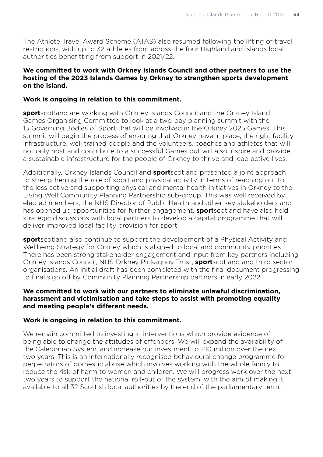The Athlete Travel Award Scheme (ATAS) also resumed following the lifting of travel restrictions, with up to 32 athletes from across the four Highland and Islands local authorities benefitting from support in 2021/22.

## **We committed to work with Orkney Islands Council and other partners to use the hosting of the 2023 Islands Games by Orkney to strengthen sports development on the island.**

## **Work is ongoing in relation to this commitment.**

**sport**scotland are working with Orkney Islands Council and the Orkney Island Games Organising Committee to look at a two-day planning summit with the 13 Governing Bodies of Sport that will be involved in the Orkney 2025 Games. This summit will begin the process of ensuring that Orkney have in place, the right facility infrastructure, well trained people and the volunteers, coaches and athletes that will not only host and contribute to a successful Games but will also inspire and provide a sustainable infrastructure for the people of Orkney to thrive and lead active lives.

Additionally, Orkney Islands Council and **sport**scotland presented a joint approach to strengthening the role of sport and physical activity in terms of reaching out to the less active and supporting physical and mental health initiatives in Orkney to the Living Well Community Planning Partnership sub-group. This was well received by elected members, the NHS Director of Public Health and other key stakeholders and has opened up opportunities for further engagement. **sport**scotland have also held strategic discussions with local partners to develop a capital programme that will deliver improved local facility provision for sport.

**sport**scotland also continue to support the development of a Physical Activity and Wellbeing Strategy for Orkney which is aligned to local and community priorities. There has been strong stakeholder engagement and input from key partners including Orkney Islands Council, NHS Orkney Pickaquoy Trust, **sport**scotland and third sector organisations. An initial draft has been completed with the final document progressing to final sign off by Community Planning Partnership partners in early 2022.

## **We committed to work with our partners to eliminate unlawful discrimination, harassment and victimisation and take steps to assist with promoting equality and meeting people's different needs.**

## **Work is ongoing in relation to this commitment.**

We remain committed to investing in interventions which provide evidence of being able to change the attitudes of offenders. We will expand the availability of the Caledonian System, and increase our investment to £10 million over the next two years. This is an internationally recognised behavioural change programme for perpetrators of domestic abuse which involves working with the whole family to reduce the risk of harm to women and children. We will progress work over the next two years to support the national roll-out of the system, with the aim of making it available to all 32 Scottish local authorities by the end of the parliamentary term.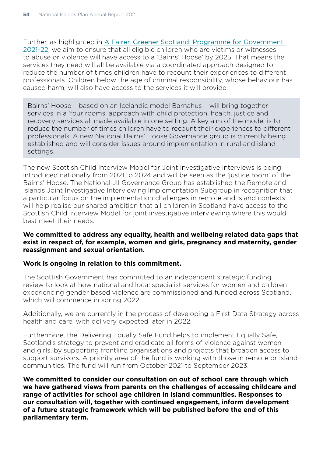Further, as highlighted in [A Fairer, Greener Scotland: Programme for Government](https://www.gov.scot/publications/fairer-greener-scotland-programme-government-2021-22/documents/)  [2021-22](https://www.gov.scot/publications/fairer-greener-scotland-programme-government-2021-22/documents/), we aim to ensure that all eligible children who are victims or witnesses to abuse or violence will have access to a 'Bairns' Hoose' by 2025. That means the services they need will all be available via a coordinated approach designed to reduce the number of times children have to recount their experiences to different professionals. Children below the age of criminal responsibility, whose behaviour has caused harm, will also have access to the services it will provide.

Bairns' Hoose – based on an Icelandic model Barnahus – will bring together services in a 'four rooms' approach with child protection, health, justice and recovery services all made available in one setting. A key aim of the model is to reduce the number of times children have to recount their experiences to different professionals. A new National Bairns' Hoose Governance group is currently being established and will consider issues around implementation in rural and island settings.

The new Scottish Child Interview Model for Joint Investigative Interviews is being introduced nationally from 2021 to 2024 and will be seen as the 'justice room' of the Bairns' Hoose. The National JII Governance Group has established the Remote and Islands Joint Investigative Interviewing Implementation Subgroup in recognition that a particular focus on the implementation challenges in remote and island contexts will help realise our shared ambition that all children in Scotland have access to the Scottish Child Interview Model for joint investigative interviewing where this would best meet their needs.

#### **We committed to address any equality, health and wellbeing related data gaps that exist in respect of, for example, women and girls, pregnancy and maternity, gender reassignment and sexual orientation.**

## **Work is ongoing in relation to this commitment.**

The Scottish Government has committed to an independent strategic funding review to look at how national and local specialist services for women and children experiencing gender based violence are commissioned and funded across Scotland, which will commence in spring 2022.

Additionally, we are currently in the process of developing a First Data Strategy across health and care, with delivery expected later in 2022.

Furthermore, the Delivering Equally Safe Fund helps to implement Equally Safe, Scotland's strategy to prevent and eradicate all forms of violence against women and girls, by supporting frontline organisations and projects that broaden access to support survivors. A priority area of the fund is working with those in remote or island communities. The fund will run from October 2021 to September 2023.

**We committed to consider our consultation on out of school care through which we have gathered views from parents on the challenges of accessing childcare and range of activities for school age children in island communities. Responses to our consultation will, together with continued engagement, inform development of a future strategic framework which will be published before the end of this parliamentary term.**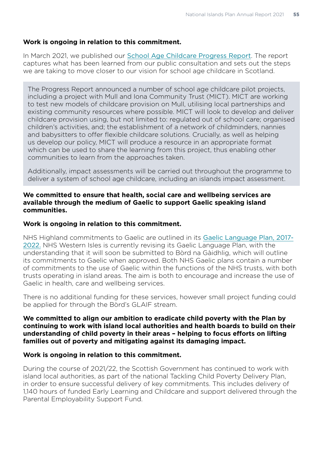## **Work is ongoing in relation to this commitment.**

In March 2021, we published our [School Age Childcare Progress Report](https://www.bing.com/newtabredir?url=https%3A%2F%2Fwww.gov.scot%2Fpublications%2Fschool-age-childcare-progress-report%2F). The report captures what has been learned from our public consultation and sets out the steps we are taking to move closer to our vision for school age childcare in Scotland.

The Progress Report announced a number of school age childcare pilot projects, including a project with Mull and Iona Community Trust (MICT). MICT are working to test new models of childcare provision on Mull, utilising local partnerships and existing community resources where possible. MICT will look to develop and deliver childcare provision using, but not limited to: regulated out of school care; organised children's activities, and; the establishment of a network of childminders, nannies and babysitters to offer flexible childcare solutions. Crucially, as well as helping us develop our policy, MICT will produce a resource in an appropriate format which can be used to share the learning from this project, thus enabling other communities to learn from the approaches taken.

Additionally, impact assessments will be carried out throughout the programme to deliver a system of school age childcare, including an islands impact assessment.

#### **We committed to ensure that health, social care and wellbeing services are available through the medium of Gaelic to support Gaelic speaking island communities.**

#### **Work is ongoing in relation to this commitment.**

NHS Highland commitments to Gaelic are outlined in its [Gaelic Language Plan, 2017-](https://www.nhshighland.scot.nhs.uk/Publications/Pages/GaelicLanguagePlan.aspx) [2022.](https://www.nhshighland.scot.nhs.uk/Publications/Pages/GaelicLanguagePlan.aspx) NHS Western Isles is currently revising its Gaelic Language Plan, with the understanding that it will soon be submitted to Bòrd na Gàidhlig, which will outline its commitments to Gaelic when approved. Both NHS Gaelic plans contain a number of commitments to the use of Gaelic within the functions of the NHS trusts, with both trusts operating in island areas. The aim is both to encourage and increase the use of Gaelic in health, care and wellbeing services.

There is no additional funding for these services, however small project funding could be applied for through the Bòrd's GLAIF stream.

## **We committed to align our ambition to eradicate child poverty with the Plan by continuing to work with island local authorities and health boards to build on their understanding of child poverty in their areas – helping to focus efforts on lifting families out of poverty and mitigating against its damaging impact.**

#### **Work is ongoing in relation to this commitment.**

During the course of 2021/22, the Scottish Government has continued to work with island local authorities, as part of the national Tackling Child Poverty Delivery Plan, in order to ensure successful delivery of key commitments. This includes delivery of 1,140 hours of funded Early Learning and Childcare and support delivered through the Parental Employability Support Fund.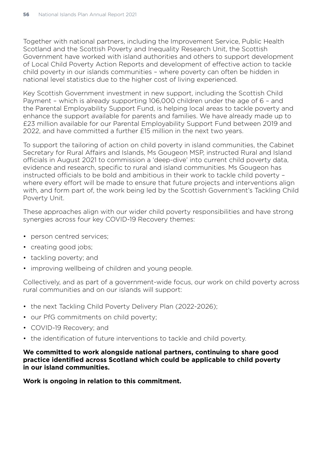Together with national partners, including the Improvement Service, Public Health Scotland and the Scottish Poverty and Inequality Research Unit, the Scottish Government have worked with island authorities and others to support development of Local Child Poverty Action Reports and development of effective action to tackle child poverty in our islands communities – where poverty can often be hidden in national level statistics due to the higher cost of living experienced.

Key Scottish Government investment in new support, including the Scottish Child Payment – which is already supporting 106,000 children under the age of 6 – and the Parental Employability Support Fund, is helping local areas to tackle poverty and enhance the support available for parents and families. We have already made up to £23 million available for our Parental Employability Support Fund between 2019 and 2022, and have committed a further £15 million in the next two years.

To support the tailoring of action on child poverty in island communities, the Cabinet Secretary for Rural Affairs and Islands, Ms Gougeon MSP, instructed Rural and Island officials in August 2021 to commission a 'deep-dive' into current child poverty data, evidence and research, specific to rural and island communities. Ms Gougeon has instructed officials to be bold and ambitious in their work to tackle child poverty – where every effort will be made to ensure that future projects and interventions align with, and form part of, the work being led by the Scottish Government's Tackling Child Poverty Unit.

These approaches align with our wider child poverty responsibilities and have strong synergies across four key COVID-19 Recovery themes:

- person centred services;
- creating good jobs:
- tackling poverty; and
- improving wellbeing of children and young people.

Collectively, and as part of a government-wide focus, our work on child poverty across rural communities and on our islands will support:

- the next Tackling Child Poverty Delivery Plan (2022-2026);
- our PfG commitments on child poverty;
- COVID-19 Recovery; and
- the identification of future interventions to tackle and child poverty.

**We committed to work alongside national partners, continuing to share good practice identified across Scotland which could be applicable to child poverty in our island communities.** 

**Work is ongoing in relation to this commitment.**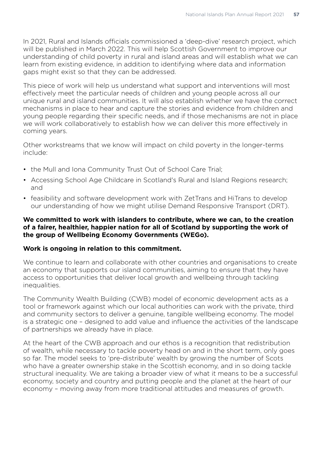In 2021, Rural and Islands officials commissioned a 'deep-dive' research project, which will be published in March 2022. This will help Scottish Government to improve our understanding of child poverty in rural and island areas and will establish what we can learn from existing evidence, in addition to identifying where data and information gaps might exist so that they can be addressed.

This piece of work will help us understand what support and interventions will most effectively meet the particular needs of children and young people across all our unique rural and island communities. It will also establish whether we have the correct mechanisms in place to hear and capture the stories and evidence from children and young people regarding their specific needs, and if those mechanisms are not in place we will work collaboratively to establish how we can deliver this more effectively in coming years.

Other workstreams that we know will impact on child poverty in the longer-terms include:

- the Mull and Iona Community Trust Out of School Care Trial;
- Accessing School Age Childcare in Scotland's Rural and Island Regions research; and
- feasibility and software development work with ZetTrans and HiTrans to develop our understanding of how we might utilise Demand Responsive Transport (DRT).

## **We committed to work with islanders to contribute, where we can, to the creation of a fairer, healthier, happier nation for all of Scotland by supporting the work of the group of Wellbeing Economy Governments (WEGo).**

#### **Work is ongoing in relation to this commitment.**

We continue to learn and collaborate with other countries and organisations to create an economy that supports our island communities, aiming to ensure that they have access to opportunities that deliver local growth and wellbeing through tackling inequalities.

The Community Wealth Building (CWB) model of economic development acts as a tool or framework against which our local authorities can work with the private, third and community sectors to deliver a genuine, tangible wellbeing economy. The model is a strategic one – designed to add value and influence the activities of the landscape of partnerships we already have in place.

At the heart of the CWB approach and our ethos is a recognition that redistribution of wealth, while necessary to tackle poverty head on and in the short term, only goes so far. The model seeks to 'pre-distribute' wealth by growing the number of Scots who have a greater ownership stake in the Scottish economy, and in so doing tackle structural inequality. We are taking a broader view of what it means to be a successful economy, society and country and putting people and the planet at the heart of our economy – moving away from more traditional attitudes and measures of growth.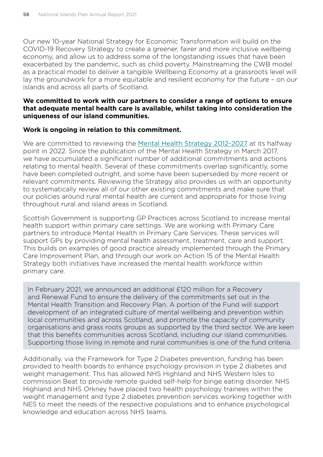Our new 10-year National Strategy for Economic Transformation will build on the COVID-19 Recovery Strategy to create a greener, fairer and more inclusive wellbeing economy, and allow us to address some of the longstanding issues that have been exacerbated by the pandemic, such as child poverty. Mainstreaming the CWB model as a practical model to deliver a tangible Wellbeing Economy at a grassroots level will lay the groundwork for a more equitable and resilient economy for the future – on our islands and across all parts of Scotland.

## **We committed to work with our partners to consider a range of options to ensure that adequate mental health care is available, whilst taking into consideration the uniqueness of our island communities.**

#### **Work is ongoing in relation to this commitment.**

We are committed to reviewing the [Mental Health Strategy 2012-2027](https://www.gov.scot/publications/mental-health-strategy-2017-2027/) at its halfway point in 2022. Since the publication of the Mental Health Strategy in March 2017, we have accumulated a significant number of additional commitments and actions relating to mental health. Several of these commitments overlap significantly, some have been completed outright, and some have been superseded by more recent or relevant commitments. Reviewing the Strategy also provides us with an opportunity to systematically review all of our other existing commitments and make sure that our policies around rural mental health are current and appropriate for those living throughout rural and island areas in Scotland.

Scottish Government is supporting GP Practices across Scotland to increase mental health support within primary care settings. We are working with Primary Care partners to introduce Mental Health in Primary Care Services. These services will support GPs by providing mental health assessment, treatment, care and support. This builds on examples of good practice already implemented through the Primary Care Improvement Plan, and through our work on Action 15 of the Mental Health Strategy both initiatives have increased the mental health workforce within primary care.

In February 2021, we announced an additional £120 million for a Recovery and Renewal Fund to ensure the delivery of the commitments set out in the Mental Health Transition and Recovery Plan. A portion of the Fund will support development of an integrated culture of mental wellbeing and prevention within local communities and across Scotland, and promote the capacity of community organisations and grass roots groups as supported by the third sector. We are keen that this benefits communities across Scotland, including our island communities. Supporting those living in remote and rural communities is one of the fund criteria.

Additionally, via the Framework for Type 2 Diabetes prevention, funding has been provided to health boards to enhance psychology provision in type 2 diabetes and weight management. This has allowed NHS Highland and NHS Western Isles to commission Beat to provide remote guided self-help for binge eating disorder. NHS Highland and NHS Orkney have placed two health psychology trainees within the weight management and type 2 diabetes prevention services working together with NES to meet the needs of the respective populations and to enhance psychological knowledge and education across NHS teams.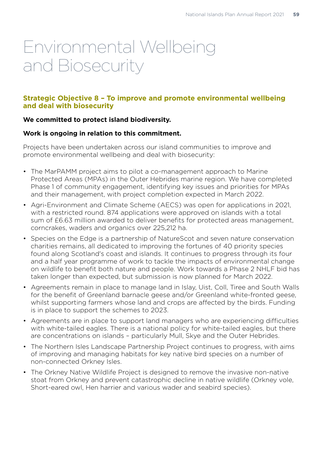## Environmental Wellbeing and Biosecurity

## **Strategic Objective 8 – To improve and promote environmental wellbeing and deal with biosecurity**

## **We committed to protect island biodiversity.**

## **Work is ongoing in relation to this commitment.**

Projects have been undertaken across our island communities to improve and promote environmental wellbeing and deal with biosecurity:

- The MarPAMM project aims to pilot a co-management approach to Marine Protected Areas (MPAs) in the Outer Hebrides marine region. We have completed Phase 1 of community engagement, identifying key issues and priorities for MPAs and their management, with project completion expected in March 2022.
- Agri-Environment and Climate Scheme (AECS) was open for applications in 2021, with a restricted round. 874 applications were approved on islands with a total sum of £6.63 million awarded to deliver benefits for protected areas management, corncrakes, waders and organics over 225,212 ha.
- Species on the Edge is a partnership of NatureScot and seven nature conservation charities remains, all dedicated to improving the fortunes of 40 priority species found along Scotland's coast and islands. It continues to progress through its four and a half year programme of work to tackle the impacts of environmental change on wildlife to benefit both nature and people. Work towards a Phase 2 NHLF bid has taken longer than expected, but submission is now planned for March 2022.
- Agreements remain in place to manage land in Islay, Uist, Coll, Tiree and South Walls for the benefit of Greenland barnacle geese and/or Greenland white-fronted geese, whilst supporting farmers whose land and crops are affected by the birds. Funding is in place to support the schemes to 2023.
- Agreements are in place to support land managers who are experiencing difficulties with white-tailed eagles. There is a national policy for white-tailed eagles, but there are concentrations on islands – particularly Mull, Skye and the Outer Hebrides.
- The Northern Isles Landscape Partnership Project continues to progress, with aims of improving and managing habitats for key native bird species on a number of non-connected Orkney Isles.
- The Orkney Native Wildlife Project is designed to remove the invasive non-native stoat from Orkney and prevent catastrophic decline in native wildlife (Orkney vole, Short-eared owl, Hen harrier and various wader and seabird species).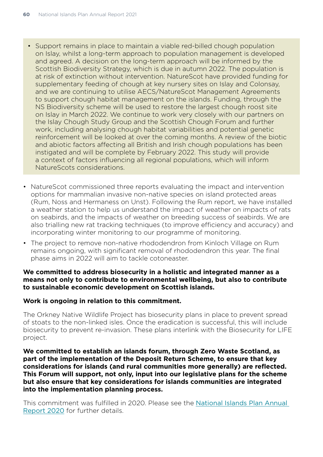- Support remains in place to maintain a viable red-billed chough population on Islay, whilst a long-term approach to population management is developed and agreed. A decision on the long-term approach will be informed by the Scottish Biodiversity Strategy, which is due in autumn 2022. The population is at risk of extinction without intervention. NatureScot have provided funding for supplementary feeding of chough at key nursery sites on Islay and Colonsay, and we are continuing to utilise AECS/NatureScot Management Agreements to support chough habitat management on the islands. Funding, through the NS Biodiversity scheme will be used to restore the largest chough roost site on Islay in March 2022. We continue to work very closely with our partners on the Islay Chough Study Group and the Scottish Chough Forum and further work, including analysing chough habitat variabilities and potential genetic reinforcement will be looked at over the coming months. A review of the biotic and abiotic factors affecting all British and Irish chough populations has been instigated and will be complete by February 2022. This study will provide a context of factors influencing all regional populations, which will inform NatureScots considerations.
- NatureScot commissioned three reports evaluating the impact and intervention options for mammalian invasive non-native species on island protected areas (Rum, Noss and Hermaness on Unst). Following the Rum report, we have installed a weather station to help us understand the impact of weather on impacts of rats on seabirds, and the impacts of weather on breeding success of seabirds. We are also trialling new rat tracking techniques (to improve efficiency and accuracy) and incorporating winter monitoring to our programme of monitoring.
- The project to remove non-native rhododendron from Kinloch Village on Rum remains ongoing, with significant removal of rhododendron this year. The final phase aims in 2022 will aim to tackle cotoneaster.

## **We committed to address biosecurity in a holistic and integrated manner as a means not only to contribute to environmental wellbeing, but also to contribute to sustainable economic development on Scottish islands.**

## **Work is ongoing in relation to this commitment.**

The Orkney Native Wildlife Project has biosecurity plans in place to prevent spread of stoats to the non-linked isles. Once the eradication is successful, this will include biosecurity to prevent re-invasion. These plans interlink with the Biosecurity for LIFE project.

**We committed to establish an islands forum, through Zero Waste Scotland, as part of the implementation of the Deposit Return Scheme, to ensure that key considerations for islands (and rural communities more generally) are reflected. This Forum will support, not only, input into our legislative plans for the scheme but also ensure that key considerations for islands communities are integrated into the implementation planning process.** 

This commitment was fulfilled in 2020. Please see the [National Islands Plan Annual](https://www.gov.scot/publications/national-islands-plan-annual-report-2020/)  [Report 2020](https://www.gov.scot/publications/national-islands-plan-annual-report-2020/) for further details.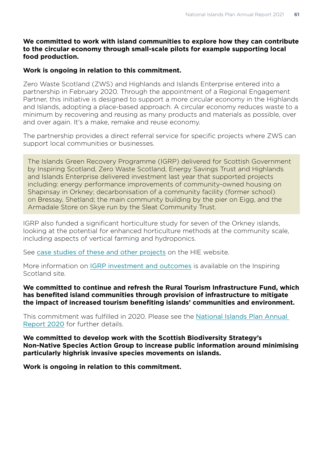## **We committed to work with island communities to explore how they can contribute to the circular economy through small-scale pilots for example supporting local food production.**

## **Work is ongoing in relation to this commitment.**

Zero Waste Scotland (ZWS) and Highlands and Islands Enterprise entered into a partnership in February 2020. Through the appointment of a Regional Engagement Partner, this initiative is designed to support a more circular economy in the Highlands and Islands, adopting a place-based approach. A circular economy reduces waste to a minimum by recovering and reusing as many products and materials as possible, over and over again. It's a make, remake and reuse economy.

The partnership provides a direct referral service for specific projects where ZWS can support local communities or businesses.

The Islands Green Recovery Programme (IGRP) delivered for Scottish Government by Inspiring Scotland, Zero Waste Scotland, Energy Savings Trust and Highlands and Islands Enterprise delivered investment last year that supported projects including: energy performance improvements of community-owned housing on Shapinsay in Orkney; decarbonisation of a community facility (former school) on Bressay, Shetland; the main community building by the pier on Eigg, and the Armadale Store on Skye run by the Sleat Community Trust.

IGRP also funded a significant horticulture study for seven of the Orkney islands, looking at the potential for enhanced horticulture methods at the community scale, including aspects of vertical farming and hydroponics.

See [case studies of these and other projects](https://www.hie.co.uk/our-region/casestudies/igrp/) on the HIE website.

More information on [IGRP investment and outcomes](https://eur02.safelinks.protection.outlook.com/?url=https%3A%2F%2Fwww.inspiringscotland.org.uk%2Fpublication%2Fislands-green-recovery-programme-summary%2F&data=04%7C01%7Ccorporate.relations%40hient.co.uk%7C3afcbb8e4af7462cb60008d9e0df8b2a%7C42cd146c1e204d8b8df0e184bb9a0994%7C0%7C0%7C637788072974173610%7CUnknown%7CTWFpbGZsb3d8eyJWIjoiMC4wLjAwMDAiLCJQIjoiV2luMzIiLCJBTiI6Ik1haWwiLCJXVCI6Mn0%3D%7C3000&sdata=mVL2OzvurD1ekRyrKhd6jNDF%2BB1Y2qCnSMAWTj6qE%2FQ%3D&reserved=0) is available on the Inspiring Scotland site.

#### **We committed to continue and refresh the Rural Tourism Infrastructure Fund, which has benefited island communities through provision of infrastructure to mitigate the impact of increased tourism benefiting islands' communities and environment.**

This commitment was fulfilled in 2020. Please see the [National Islands Plan Annual](https://www.gov.scot/publications/national-islands-plan-annual-report-2020/)  [Report 2020](https://www.gov.scot/publications/national-islands-plan-annual-report-2020/) for further details.

**We committed to develop work with the Scottish Biodiversity Strategy's Non-Native Species Action Group to increase public information around minimising particularly highrisk invasive species movements on islands.** 

**Work is ongoing in relation to this commitment.**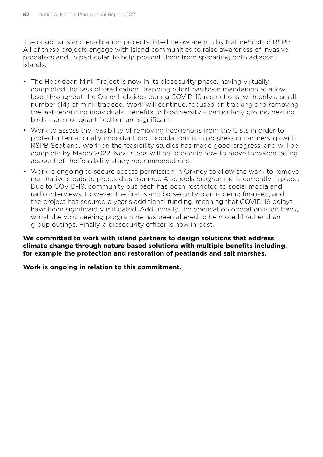The ongoing island eradication projects listed below are run by NatureScot or RSPB. All of these projects engage with island communities to raise awareness of invasive predators and, in particular, to help prevent them from spreading onto adjacent islands:

- The Hebridean Mink Project is now in its biosecurity phase, having virtually completed the task of eradication. Trapping effort has been maintained at a low level throughout the Outer Hebrides during COVID-19 restrictions, with only a small number (14) of mink trapped. Work will continue, focused on tracking and removing the last remaining individuals. Benefits to biodiversity – particularly ground nesting birds – are not quantified but are significant.
- Work to assess the feasibility of removing hedgehogs from the Uists in order to protect internationally important bird populations is in progress in partnership with RSPB Scotland. Work on the feasibility studies has made good progress, and will be complete by March 2022. Next steps will be to decide how to move forwards taking account of the feasibility study recommendations.
- Work is ongoing to secure access permission in Orkney to allow the work to remove non-native stoats to proceed as planned. A schools programme is currently in place. Due to COVID-19, community outreach has been restricted to social media and radio interviews. However, the first island biosecurity plan is being finalised, and the project has secured a year's additional funding, meaning that COVID-19 delays have been significantly mitigated. Additionally, the eradication operation is on track, whilst the volunteering programme has been altered to be more 1:1 rather than group outings. Finally, a biosecurity officer is now in post.

**We committed to work with island partners to design solutions that address climate change through nature based solutions with multiple benefits including, for example the protection and restoration of peatlands and salt marshes.** 

**Work is ongoing in relation to this commitment.**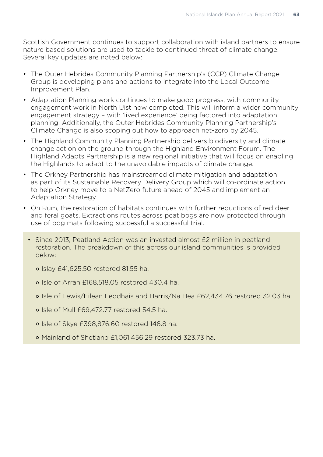Scottish Government continues to support collaboration with island partners to ensure nature based solutions are used to tackle to continued threat of climate change. Several key updates are noted below:

- The Outer Hebrides Community Planning Partnership's (CCP) Climate Change Group is developing plans and actions to integrate into the Local Outcome Improvement Plan.
- Adaptation Planning work continues to make good progress, with community engagement work in North Uist now completed. This will inform a wider community engagement strategy – with 'lived experience' being factored into adaptation planning. Additionally, the Outer Hebrides Community Planning Partnership's Climate Change is also scoping out how to approach net-zero by 2045.
- The Highland Community Planning Partnership delivers biodiversity and climate change action on the ground through the Highland Environment Forum. The Highland Adapts Partnership is a new regional initiative that will focus on enabling the Highlands to adapt to the unavoidable impacts of climate change.
- The Orkney Partnership has mainstreamed climate mitigation and adaptation as part of its Sustainable Recovery Delivery Group which will co-ordinate action to help Orkney move to a NetZero future ahead of 2045 and implement an Adaptation Strategy.
- On Rum, the restoration of habitats continues with further reductions of red deer and feral goats. Extractions routes across peat bogs are now protected through use of bog mats following successful a successful trial.
	- Since 2013, Peatland Action was an invested almost £2 million in peatland restoration. The breakdown of this across our island communities is provided below:
		- ° Islay £41,625.50 restored 81.55 ha.
		- ° Isle of Arran £168,518.05 restored 430.4 ha.
		- ° Isle of Lewis/Eilean Leodhais and Harris/Na Hea £62,434.76 restored 32.03 ha.
		- ° Isle of Mull £69,472.77 restored 54.5 ha.
		- ° Isle of Skye £398,876.60 restored 146.8 ha.
		- ° Mainland of Shetland £1,061,456.29 restored 323.73 ha.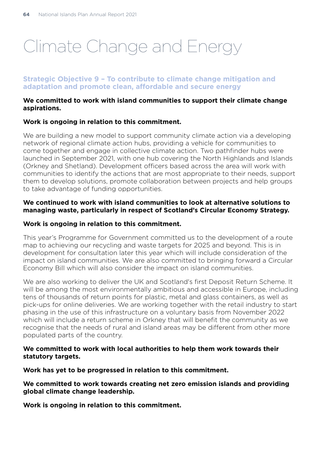## Climate Change and Energy

## **Strategic Objective 9 – To contribute to climate change mitigation and adaptation and promote clean, affordable and secure energy**

#### **We committed to work with island communities to support their climate change aspirations.**

## **Work is ongoing in relation to this commitment.**

We are building a new model to support community climate action via a developing network of regional climate action hubs, providing a vehicle for communities to come together and engage in collective climate action. Two pathfinder hubs were launched in September 2021, with one hub covering the North Highlands and Islands (Orkney and Shetland). Development officers based across the area will work with communities to identify the actions that are most appropriate to their needs, support them to develop solutions, promote collaboration between projects and help groups to take advantage of funding opportunities.

#### **We continued to work with island communities to look at alternative solutions to managing waste, particularly in respect of Scotland's Circular Economy Strategy.**

## **Work is ongoing in relation to this commitment.**

This year's Programme for Government committed us to the development of a route map to achieving our recycling and waste targets for 2025 and beyond. This is in development for consultation later this year which will include consideration of the impact on island communities. We are also committed to bringing forward a Circular Economy Bill which will also consider the impact on island communities.

We are also working to deliver the UK and Scotland's first Deposit Return Scheme. It will be among the most environmentally ambitious and accessible in Europe, including tens of thousands of return points for plastic, metal and glass containers, as well as pick-ups for online deliveries. We are working together with the retail industry to start phasing in the use of this infrastructure on a voluntary basis from November 2022 which will include a return scheme in Orkney that will benefit the community as we recognise that the needs of rural and island areas may be different from other more populated parts of the country.

## **We committed to work with local authorities to help them work towards their statutory targets.**

**Work has yet to be progressed in relation to this commitment.**

**We committed to work towards creating net zero emission islands and providing global climate change leadership.** 

**Work is ongoing in relation to this commitment.**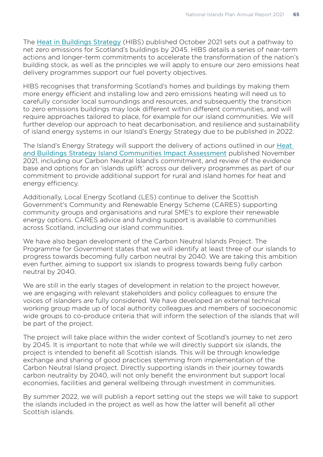The [Heat in Buildings Strategy](https://www.gov.scot/publications/heat-buildings-strategy-achieving-net-zero-emissions-scotlands-buildings/) (HIBS) published October 2021 sets out a pathway to net zero emissions for Scotland's buildings by 2045. HIBS details a series of near-term actions and longer-term commitments to accelerate the transformation of the nation's building stock, as well as the principles we will apply to ensure our zero emissions heat delivery programmes support our fuel poverty objectives.

HIBS recognises that transforming Scotland's homes and buildings by making them more energy efficient and installing low and zero emissions heating will need us to carefully consider local surroundings and resources, and subsequently the transition to zero emissions buildings may look different within different communities, and will require approaches tailored to place, for example for our island communities. We will further develop our approach to heat decarbonisation, and resilience and sustainability of island energy systems in our Island's Energy Strategy due to be published in 2022.

The Island's Energy Strategy will support the delivery of actions outlined in our [Heat](https://www.gov.scot/publications/heat-buildings-strategy-island-communities-impact-assessment/)  [and Buildings Strategy Island Communities Impact Assessment](https://www.gov.scot/publications/heat-buildings-strategy-island-communities-impact-assessment/) published November 2021, including our Carbon Neutral Island's commitment, and review of the evidence base and options for an 'islands uplift' across our delivery programmes as part of our commitment to provide additional support for rural and island homes for heat and energy efficiency.

Additionally, Local Energy Scotland (LES) continue to deliver the Scottish Government's Community and Renewable Energy Scheme (CARES) supporting community groups and organisations and rural SME's to explore their renewable energy options. CARES advice and funding support is available to communities across Scotland, including our island communities.

We have also began development of the Carbon Neutral Islands Project. The Programme for Government states that we will identify at least three of our islands to progress towards becoming fully carbon neutral by 2040. We are taking this ambition even further, aiming to support six islands to progress towards being fully carbon neutral by 2040.

We are still in the early stages of development in relation to the project however. we are engaging with relevant stakeholders and policy colleagues to ensure the voices of islanders are fully considered. We have developed an external technical working group made up of local authority colleagues and members of socioeconomic wide groups to co-produce criteria that will inform the selection of the islands that will be part of the project.

The project will take place within the wider context of Scotland's journey to net zero by 2045. It is important to note that while we will directly support six islands, the project is intended to benefit all Scottish islands. This will be through knowledge exchange and sharing of good practices stemming from implementation of the Carbon Neutral Island project. Directly supporting islands in their journey towards carbon neutrality by 2040, will not only benefit the environment but support local economies, facilities and general wellbeing through investment in communities.

By summer 2022, we will publish a report setting out the steps we will take to support the islands included in the project as well as how the latter will benefit all other Scottish islands.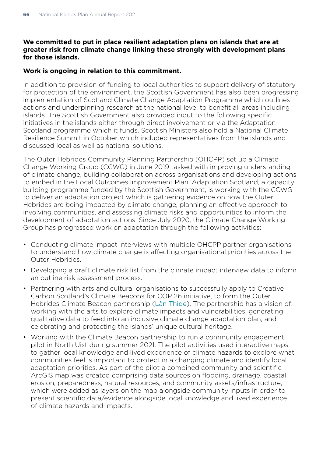## **We committed to put in place resilient adaptation plans on islands that are at greater risk from climate change linking these strongly with development plans for those islands.**

## **Work is ongoing in relation to this commitment.**

In addition to provision of funding to local authorities to support delivery of statutory for protection of the environment, the Scottish Government has also been progressing implementation of Scotland Climate Change Adaptation Programme which outlines actions and underpinning research at the national level to benefit all areas including islands. The Scottish Government also provided input to the following specific initiatives in the islands either through direct involvement or via the Adaptation Scotland programme which it funds. Scottish Ministers also held a National Climate Resilience Summit in October which included representatives from the islands and discussed local as well as national solutions.

The Outer Hebrides Community Planning Partnership (OHCPP) set up a Climate Change Working Group (CCWG) in June 2019 tasked with improving understanding of climate change, building collaboration across organisations and developing actions to embed in the Local Outcomes Improvement Plan. Adaptation Scotland, a capacity building programme funded by the Scottish Government, is working with the CCWG to deliver an adaptation project which is gathering evidence on how the Outer Hebrides are being impacted by climate change, planning an effective approach to involving communities, and assessing climate risks and opportunities to inform the development of adaptation actions. Since July 2020, the Climate Change Working Group has progressed work on adaptation through the following activities:

- Conducting climate impact interviews with multiple OHCPP partner organisations to understand how climate change is affecting organisational priorities across the Outer Hebrides.
- Developing a draft climate risk list from the climate impact interview data to inform an outline risk assessment process.
- Partnering with arts and cultural organisations to successfully apply to Creative Carbon Scotland's Climate Beacons for COP 26 initiative, to form the Outer Hebrides Climate Beacon partnership ([Làn Thìde](https://lanthide.org/)). The partnership has a vision of: working with the arts to explore climate impacts and vulnerabilities; generating qualitative data to feed into an inclusive climate change adaptation plan; and celebrating and protecting the islands' unique cultural heritage.
- Working with the Climate Beacon partnership to run a community engagement pilot in North Uist during summer 2021. The pilot activities used interactive maps to gather local knowledge and lived experience of climate hazards to explore what communities feel is important to protect in a changing climate and identify local adaptation priorities. As part of the pilot a combined community and scientific ArcGIS map was created comprising data sources on flooding, drainage, coastal erosion, preparedness, natural resources, and community assets/infrastructure, which were added as layers on the map alongside community inputs in order to present scientific data/evidence alongside local knowledge and lived experience of climate hazards and impacts.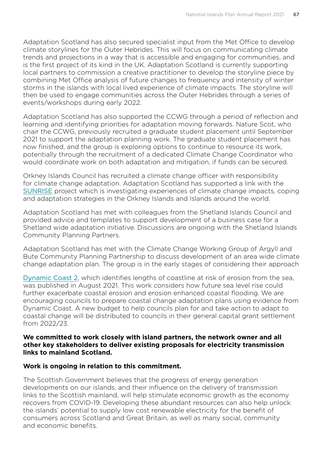Adaptation Scotland has also secured specialist input from the Met Office to develop climate storylines for the Outer Hebrides. This will focus on communicating climate trends and projections in a way that is accessible and engaging for communities, and is the first project of its kind in the UK. Adaptation Scotland is currently supporting local partners to commission a creative practitioner to develop the storyline piece by combining Met Office analysis of future changes to frequency and intensity of winter storms in the islands with local lived experience of climate impacts. The storyline will then be used to engage communities across the Outer Hebrides through a series of events/workshops during early 2022.

Adaptation Scotland has also supported the CCWG through a period of reflection and learning and identifying priorities for adaptation moving forwards. Nature Scot, who chair the CCWG, previously recruited a graduate student placement until September 2021 to support the adaptation planning work. The graduate student placement has now finished, and the group is exploring options to continue to resource its work, potentially through the recruitment of a dedicated Climate Change Coordinator who would coordinate work on both adaptation and mitigation, if funds can be secured.

Orkney Islands Council has recruited a climate change officer with responsibility for climate change adaptation. Adaptation Scotland has supported a link with the [SUNRISE](https://www.bbk.ac.uk/research/networks/situated-understanding-of-resilience-in-island-societies-and-environments) project which is investigating experiences of climate change impacts, coping and adaptation strategies in the Orkney Islands and Islands around the world.

Adaptation Scotland has met with colleagues from the Shetland Islands Council and provided advice and templates to support development of a business case for a Shetland wide adaptation initiative. Discussions are ongoing with the Shetland Islands Community Planning Partners.

Adaptation Scotland has met with the Climate Change Working Group of Argyll and Bute Community Planning Partnership to discuss development of an area wide climate change adaptation plan. The group is in the early stages of considering their approach

[Dynamic Coast 2](https://www.dynamiccoast.com/), which identifies lengths of coastline at risk of erosion from the sea, was published in August 2021. This work considers how future sea level rise could further exacerbate coastal erosion and erosion enhanced coastal flooding. We are encouraging councils to prepare coastal change adaptation plans using evidence from Dynamic Coast. A new budget to help councils plan for and take action to adapt to coastal change will be distributed to councils in their general capital grant settlement from 2022/23.

#### **We committed to work closely with island partners, the network owner and all other key stakeholders to deliver existing proposals for electricity transmission links to mainland Scotland.**

#### **Work is ongoing in relation to this commitment.**

The Scottish Government believes that the progress of energy generation developments on our islands, and their influence on the delivery of transmission links to the Scottish mainland, will help stimulate economic growth as the economy recovers from COVID-19. Developing these abundant resources can also help unlock the islands' potential to supply low cost renewable electricity for the benefit of consumers across Scotland and Great Britain, as well as many social, community and economic benefits.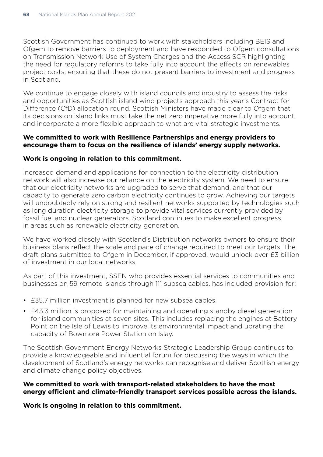Scottish Government has continued to work with stakeholders including BEIS and Ofgem to remove barriers to deployment and have responded to Ofgem consultations on Transmission Network Use of System Charges and the Access SCR highlighting the need for regulatory reforms to take fully into account the effects on renewables project costs, ensuring that these do not present barriers to investment and progress in Scotland.

We continue to engage closely with island councils and industry to assess the risks and opportunities as Scottish island wind projects approach this year's Contract for Difference (CfD) allocation round. Scottish Ministers have made clear to Ofgem that its decisions on island links must take the net zero imperative more fully into account, and incorporate a more flexible approach to what are vital strategic investments.

## **We committed to work with Resilience Partnerships and energy providers to encourage them to focus on the resilience of islands' energy supply networks.**

#### **Work is ongoing in relation to this commitment.**

Increased demand and applications for connection to the electricity distribution network will also increase our reliance on the electricity system. We need to ensure that our electricity networks are upgraded to serve that demand, and that our capacity to generate zero carbon electricity continues to grow. Achieving our targets will undoubtedly rely on strong and resilient networks supported by technologies such as long duration electricity storage to provide vital services currently provided by fossil fuel and nuclear generators. Scotland continues to make excellent progress in areas such as renewable electricity generation.

We have worked closely with Scotland's Distribution networks owners to ensure their business plans reflect the scale and pace of change required to meet our targets. The draft plans submitted to Ofgem in December, if approved, would unlock over £3 billion of investment in our local networks.

As part of this investment, SSEN who provides essential services to communities and businesses on 59 remote islands through 111 subsea cables, has included provision for:

- £35.7 million investment is planned for new subsea cables.
- £43.3 million is proposed for maintaining and operating standby diesel generation for island communities at seven sites. This includes replacing the engines at Battery Point on the Isle of Lewis to improve its environmental impact and uprating the capacity of Bowmore Power Station on Islay.

The Scottish Government Energy Networks Strategic Leadership Group continues to provide a knowledgeable and influential forum for discussing the ways in which the development of Scotland's energy networks can recognise and deliver Scottish energy and climate change policy objectives.

#### **We committed to work with transport-related stakeholders to have the most energy efficient and climate-friendly transport services possible across the islands.**

**Work is ongoing in relation to this commitment.**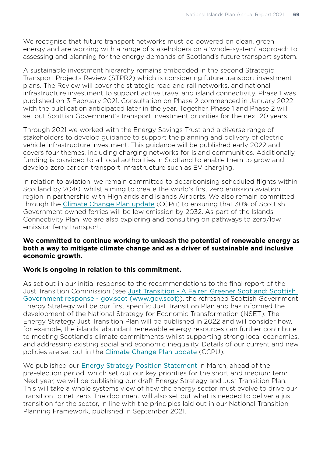We recognise that future transport networks must be powered on clean, green energy and are working with a range of stakeholders on a 'whole-system' approach to assessing and planning for the energy demands of Scotland's future transport system.

A sustainable investment hierarchy remains embedded in the second Strategic Transport Projects Review (STPR2) which is considering future transport investment plans. The Review will cover the strategic road and rail networks, and national infrastructure investment to support active travel and island connectivity. Phase 1 was published on 3 February 2021. Consultation on Phase 2 commenced in January 2022 with the publication anticipated later in the year. Together, Phase 1 and Phase 2 will set out Scottish Government's transport investment priorities for the next 20 years.

Through 2021 we worked with the Energy Savings Trust and a diverse range of stakeholders to develop guidance to support the planning and delivery of electric vehicle infrastructure investment. This guidance will be published early 2022 and covers four themes, including charging networks for island communities. Additionally, funding is provided to all local authorities in Scotland to enable them to grow and develop zero carbon transport infrastructure such as EV charging.

In relation to aviation, we remain committed to decarbonising scheduled flights within Scotland by 2040, whilst aiming to create the world's first zero emission aviation region in partnership with Highlands and Islands Airports. We also remain committed through the [Climate Change Plan update](https://www.gov.scot/publications/securing-green-recovery-path-net-zero-update-climate-change-plan-20182032/documents/) (CCPu) to ensuring that 30% of Scottish Government owned ferries will be low emission by 2032. As part of the Islands Connectivity Plan, we are also exploring and consulting on pathways to zero/low emission ferry transport.

#### **We committed to continue working to unleash the potential of renewable energy as both a way to mitigate climate change and as a driver of sustainable and inclusive economic growth.**

#### **Work is ongoing in relation to this commitment.**

As set out in our initial response to the recommendations to the final report of the Just Transition Commission (see [Just Transition - A Fairer, Greener Scotland: Scottish](https://www.gov.scot/publications/transition-fairer-greener-scotland/pages/5/)  [Government response - gov.scot \(www.gov.scot\)](https://www.gov.scot/publications/transition-fairer-greener-scotland/pages/5/)), the refreshed Scottish Government Energy Strategy will be our first specific Just Transition Plan and has informed the development of the National Strategy for Economic Transformation (NSET). The Energy Strategy Just Transition Plan will be published in 2022 and will consider how, for example, the islands' abundant renewable energy resources can further contribute to meeting Scotland's climate commitments whilst supporting strong local economies, and addressing existing social and economic inequality. Details of our current and new policies are set out in the [Climate Change Plan update](https://www.gov.scot/publications/securing-green-recovery-path-net-zero-update-climate-change-plan-20182032/documents/) (CCPU).

We published our [Energy Strategy Position Statement](https://www.gov.scot/publications/scotlands-energy-strategy-position-statement/) in March, ahead of the pre-election period, which set out our key priorities for the short and medium term. Next year, we will be publishing our draft Energy Strategy and Just Transition Plan. This will take a whole systems view of how the energy sector must evolve to drive our transition to net zero. The document will also set out what is needed to deliver a just transition for the sector, in line with the principles laid out in our National Transition Planning Framework, published in September 2021.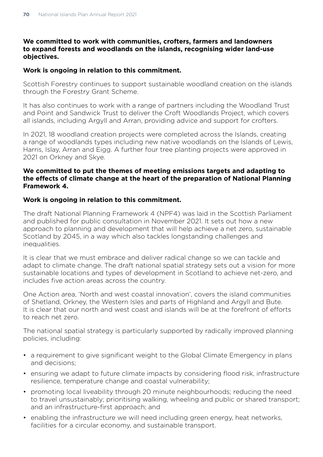## **We committed to work with communities, crofters, farmers and landowners to expand forests and woodlands on the islands, recognising wider land-use objectives.**

## **Work is ongoing in relation to this commitment.**

Scottish Forestry continues to support sustainable woodland creation on the islands through the Forestry Grant Scheme.

It has also continues to work with a range of partners including the Woodland Trust and Point and Sandwick Trust to deliver the Croft Woodlands Project, which covers all islands, including Argyll and Arran, providing advice and support for crofters.

In 2021, 18 woodland creation projects were completed across the Islands, creating a range of woodlands types including new native woodlands on the Islands of Lewis, Harris, Islay, Arran and Eigg. A further four tree planting projects were approved in 2021 on Orkney and Skye.

## **We committed to put the themes of meeting emissions targets and adapting to the effects of climate change at the heart of the preparation of National Planning Framework 4.**

## **Work is ongoing in relation to this commitment.**

The draft National Planning Framework 4 (NPF4) was laid in the Scottish Parliament and published for public consultation in November 2021. It sets out how a new approach to planning and development that will help achieve a net zero, sustainable Scotland by 2045, in a way which also tackles longstanding challenges and inequalities.

It is clear that we must embrace and deliver radical change so we can tackle and adapt to climate change. The draft national spatial strategy sets out a vision for more sustainable locations and types of development in Scotland to achieve net-zero, and includes five action areas across the country.

One Action area, 'North and west coastal innovation', covers the island communities of Shetland, Orkney, the Western Isles and parts of Highland and Argyll and Bute. It is clear that our north and west coast and islands will be at the forefront of efforts to reach net zero.

The national spatial strategy is particularly supported by radically improved planning policies, including:

- a requirement to give significant weight to the Global Climate Emergency in plans and decisions;
- ensuring we adapt to future climate impacts by considering flood risk, infrastructure resilience, temperature change and coastal vulnerability;
- promoting local liveability through 20 minute neighbourhoods; reducing the need to travel unsustainably; prioritising walking, wheeling and public or shared transport; and an infrastructure-first approach; and
- enabling the infrastructure we will need including green energy, heat networks, facilities for a circular economy, and sustainable transport.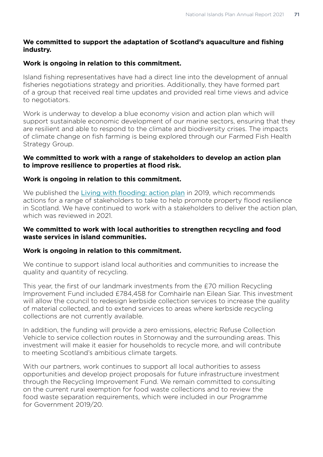## **We committed to support the adaptation of Scotland's aquaculture and fishing industry.**

## **Work is ongoing in relation to this commitment.**

Island fishing representatives have had a direct line into the development of annual fisheries negotiations strategy and priorities. Additionally, they have formed part of a group that received real time updates and provided real time views and advice to negotiators.

Work is underway to develop a blue economy vision and action plan which will support sustainable economic development of our marine sectors, ensuring that they are resilient and able to respond to the climate and biodiversity crises. The impacts of climate change on fish farming is being explored through our Farmed Fish Health Strategy Group.

#### **We committed to work with a range of stakeholders to develop an action plan to improve resilience to properties at flood risk.**

#### **Work is ongoing in relation to this commitment.**

We published the [Living with flooding: action plan](https://www.gov.scot/publications/living-flooding-action-plan-delivering-property-flood-resilience-scotland/) in 2019, which recommends actions for a range of stakeholders to take to help promote property flood resilience in Scotland. We have continued to work with a stakeholders to deliver the action plan, which was reviewed in 2021.

#### **We committed to work with local authorities to strengthen recycling and food waste services in island communities.**

#### **Work is ongoing in relation to this commitment.**

We continue to support island local authorities and communities to increase the quality and quantity of recycling.

This year, the first of our landmark investments from the £70 million Recycling Improvement Fund included £784,458 for Comhairle nan Eilean Siar. This investment will allow the council to redesign kerbside collection services to increase the quality of material collected, and to extend services to areas where kerbside recycling collections are not currently available.

In addition, the funding will provide a zero emissions, electric Refuse Collection Vehicle to service collection routes in Stornoway and the surrounding areas. This investment will make it easier for households to recycle more, and will contribute to meeting Scotland's ambitious climate targets.

With our partners, work continues to support all local authorities to assess opportunities and develop project proposals for future infrastructure investment through the Recycling Improvement Fund. We remain committed to consulting on the current rural exemption for food waste collections and to review the food waste separation requirements, which were included in our Programme for Government 2019/20.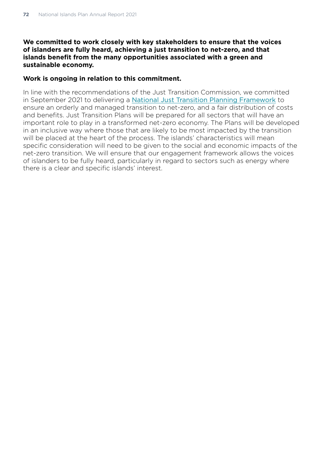#### **We committed to work closely with key stakeholders to ensure that the voices of islanders are fully heard, achieving a just transition to net-zero, and that islands benefit from the many opportunities associated with a green and sustainable economy.**

#### **Work is ongoing in relation to this commitment.**

In line with the recommendations of the Just Transition Commission, we committed in September 2021 to delivering a [National Just Transition Planning Framework](https://www.gov.scot/publications/transition-fairer-greener-scotland/pages/5/#:~:text=National%20Just%20Transition%20Planning%20Framework%20The%20Just%20Transition,rationale%20for%20establishing%20this%20Planning%20Framework%20is%20clear) to ensure an orderly and managed transition to net-zero, and a fair distribution of costs and benefits. Just Transition Plans will be prepared for all sectors that will have an important role to play in a transformed net-zero economy. The Plans will be developed in an inclusive way where those that are likely to be most impacted by the transition will be placed at the heart of the process. The islands' characteristics will mean specific consideration will need to be given to the social and economic impacts of the net-zero transition. We will ensure that our engagement framework allows the voices of islanders to be fully heard, particularly in regard to sectors such as energy where there is a clear and specific islands' interest.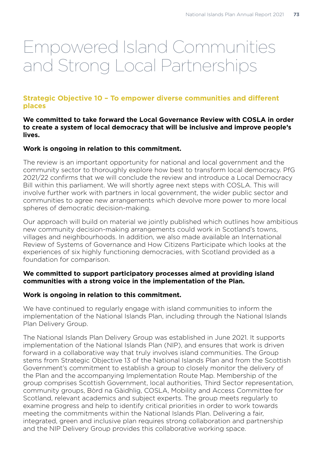# Empowered Island Communities and Strong Local Partnerships

# **Strategic Objective 10 – To empower diverse communities and different places**

#### **We committed to take forward the Local Governance Review with COSLA in order to create a system of local democracy that will be inclusive and improve people's lives.**

# **Work is ongoing in relation to this commitment.**

The review is an important opportunity for national and local government and the community sector to thoroughly explore how best to transform local democracy. PfG 2021/22 confirms that we will conclude the review and introduce a Local Democracy Bill within this parliament. We will shortly agree next steps with COSLA. This will involve further work with partners in local government, the wider public sector and communities to agree new arrangements which devolve more power to more local spheres of democratic decision-making.

Our approach will build on material we jointly published which outlines how ambitious new community decision-making arrangements could work in Scotland's towns, villages and neighbourhoods. In addition, we also made available an International Review of Systems of Governance and How Citizens Participate which looks at the experiences of six highly functioning democracies, with Scotland provided as a foundation for comparison.

#### **We committed to support participatory processes aimed at providing island communities with a strong voice in the implementation of the Plan.**

#### **Work is ongoing in relation to this commitment.**

We have continued to regularly engage with island communities to inform the implementation of the National Islands Plan, including through the National Islands Plan Delivery Group.

The National Islands Plan Delivery Group was established in June 2021. It supports implementation of the National Islands Plan (NIP), and ensures that work is driven forward in a collaborative way that truly involves island communities. The Group stems from Strategic Objective 13 of the National Islands Plan and from the Scottish Government's commitment to establish a group to closely monitor the delivery of the Plan and the accompanying Implementation Route Map. Membership of the group comprises Scottish Government, local authorities, Third Sector representation, community groups, Bòrd na Gàidhlig, COSLA, Mobility and Access Committee for Scotland, relevant academics and subject experts. The group meets regularly to examine progress and help to identify critical priorities in order to work towards meeting the commitments within the National Islands Plan. Delivering a fair, integrated, green and inclusive plan requires strong collaboration and partnership and the NIP Delivery Group provides this collaborative working space.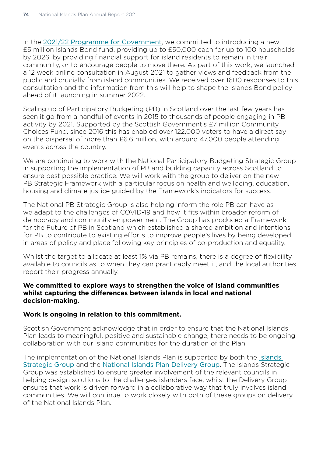In the [2021/22 Programme for Government](https://www.gov.scot/publications/fairer-greener-scotland-programme-government-2021-22/), we committed to introducing a new £5 million Islands Bond fund, providing up to £50,000 each for up to 100 households by 2026, by providing financial support for island residents to remain in their community, or to encourage people to move there. As part of this work, we launched a 12 week online consultation in August 2021 to gather views and feedback from the public and crucially from island communities. We received over 1600 responses to this consultation and the information from this will help to shape the Islands Bond policy ahead of it launching in summer 2022.

Scaling up of Participatory Budgeting (PB) in Scotland over the last few years has seen it go from a handful of events in 2015 to thousands of people engaging in PB activity by 2021. Supported by the Scottish Government's £7 million Community Choices Fund, since 2016 this has enabled over 122,000 voters to have a direct say on the dispersal of more than £6.6 million, with around 47,000 people attending events across the country.

We are continuing to work with the National Participatory Budgeting Strategic Group in supporting the implementation of PB and building capacity across Scotland to ensure best possible practice. We will work with the group to deliver on the new PB Strategic Framework with a particular focus on health and wellbeing, education, housing and climate justice guided by the Framework's indicators for success.

The National PB Strategic Group is also helping inform the role PB can have as we adapt to the challenges of COVID-19 and how it fits within broader reform of democracy and community empowerment. The Group has produced a Framework for the Future of PB in Scotland which established a shared ambition and intentions for PB to contribute to existing efforts to improve people's lives by being developed in areas of policy and place following key principles of co-production and equality.

Whilst the target to allocate at least 1% via PB remains, there is a degree of flexibility available to councils as to when they can practicably meet it, and the local authorities report their progress annually.

#### **We committed to explore ways to strengthen the voice of island communities whilst capturing the differences between islands in local and national decision-making.**

#### **Work is ongoing in relation to this commitment.**

Scottish Government acknowledge that in order to ensure that the National Islands Plan leads to meaningful, positive and sustainable change, there needs to be ongoing collaboration with our island communities for the duration of the Plan.

The implementation of the National Islands Plan is supported by both the [Islands](https://www.gov.scot/groups/islands-strategic-group/)  [Strategic Group](https://www.gov.scot/groups/islands-strategic-group/) and the [National Islands Plan Delivery Group](https://www.gov.scot/groups/national-islands-plan-delivery-group/). The Islands Strategic Group was established to ensure greater involvement of the relevant councils in helping design solutions to the challenges islanders face, whilst the Delivery Group ensures that work is driven forward in a collaborative way that truly involves island communities. We will continue to work closely with both of these groups on delivery of the National Islands Plan.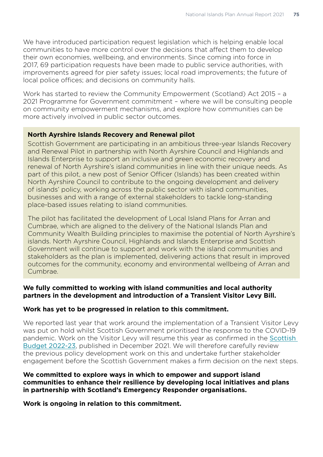We have introduced participation request legislation which is helping enable local communities to have more control over the decisions that affect them to develop their own economies, wellbeing, and environments. Since coming into force in 2017, 69 participation requests have been made to public service authorities, with improvements agreed for pier safety issues; local road improvements; the future of local police offices; and decisions on community halls.

Work has started to review the Community Empowerment (Scotland) Act 2015 – a 2021 Programme for Government commitment – where we will be consulting people on community empowerment mechanisms, and explore how communities can be more actively involved in public sector outcomes.

# **North Ayrshire Islands Recovery and Renewal pilot**

Scottish Government are participating in an ambitious three-year Islands Recovery and Renewal Pilot in partnership with North Ayrshire Council and Highlands and Islands Enterprise to support an inclusive and green economic recovery and renewal of North Ayrshire's island communities in line with their unique needs. As part of this pilot, a new post of Senior Officer (Islands) has been created within North Ayrshire Council to contribute to the ongoing development and delivery of islands' policy, working across the public sector with island communities, businesses and with a range of external stakeholders to tackle long-standing place-based issues relating to island communities.

The pilot has facilitated the development of Local Island Plans for Arran and Cumbrae, which are aligned to the delivery of the National Islands Plan and Community Wealth Building principles to maximise the potential of North Ayrshire's islands. North Ayrshire Council, Highlands and Islands Enterprise and Scottish Government will continue to support and work with the island communities and stakeholders as the plan is implemented, delivering actions that result in improved outcomes for the community, economy and environmental wellbeing of Arran and Cumbrae.

#### **We fully committed to working with island communities and local authority partners in the development and introduction of a Transient Visitor Levy Bill.**

#### **Work has yet to be progressed in relation to this commitment.**

We reported last year that work around the implementation of a Transient Visitor Levy was put on hold whilst Scottish Government prioritised the response to the COVID-19 pandemic. Work on the Visitor Levy will resume this year as confirmed in the Scottish [Budget 2022-23](https://www.gov.scot/publications/scottish-budget-2022-23/documents/), published in December 2021. We will therefore carefully review the previous policy development work on this and undertake further stakeholder engagement before the Scottish Government makes a firm decision on the next steps.

#### **We committed to explore ways in which to empower and support island communities to enhance their resilience by developing local initiatives and plans in partnership with Scotland's Emergency Responder organisations.**

**Work is ongoing in relation to this commitment.**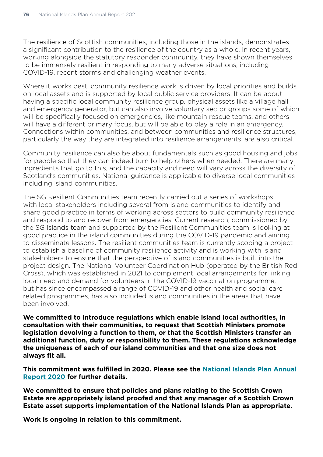The resilience of Scottish communities, including those in the islands, demonstrates a significant contribution to the resilience of the country as a whole. In recent years, working alongside the statutory responder community, they have shown themselves to be immensely resilient in responding to many adverse situations, including COVID-19, recent storms and challenging weather events.

Where it works best, community resilience work is driven by local priorities and builds on local assets and is supported by local public service providers. It can be about having a specific local community resilience group, physical assets like a village hall and emergency generator, but can also involve voluntary sector groups some of which will be specifically focused on emergencies, like mountain rescue teams, and others will have a different primary focus, but will be able to play a role in an emergency. Connections within communities, and between communities and resilience structures, particularly the way they are integrated into resilience arrangements, are also critical.

Community resilience can also be about fundamentals such as good housing and jobs for people so that they can indeed turn to help others when needed. There are many ingredients that go to this, and the capacity and need will vary across the diversity of Scotland's communities. National guidance is applicable to diverse local communities including island communities.

The SG Resilient Communities team recently carried out a series of workshops with local stakeholders including several from island communities to identify and share good practice in terms of working across sectors to build community resilience and respond to and recover from emergencies. Current research, commissioned by the SG Islands team and supported by the Resilient Communities team is looking at good practice in the island communities during the COVID-19 pandemic and aiming to disseminate lessons. The resilient communities team is currently scoping a project to establish a baseline of community resilience activity and is working with island stakeholders to ensure that the perspective of island communities is built into the project design. The National Volunteer Coordination Hub (operated by the British Red Cross), which was established in 2021 to complement local arrangements for linking local need and demand for volunteers in the COVID-19 vaccination programme, but has since encompassed a range of COVID-19 and other health and social care related programmes, has also included island communities in the areas that have been involved.

**We committed to introduce regulations which enable island local authorities, in consultation with their communities, to request that Scottish Ministers promote legislation devolving a function to them, or that the Scottish Ministers transfer an additional function, duty or responsibility to them. These regulations acknowledge the uniqueness of each of our island communities and that one size does not always fit all.** 

**This commitment was fulfilled in 2020. Please see the [National Islands Plan Annual](https://www.gov.scot/publications/national-islands-plan-annual-report-2020/)  [Report 2020](https://www.gov.scot/publications/national-islands-plan-annual-report-2020/) for further details.** 

**We committed to ensure that policies and plans relating to the Scottish Crown Estate are appropriately island proofed and that any manager of a Scottish Crown Estate asset supports implementation of the National Islands Plan as appropriate.** 

**Work is ongoing in relation to this commitment.**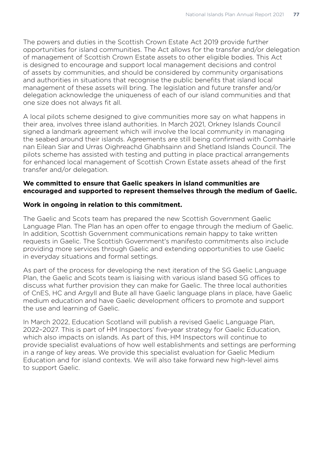The powers and duties in the Scottish Crown Estate Act 2019 provide further opportunities for island communities. The Act allows for the transfer and/or delegation of management of Scottish Crown Estate assets to other eligible bodies. This Act is designed to encourage and support local management decisions and control of assets by communities, and should be considered by community organisations and authorities in situations that recognise the public benefits that island local management of these assets will bring. The legislation and future transfer and/or delegation acknowledge the uniqueness of each of our island communities and that one size does not always fit all.

A local pilots scheme designed to give communities more say on what happens in their area, involves three island authorities. In March 2021, Orkney Islands Council signed a landmark agreement which will involve the local community in managing the seabed around their islands. Agreements are still being confirmed with Comhairle nan Eilean Siar and Urras Oighreachd Ghabhsainn and Shetland Islands Council. The pilots scheme has assisted with testing and putting in place practical arrangements for enhanced local management of Scottish Crown Estate assets ahead of the first transfer and/or delegation.

#### **We committed to ensure that Gaelic speakers in island communities are encouraged and supported to represent themselves through the medium of Gaelic.**

#### **Work in ongoing in relation to this commitment.**

The Gaelic and Scots team has prepared the new Scottish Government Gaelic Language Plan. The Plan has an open offer to engage through the medium of Gaelic. In addition, Scottish Government communications remain happy to take written requests in Gaelic. The Scottish Government's manifesto commitments also include providing more services through Gaelic and extending opportunities to use Gaelic in everyday situations and formal settings.

As part of the process for developing the next iteration of the SG Gaelic Language Plan, the Gaelic and Scots team is liaising with various island based SG offices to discuss what further provision they can make for Gaelic. The three local authorities of CnES, HC and Argyll and Bute all have Gaelic language plans in place, have Gaelic medium education and have Gaelic development officers to promote and support the use and learning of Gaelic.

In March 2022, Education Scotland will publish a revised Gaelic Language Plan, 2022–2027. This is part of HM Inspectors' five-year strategy for Gaelic Education, which also impacts on islands. As part of this, HM Inspectors will continue to provide specialist evaluations of how well establishments and settings are performing in a range of key areas. We provide this specialist evaluation for Gaelic Medium Education and for island contexts. We will also take forward new high-level aims to support Gaelic.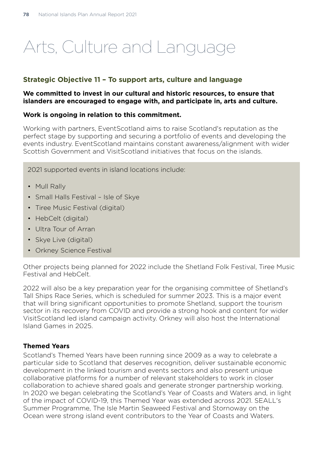# Arts, Culture and Language

# **Strategic Objective 11 – To support arts, culture and language**

#### **We committed to invest in our cultural and historic resources, to ensure that islanders are encouraged to engage with, and participate in, arts and culture.**

### **Work is ongoing in relation to this commitment.**

Working with partners, EventScotland aims to raise Scotland's reputation as the perfect stage by supporting and securing a portfolio of events and developing the events industry. EventScotland maintains constant awareness/alignment with wider Scottish Government and VisitScotland initiatives that focus on the islands.

2021 supported events in island locations include:

- Mull Rally
- Small Halls Festival Isle of Skye
- Tiree Music Festival (digital)
- HebCelt (digital)
- Ultra Tour of Arran
- Skye Live (digital)
- Orkney Science Festival

Other projects being planned for 2022 include the Shetland Folk Festival, Tiree Music Festival and HebCelt.

2022 will also be a key preparation year for the organising committee of Shetland's Tall Ships Race Series, which is scheduled for summer 2023. This is a major event that will bring significant opportunities to promote Shetland, support the tourism sector in its recovery from COVID and provide a strong hook and content for wider VisitScotland led island campaign activity. Orkney will also host the International Island Games in 2025.

# **Themed Years**

Scotland's Themed Years have been running since 2009 as a way to celebrate a particular side to Scotland that deserves recognition, deliver sustainable economic development in the linked tourism and events sectors and also present unique collaborative platforms for a number of relevant stakeholders to work in closer collaboration to achieve shared goals and generate stronger partnership working. In 2020 we began celebrating the Scotland's Year of Coasts and Waters and, in light of the impact of COVID-19, this Themed Year was extended across 2021. SEALL's Summer Programme, The Isle Martin Seaweed Festival and Stornoway on the Ocean were strong island event contributors to the Year of Coasts and Waters.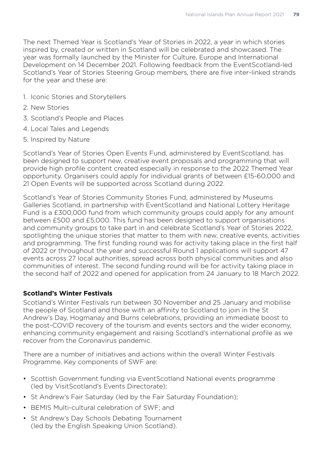The next Themed Year is Scotland's Year of Stories in 2022, a year in which stories inspired by, created or written in Scotland will be celebrated and showcased. The year was formally launched by the Minister for Culture, Europe and International Development on 14 December 2021. Following feedback from the EventScotland-led Scotland's Year of Stories Steering Group members, there are five inter-linked strands for the year and these are:

- 1. Iconic Stories and Storytellers
- 2. New Stories
- 3. Scotland's People and Places
- 4. Local Tales and Legends
- 5. Inspired by Nature

Scotland's Year of Stories Open Events Fund, administered by EventScotland, has been designed to support new, creative event proposals and programming that will provide high profile content created especially in response to the 2022 Themed Year opportunity. Organisers could apply for individual grants of between £15-60,000 and 21 Open Events will be supported across Scotland during 2022.

Scotland's Year of Stories Community Stories Fund, administered by Museums Galleries Scotland, in partnership with EventScotland and National Lottery Heritage Fund is a £300,000 fund from which community groups could apply for any amount between £500 and £5,000. This fund has been designed to support organisations and community groups to take part in and celebrate Scotland's Year of Stories 2022, spotlighting the unique stories that matter to them with new, creative events, activities and programming. The first funding round was for activity taking place in the first half of 2022 or throughout the year and successful Round 1 applications will support 47 events across 27 local authorities, spread across both physical communities and also communities of interest. The second funding round will be for activity taking place in the second half of 2022 and opened for application from 24 January to 18 March 2022.

# **Scotland's Winter Festivals**

Scotland's Winter Festivals run between 30 November and 25 January and mobilise the people of Scotland and those with an affinity to Scotland to join in the St Andrew's Day, Hogmanay and Burns celebrations, providing an immediate boost to the post-COVID recovery of the tourism and events sectors and the wider economy, enhancing community engagement and raising Scotland's international profile as we recover from the Coronavirus pandemic.

There are a number of initiatives and actions within the overall Winter Festivals Programme. Key components of SWF are:

- Scottish Government funding via EventScotland National events programme (led by VisitScotland's Events Directorate);
- St Andrew's Fair Saturday (led by the Fair Saturday Foundation);
- BEMIS Multi-cultural celebration of SWF; and
- St Andrew's Day Schools Debating Tournament (led by the English Speaking Union Scotland).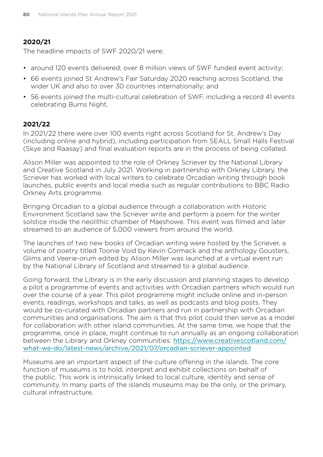# **2020/21**

The headline impacts of SWF 2020/21 were:

- around 120 events delivered; over 8 million views of SWF funded event activity;
- 66 events joined St Andrew's Fair Saturday 2020 reaching across Scotland, the wider UK and also to over 30 countries internationally; and
- 56 events joined the multi-cultural celebration of SWF, including a record 41 events celebrating Burns Night.

# **2021/22**

In 2021/22 there were over 100 events right across Scotland for St. Andrew's Day (including online and hybrid), including participation from SEALL Small Halls Festival (Skye and Raasay) and final evaluation reports are in the process of being collated.

Alison Miller was appointed to the role of Orkney Scriever by the National Library and Creative Scotland in July 2021. Working in partnership with Orkney Library, the Scriever has worked with local writers to celebrate Orcadian writing through book launches, public events and local media such as regular contributions to BBC Radio Orkney Arts programme.

Bringing Orcadian to a global audience through a collaboration with Historic Environment Scotland saw the Scriever write and perform a poem for the winter solstice inside the neolithic chamber of Maeshowe. This event was filmed and later streamed to an audience of 5,000 viewers from around the world.

The launches of two new books of Orcadian writing were hosted by the Scriever, a volume of poetry titled Toonie Void by Kevin Cormack and the anthology Gousters, Glims and Veerie-orum edited by Alison Miller was launched at a virtual event run by the National Library of Scotland and streamed to a global audience.

Going forward, the Library is in the early discussion and planning stages to develop a pilot a programme of events and activities with Orcadian partners which would run over the course of a year. This pilot programme might include online and in-person events, readings, workshops and talks, as well as podcasts and blog posts. They would be co-curated with Orcadian partners and run in partnership with Orcadian communities and organisations. The aim is that this pilot could then serve as a model for collaboration with other island communities. At the same time, we hope that the programme, once in place, might continue to run annually as an ongoing collaboration between the Library and Orkney communities: [https://www.creativescotland.com/](https://www.creativescotland.com/what-we-do/latest-news/archive/2021/07/orcadian-scriever-appointed) [what-we-do/latest-news/archive/2021/07/orcadian-scriever-appointed](https://www.creativescotland.com/what-we-do/latest-news/archive/2021/07/orcadian-scriever-appointed)

Museums are an important aspect of the culture offering in the islands. The core function of museums is to hold, interpret and exhibit collections on behalf of the public. This work is intrinsically linked to local culture, identity and sense of community. In many parts of the islands museums may be the only, or the primary, cultural infrastructure.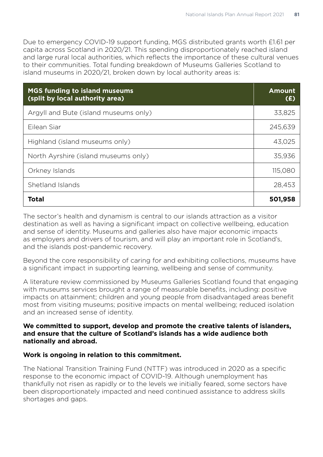Due to emergency COVID-19 support funding, MGS distributed grants worth £1.61 per capita across Scotland in 2020/21. This spending disproportionately reached island and large rural local authorities, which reflects the importance of these cultural venues to their communities. Total funding breakdown of Museums Galleries Scotland to island museums in 2020/21, broken down by local authority areas is:

| <b>MGS funding to island museums</b><br>(split by local authority area) | <b>Amount</b><br>(E) |
|-------------------------------------------------------------------------|----------------------|
| Argyll and Bute (island museums only)                                   | 33,825               |
| Eilean Siar                                                             | 245,639              |
| Highland (island museums only)                                          | 43,025               |
| North Ayrshire (island museums only)                                    | 35,936               |
| Orkney Islands                                                          | 115,080              |
| Shetland Islands                                                        | 28,453               |
| <b>Total</b>                                                            | 501,958              |

The sector's health and dynamism is central to our islands attraction as a visitor destination as well as having a significant impact on collective wellbeing, education and sense of identity. Museums and galleries also have major economic impacts as employers and drivers of tourism, and will play an important role in Scotland's, and the islands post-pandemic recovery.

Beyond the core responsibility of caring for and exhibiting collections, museums have a significant impact in supporting learning, wellbeing and sense of community.

A literature review commissioned by Museums Galleries Scotland found that engaging with museums services brought a range of measurable benefits, including: positive impacts on attainment; children and young people from disadvantaged areas benefit most from visiting museums; positive impacts on mental wellbeing; reduced isolation and an increased sense of identity.

#### **We committed to support, develop and promote the creative talents of islanders, and ensure that the culture of Scotland's islands has a wide audience both nationally and abroad.**

#### **Work is ongoing in relation to this commitment.**

The National Transition Training Fund (NTTF) was introduced in 2020 as a specific response to the economic impact of COVID-19. Although unemployment has thankfully not risen as rapidly or to the levels we initially feared, some sectors have been disproportionately impacted and need continued assistance to address skills shortages and gaps.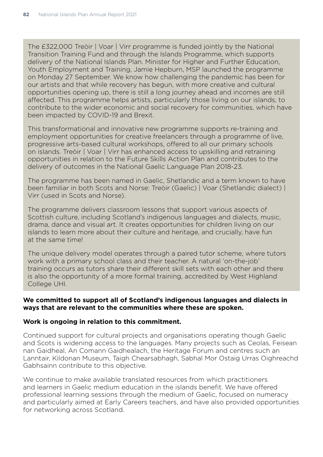The £322,000 Treòir | Voar | Virr programme is funded jointly by the National Transition Training Fund and through the Islands Programme, which supports delivery of the National Islands Plan. Minister for Higher and Further Education, Youth Employment and Training, Jamie Hepburn, MSP launched the programme on Monday 27 September. We know how challenging the pandemic has been for our artists and that while recovery has begun, with more creative and cultural opportunities opening up, there is still a long journey ahead and incomes are still affected. This programme helps artists, particularly those living on our islands, to contribute to the wider economic and social recovery for communities, which have been impacted by COVID-19 and Brexit.

This transformational and innovative new programme supports re-training and employment opportunities for creative freelancers through a programme of live, progressive arts-based cultural workshops, offered to all our primary schools on islands. Treòir | Voar | Virr has enhanced access to upskilling and retraining opportunities in relation to the Future Skills Action Plan and contributes to the delivery of outcomes in the National Gaelic Language Plan 2018-23.

The programme has been named in Gaelic, Shetlandic and a term known to have been familiar in both Scots and Norse: Treòir (Gaelic) | Voar (Shetlandic dialect) | Virr (used in Scots and Norse).

The programme delivers classroom lessons that support various aspects of Scottish culture, including Scotland's indigenous languages and dialects, music, drama, dance and visual art. It creates opportunities for children living on our islands to learn more about their culture and heritage, and crucially, have fun at the same time!

The unique delivery model operates through a paired tutor scheme, where tutors work with a primary school class and their teacher. A natural 'on-the-job' training occurs as tutors share their different skill sets with each other and there is also the opportunity of a more formal training, accredited by West Highland College UHI.

#### **We committed to support all of Scotland's indigenous languages and dialects in ways that are relevant to the communities where these are spoken.**

#### **Work is ongoing in relation to this commitment.**

Continued support for cultural projects and organisations operating though Gaelic and Scots is widening access to the languages. Many projects such as Ceolas, Feisean nan Gaidheal, An Comann Gaidhealach, the Heritage Forum and centres such an Lanntair, Kildonan Museum, Taigh Chearsabhagh, Sabhal Mor Ostaig Urras Oighreachd Gabhsainn contribute to this objective.

We continue to make available translated resources from which practitioners and learners in Gaelic medium education in the islands benefit. We have offered professional learning sessions through the medium of Gaelic, focused on numeracy and particularly aimed at Early Careers teachers, and have also provided opportunities for networking across Scotland.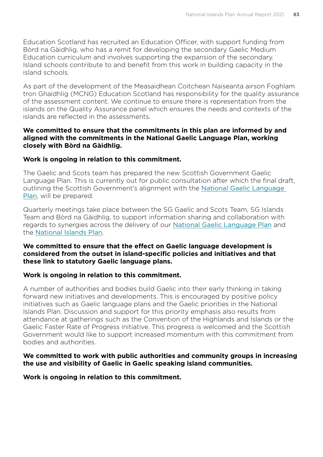Education Scotland has recruited an Education Officer, with support funding from Bòrd na Gàidhlig, who has a remit for developing the secondary Gaelic Medium Education curriculum and involves supporting the expansion of the secondary. Island schools contribute to and benefit from this work in building capacity in the island schools.

As part of the development of the Measaidhean Coitchean Naiseanta airson Foghlam tron Ghaidhlig (MCNG) Education Scotland has responsibility for the quality assurance of the assessment content. We continue to ensure there is representation from the islands on the Quality Assurance panel which ensures the needs and contexts of the islands are reflected in the assessments.

#### **We committed to ensure that the commitments in this plan are informed by and aligned with the commitments in the National Gaelic Language Plan, working closely with Bòrd na Gàidhlig.**

#### **Work is ongoing in relation to this commitment.**

The Gaelic and Scots team has prepared the new Scottish Government Gaelic Language Plan. This is currently out for public consultation after which the final draft, outlining the Scottish Government's alignment with the [National Gaelic Language](https://www.gaidhlig.scot/en/gaelic-language-plans/the-national-gaelic-language-plan/#:~:text=The%20Gaelic%20Language%20%28Scotland%29%20Act%202005%20%28the%20Act%29%2C,Ethnic%2C%20Religious%20and%20Linguistic%20Minorities%20%281992%29%3B%20the%20)  [Plan](https://www.gaidhlig.scot/en/gaelic-language-plans/the-national-gaelic-language-plan/#:~:text=The%20Gaelic%20Language%20%28Scotland%29%20Act%202005%20%28the%20Act%29%2C,Ethnic%2C%20Religious%20and%20Linguistic%20Minorities%20%281992%29%3B%20the%20), will be prepared.

Quarterly meetings take place between the SG Gaelic and Scots Team, SG Islands Team and Bòrd na Gàidhlig, to support information sharing and collaboration with regards to synergies across the delivery of our [National Gaelic Language Plan](https://www.gaidhlig.scot/en/gaelic-language-plans/the-national-gaelic-language-plan/#:~:text=The%20Gaelic%20Language%20%28Scotland%29%20Act%202005%20%28the%20Act%29%2C,Ethnic%2C%20Religious%20and%20Linguistic%20Minorities%20%281992%29%3B%20the%20) and the [National Islands Plan](https://www.gov.scot/publications/national-plan-scotlands-islands/).

#### **We committed to ensure that the effect on Gaelic language development is considered from the outset in island-specific policies and initiatives and that these link to statutory Gaelic language plans.**

# **Work is ongoing in relation to this commitment.**

A number of authorities and bodies build Gaelic into their early thinking in taking forward new initiatives and developments. This is encouraged by positive policy initiatives such as Gaelic language plans and the Gaelic priorities in the National Islands Plan. Discussion and support for this priority emphasis also results from attendance at gatherings such as the Convention of the Highlands and Islands or the Gaelic Faster Rate of Progress initiative. This progress is welcomed and the Scottish Government would like to support increased momentum with this commitment from bodies and authorities.

#### **We committed to work with public authorities and community groups in increasing the use and visibility of Gaelic in Gaelic speaking island communities.**

**Work is ongoing in relation to this commitment.**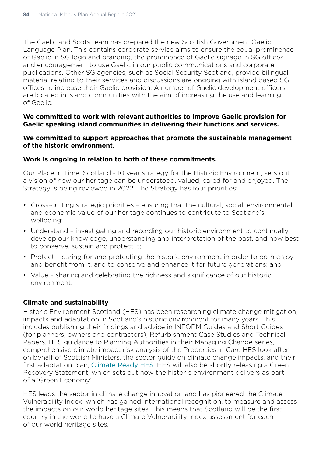The Gaelic and Scots team has prepared the new Scottish Government Gaelic Language Plan. This contains corporate service aims to ensure the equal prominence of Gaelic in SG logo and branding, the prominence of Gaelic signage in SG offices, and encouragement to use Gaelic in our public communications and corporate publications. Other SG agencies, such as Social Security Scotland, provide bilingual material relating to their services and discussions are ongoing with island based SG offices to increase their Gaelic provision. A number of Gaelic development officers are located in island communities with the aim of increasing the use and learning of Gaelic.

#### **We committed to work with relevant authorities to improve Gaelic provision for Gaelic speaking island communities in delivering their functions and services.**

#### **We committed to support approaches that promote the sustainable management of the historic environment.**

#### **Work is ongoing in relation to both of these commitments.**

Our Place in Time: Scotland's 10 year strategy for the Historic Environment, sets out a vision of how our heritage can be understood, valued, cared for and enjoyed. The Strategy is being reviewed in 2022. The Strategy has four priorities:

- Cross-cutting strategic priorities ensuring that the cultural, social, environmental and economic value of our heritage continues to contribute to Scotland's wellbeing;
- Understand investigating and recording our historic environment to continually develop our knowledge, understanding and interpretation of the past, and how best to conserve, sustain and protect it;
- Protect caring for and protecting the historic environment in order to both enjoy and benefit from it, and to conserve and enhance it for future generations; and
- Value sharing and celebrating the richness and significance of our historic environment.

# **Climate and sustainability**

Historic Environment Scotland (HES) has been researching climate change mitigation, impacts and adaptation in Scotland's historic environment for many years. This includes publishing their findings and advice in INFORM Guides and Short Guides (for planners, owners and contractors), Refurbishment Case Studies and Technical Papers, HES guidance to Planning Authorities in their Managing Change series, comprehensive climate impact risk analysis of the Properties in Care HES look after on behalf of Scottish Ministers, the sector guide on climate change impacts, and their first adaptation plan, [Climate Ready HES](https://www.historicenvironment.scot/archives-and-research/publications/publication/?publicationId=ff08ad2c-0046-43d5-89a3-ade200e2cdee). HES will also be shortly releasing a Green Recovery Statement, which sets out how the historic environment delivers as part of a 'Green Economy'.

HES leads the sector in climate change innovation and has pioneered the Climate Vulnerability Index, which has gained international recognition, to measure and assess the impacts on our world heritage sites. This means that Scotland will be the first country in the world to have a Climate Vulnerability Index assessment for each of our world heritage sites.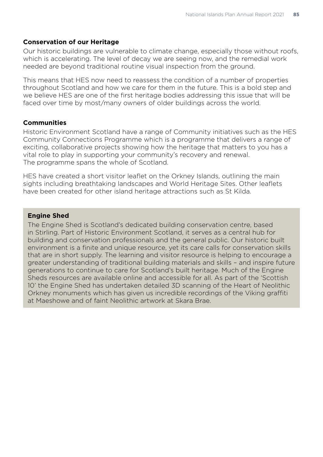#### **Conservation of our Heritage**

Our historic buildings are vulnerable to climate change, especially those without roofs, which is accelerating. The level of decay we are seeing now, and the remedial work needed are beyond traditional routine visual inspection from the ground.

This means that HES now need to reassess the condition of a number of properties throughout Scotland and how we care for them in the future. This is a bold step and we believe HES are one of the first heritage bodies addressing this issue that will be faced over time by most/many owners of older buildings across the world.

#### **Communities**

Historic Environment Scotland have a range of Community initiatives such as the HES Community Connections Programme which is a programme that delivers a range of exciting, collaborative projects showing how the heritage that matters to you has a vital role to play in supporting your community's recovery and renewal. The programme spans the whole of Scotland.

HES have created a short visitor leaflet on the Orkney Islands, outlining the main sights including breathtaking landscapes and World Heritage Sites. Other leaflets have been created for other island heritage attractions such as St Kilda.

#### **Engine Shed**

The Engine Shed is Scotland's dedicated building conservation centre, based in Stirling. Part of Historic Environment Scotland, it serves as a central hub for building and conservation professionals and the general public. Our historic built environment is a finite and unique resource, yet its care calls for conservation skills that are in short supply. The learning and visitor resource is helping to encourage a greater understanding of traditional building materials and skills – and inspire future generations to continue to care for Scotland's built heritage. Much of the Engine Sheds resources are available online and accessible for all. As part of the 'Scottish 10' the Engine Shed has undertaken detailed 3D scanning of the Heart of Neolithic Orkney monuments which has given us incredible recordings of the Viking graffiti at Maeshowe and of faint Neolithic artwork at Skara Brae.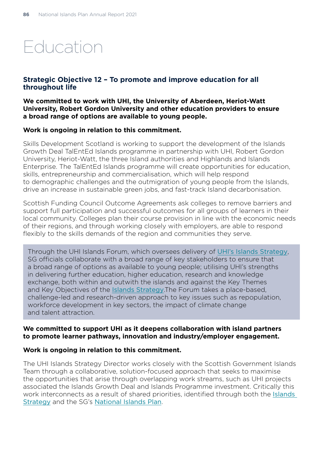# Education

# **Strategic Objective 12 – To promote and improve education for all throughout life**

**We committed to work with UHI, the University of Aberdeen, Heriot-Watt University, Robert Gordon University and other education providers to ensure a broad range of options are available to young people.** 

#### **Work is ongoing in relation to this commitment.**

Skills Development Scotland is working to support the development of the Islands Growth Deal TalEntEd Islands programme in partnership with UHI, Robert Gordon University, Heriot-Watt, the three Island authorities and Highlands and Islands Enterprise. The TalEntEd Islands programme will create opportunities for education, skills, entrepreneurship and commercialisation, which will help respond to demographic challenges and the outmigration of young people from the Islands, drive an increase in sustainable green jobs, and fast-track Island decarbonisation.

Scottish Funding Council Outcome Agreements ask colleges to remove barriers and support full participation and successful outcomes for all groups of learners in their local community. Colleges plan their course provision in line with the economic needs of their regions, and through working closely with employers, are able to respond flexibly to the skills demands of the region and communities they serve.

Through the UHI Islands Forum, which oversees delivery of [UHI's Islands Strategy](https://www.uhi.ac.uk/en/t4-media/one-web/university/about-uhi/facts-and-figures/publications/pdfs/UHI_IS_ENGLISH_2020.pdf), SG officials collaborate with a broad range of key stakeholders to ensure that a broad range of options as available to young people; utilising UHI's strengths in delivering further education, higher education, research and knowledge exchange, both within and outwith the islands and against the Key Themes and Key Objectives of the [Islands Strategy](https://www.uhi.ac.uk/en/t4-media/one-web/university/about-uhi/facts-and-figures/publications/pdfs/UHI_IS_ENGLISH_2020.pdf).The Forum takes a place-based, challenge-led and research-driven approach to key issues such as repopulation, workforce development in key sectors, the impact of climate change and talent attraction.

#### **We committed to support UHI as it deepens collaboration with island partners to promote learner pathways, innovation and industry/employer engagement.**

#### **Work is ongoing in relation to this commitment.**

The UHI Islands Strategy Director works closely with the Scottish Government Islands Team through a collaborative, solution-focused approach that seeks to maximise the opportunities that arise through overlapping work streams, such as UHI projects associated the Islands Growth Deal and Islands Programme investment. Critically this work interconnects as a result of shared priorities, identified through both the [Islands](https://www.uhi.ac.uk/en/t4-media/one-web/university/about-uhi/facts-and-figures/publications/pdfs/UHI_IS_ENGLISH_2020.pdf)  [Strategy](https://www.uhi.ac.uk/en/t4-media/one-web/university/about-uhi/facts-and-figures/publications/pdfs/UHI_IS_ENGLISH_2020.pdf) and the SG's [National Islands Plan](https://www.gov.scot/publications/national-plan-scotlands-islands/).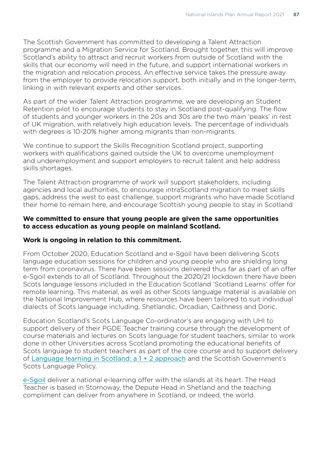The Scottish Government has committed to developing a Talent Attraction programme and a Migration Service for Scotland. Brought together, this will improve Scotland's ability to attract and recruit workers from outside of Scotland with the skills that our economy will need in the future, and support international workers in the migration and relocation process. An effective service takes the pressure away from the employer to provide relocation support, both initially and in the longer-term, linking in with relevant experts and other services.

As part of the wider Talent Attraction programme, we are developing an Student Retention pilot to encourage students to stay in Scotland post-qualifying. The flow of students and younger workers in the 20s and 30s are the two main 'peaks' in rest of UK migration, with relatively high education levels. The percentage of individuals with degrees is 10-20% higher among migrants than non-migrants.

We continue to support the Skills Recognition Scotland project, supporting workers with qualifications gained outside the UK to overcome unemployment and underemployment and support employers to recruit talent and help address skills shortages.

The Talent Attraction programme of work will support stakeholders, including agencies and local authorities, to encourage intraScotland migration to meet skills gaps, address the west to east challenge, support migrants who have made Scotland their home to remain here, and encourage Scottish young people to stay in Scotland

#### **We committed to ensure that young people are given the same opportunities to access education as young people on mainland Scotland.**

# **Work is ongoing in relation to this commitment.**

From October 2020, Education Scotland and e-Sgoil have been delivering Scots language education sessions for children and young people who are shielding long term from coronavirus. There have been sessions delivered thus far as part of an offer e-Sgoil extends to all of Scotland. Throughout the 2020/21 lockdown there have been Scots language lessons included in the Education Scotland 'Scotland Learns' offer for remote learning. This material, as well as other Scots language material is available on the National Improvement Hub, where resources have been tailored to suit individual dialects of Scots language including, Shetlandic, Orcadian, Caithness and Doric.

Education Scotland's Scots Language Co-ordinator's are engaging with UHI to support delivery of their PGDE Teacher training course through the development of course materials and lectures on Scots language for student teachers, similar to work done in other Universities across Scotland promoting the educational benefits of Scots language to student teachers as part of the core course and to support delivery of [Language learning in Scotland: a 1 + 2 approach](https://www.gov.scot/publications/language-learning-scotland-12-approach/) and the Scottish Government's Scots Language Policy.

[e-Sgoil](http://www.e-sgoil.com/) deliver a national e-learning offer with the islands at its heart. The Head Teacher is based in Stornoway, the Depute Head in Shetland and the teaching compliment can deliver from anywhere in Scotland, or indeed, the world.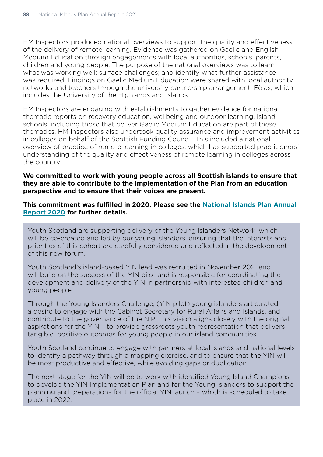HM Inspectors produced national overviews to support the quality and effectiveness of the delivery of remote learning. Evidence was gathered on Gaelic and English Medium Education through engagements with local authorities, schools, parents, children and young people. The purpose of the national overviews was to learn what was working well; surface challenges; and identify what further assistance was required. Findings on Gaelic Medium Education were shared with local authority networks and teachers through the university partnership arrangement, Eòlas, which includes the University of the Highlands and Islands.

HM Inspectors are engaging with establishments to gather evidence for national thematic reports on recovery education, wellbeing and outdoor learning. Island schools, including those that deliver Gaelic Medium Education are part of these thematics. HM Inspectors also undertook quality assurance and improvement activities in colleges on behalf of the Scottish Funding Council. This included a national overview of practice of remote learning in colleges, which has supported practitioners' understanding of the quality and effectiveness of remote learning in colleges across the country.

#### **We committed to work with young people across all Scottish islands to ensure that they are able to contribute to the implementation of the Plan from an education perspective and to ensure that their voices are present.**

#### **This commitment was fulfilled in 2020. Please see the [National Islands Plan Annual](https://www.gov.scot/publications/national-islands-plan-annual-report-2020/)  [Report 2020](https://www.gov.scot/publications/national-islands-plan-annual-report-2020/) for further details.**

Youth Scotland are supporting delivery of the Young Islanders Network, which will be co-created and led by our young islanders, ensuring that the interests and priorities of this cohort are carefully considered and reflected in the development of this new forum.

Youth Scotland's island-based YIN lead was recruited in November 2021 and will build on the success of the YIN pilot and is responsible for coordinating the development and delivery of the YIN in partnership with interested children and young people.

Through the Young Islanders Challenge, (YIN pilot) young islanders articulated a desire to engage with the Cabinet Secretary for Rural Affairs and Islands, and contribute to the governance of the NIP. This vision aligns closely with the original aspirations for the YIN – to provide grassroots youth representation that delivers tangible, positive outcomes for young people in our island communities.

Youth Scotland continue to engage with partners at local islands and national levels to identify a pathway through a mapping exercise, and to ensure that the YIN will be most productive and effective, while avoiding gaps or duplication.

The next stage for the YIN will be to work with identified Young Island Champions to develop the YIN Implementation Plan and for the Young Islanders to support the planning and preparations for the official YIN launch – which is scheduled to take place in 2022.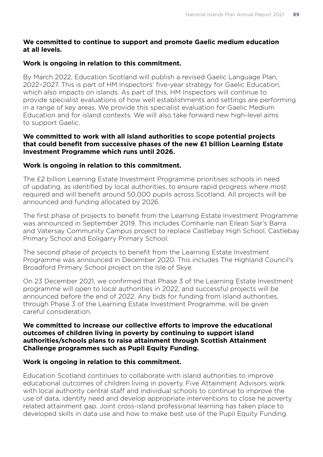# **We committed to continue to support and promote Gaelic medium education at all levels.**

# **Work is ongoing in relation to this commitment.**

By March 2022, Education Scotland will publish a revised Gaelic Language Plan, 2022–2027. This is part of HM Inspectors' five-year strategy for Gaelic Education, which also impacts on islands. As part of this, HM Inspectors will continue to provide specialist evaluations of how well establishments and settings are performing in a range of key areas. We provide this specialist evaluation for Gaelic Medium Education and for island contexts. We will also take forward new high-level aims to support Gaelic.

#### **We committed to work with all island authorities to scope potential projects that could benefit from successive phases of the new £1 billion Learning Estate Investment Programme which runs until 2026.**

# **Work is ongoing in relation to this commitment.**

The £2 billion Learning Estate Investment Programme prioritises schools in need of updating, as identified by local authorities, to ensure rapid progress where most required and will benefit around 50,000 pupils across Scotland. All projects will be announced and funding allocated by 2026.

The first phase of projects to benefit from the Learning Estate Investment Programme was announced in September 2019. This includes Comhairle nan Eilean Siar's Barra and Vatersay Community Campus project to replace Castlebay High School, Castlebay Primary School and Eoligarry Primary School.

The second phase of projects to benefit from the Learning Estate Investment Programme was announced in December 2020. This includes The Highland Council's Broadford Primary School project on the Isle of Skye.

On 23 December 2021, we confirmed that Phase 3 of the Learning Estate Investment programme will open to local authorities in 2022, and successful projects will be announced before the end of 2022. Any bids for funding from island authorities, through Phase 3 of the Learning Estate Investment Programme, will be given careful consideration.

#### **We committed to increase our collective efforts to improve the educational outcomes of children living in poverty by continuing to support island authorities/schools plans to raise attainment through Scottish Attainment Challenge programmes such as Pupil Equity Funding.**

# **Work is ongoing in relation to this commitment.**

Education Scotland continues to collaborate with island authorities to improve educational outcomes of children living in poverty. Five Attainment Advisors work with local authority central staff and individual schools to continue to improve the use of data, identify need and develop appropriate interventions to close he poverty related attainment gap. Joint cross-island professional learning has taken place to developed skills in data use and how to make best use of the Pupil Equity Funding.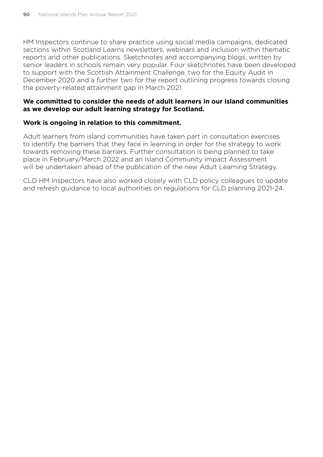HM Inspectors continue to share practice using social media campaigns, dedicated sections within Scotland Learns newsletters, webinars and inclusion within thematic reports and other publications. Sketchnotes and accompanying blogs, written by senior leaders in schools remain very popular. Four sketchnotes have been developed to support with the Scottish Attainment Challenge, two for the Equity Audit in December 2020 and a further two for the report outlining progress towards closing the poverty-related attainment gap in March 2021.

#### **We committed to consider the needs of adult learners in our island communities as we develop our adult learning strategy for Scotland.**

#### **Work is ongoing in relation to this commitment.**

Adult learners from island communities have taken part in consultation exercises to identify the barriers that they face in learning in order for the strategy to work towards removing these barriers. Further consultation is being planned to take place in February/March 2022 and an Island Community Impact Assessment will be undertaken ahead of the publication of the new Adult Learning Strategy.

CLD HM Inspectors have also worked closely with CLD policy colleagues to update and refresh guidance to local authorities on regulations for CLD planning 2021-24.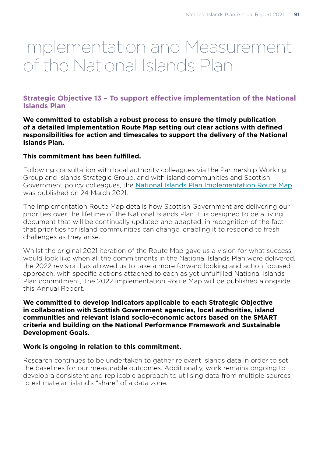# Implementation and Measurement of the National Islands Plan

# **Strategic Objective 13 – To support effective implementation of the National Islands Plan**

**We committed to establish a robust process to ensure the timely publication of a detailed Implementation Route Map setting out clear actions with defined responsibilities for action and timescales to support the delivery of the National Islands Plan.**

#### **This commitment has been fulfilled.**

Following consultation with local authority colleagues via the Partnership Working Group and Islands Strategic Group, and with island communities and Scottish Government policy colleagues, the [National Islands Plan Implementation Route Map](https://www.gov.scot/binaries/content/documents/govscot/publications/strategy-plan/2019/12/national-plan-scotlands-islands/documents/national-islands-plan-implementation-route-map-2020-2025/national-islands-plan-implementation-route-map-2020-2025/govscot%3Adocument/national-islands-plan-implementation-route-map-2020-2025.pdf) was published on 24 March 2021.

The Implementation Route Map details how Scottish Government are delivering our priorities over the lifetime of the National Islands Plan. It is designed to be a living document that will be continually updated and adapted, in recognition of the fact that priorities for island communities can change, enabling it to respond to fresh challenges as they arise.

Whilst the original 2021 iteration of the Route Map gave us a vision for what success would look like when all the commitments in the National Islands Plan were delivered, the 2022 revision has allowed us to take a more forward looking and action focused approach, with specific actions attached to each as yet unfulfilled National Islands Plan commitment, The 2022 Implementation Route Map will be published alongside this Annual Report.

#### **We committed to develop indicators applicable to each Strategic Objective in collaboration with Scottish Government agencies, local authorities, island communities and relevant island socio-economic actors based on the SMART criteria and building on the National Performance Framework and Sustainable Development Goals.**

#### **Work is ongoing in relation to this commitment.**

Research continues to be undertaken to gather relevant islands data in order to set the baselines for our measurable outcomes. Additionally, work remains ongoing to develop a consistent and replicable approach to utilising data from multiple sources to estimate an island's "share" of a data zone.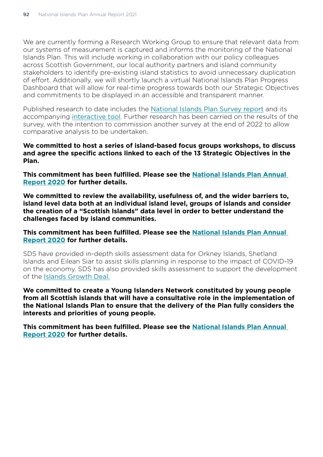We are currently forming a Research Working Group to ensure that relevant data from our systems of measurement is captured and informs the monitoring of the National Islands Plan. This will include working in collaboration with our policy colleagues across Scottish Government, our local authority partners and island community stakeholders to identify pre-existing island statistics to avoid unnecessary duplication of effort. Additionally, we will shortly launch a virtual National Islands Plan Progress Dashboard that will allow for real-time progress towards both our Strategic Objectives and commitments to be displayed in an accessible and transparent manner.

Published research to date includes the [National Islands Plan Survey report](https://www.gov.scot/publications/national-islands-plan-survey-final-report/pages/1/) and its accompanying [interactive tool](https://mappingrd342.shinyapps.io/online_tool/). Further research has been carried on the results of the survey, with the intention to commission another survey at the end of 2022 to allow comparative analysis to be undertaken.

**We committed to host a series of island-based focus groups workshops, to discuss and agree the specific actions linked to each of the 13 Strategic Objectives in the Plan.** 

**This commitment has been fulfilled. Please see the [National Islands Plan Annual](https://www.gov.scot/publications/national-islands-plan-annual-report-2020/)  [Report 2020](https://www.gov.scot/publications/national-islands-plan-annual-report-2020/) for further details.** 

**We committed to review the availability, usefulness of, and the wider barriers to, island level data both at an individual island level, groups of islands and consider the creation of a "Scottish Islands" data level in order to better understand the challenges faced by island communities.**

**This commitment has been fulfilled. Please see the [National Islands Plan Annual](https://www.gov.scot/publications/national-islands-plan-annual-report-2020/)  [Report 2020](https://www.gov.scot/publications/national-islands-plan-annual-report-2020/) for further details.** 

SDS have provided in-depth skills assessment data for Orkney Islands, Shetland Islands and Eilean Siar to assist skills planning in response to the impact of COVID-19 on the economy. SDS has also provided skills assessment to support the development of the [Islands Growth Deal.](https://eur01.safelinks.protection.outlook.com/?url=https%3A%2F%2Fwww.skillsdevelopmentscotland.co.uk%2Fmedia%2F47107%2Frsa-report-islands-growth-deal.pdf&data=04%7C01%7CSamantha.Findlay%40sds.co.uk%7Cf8d6f33a417043a7114c08d9e0c0de36%7C33ca6d475e4f477484f1696cbb508cbe%7C0%7C0%7C637787941277262884%7CUnknown%7CTWFpbGZsb3d8eyJWIjoiMC4wLjAwMDAiLCJQIjoiV2luMzIiLCJBTiI6Ik1haWwiLCJXVCI6Mn0%3D%7C3000&sdata=3RaL2G15SYrXbp3NeACraLgIotP3DQqgCHFCCznTPBk%3D&reserved=0)

**We committed to create a Young Islanders Network constituted by young people from all Scottish islands that will have a consultative role in the implementation of the National Islands Plan to ensure that the delivery of the Plan fully considers the interests and priorities of young people.**

**This commitment has been fulfilled. Please see the [National Islands Plan Annual](https://www.gov.scot/publications/national-islands-plan-annual-report-2020/)  [Report 2020](https://www.gov.scot/publications/national-islands-plan-annual-report-2020/) for further details.**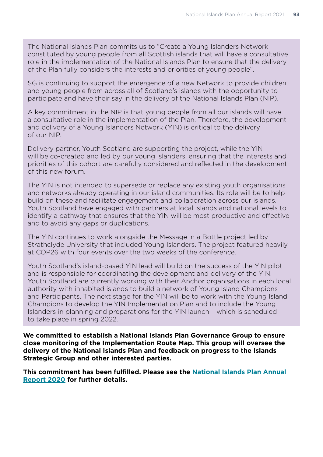The National Islands Plan commits us to "Create a Young Islanders Network constituted by young people from all Scottish islands that will have a consultative role in the implementation of the National Islands Plan to ensure that the delivery of the Plan fully considers the interests and priorities of young people".

SG is continuing to support the emergence of a new Network to provide children and young people from across all of Scotland's islands with the opportunity to participate and have their say in the delivery of the National Islands Plan (NIP).

A key commitment in the NIP is that young people from all our islands will have a consultative role in the implementation of the Plan. Therefore, the development and delivery of a Young Islanders Network (YIN) is critical to the delivery of our NIP.

Delivery partner, Youth Scotland are supporting the project, while the YIN will be co-created and led by our young islanders, ensuring that the interests and priorities of this cohort are carefully considered and reflected in the development of this new forum.

The YIN is not intended to supersede or replace any existing youth organisations and networks already operating in our island communities. Its role will be to help build on these and facilitate engagement and collaboration across our islands. Youth Scotland have engaged with partners at local islands and national levels to identify a pathway that ensures that the YIN will be most productive and effective and to avoid any gaps or duplications.

The YIN continues to work alongside the Message in a Bottle project led by Strathclyde University that included Young Islanders. The project featured heavily at COP26 with four events over the two weeks of the conference.

Youth Scotland's island-based YIN lead will build on the success of the YIN pilot and is responsible for coordinating the development and delivery of the YIN. Youth Scotland are currently working with their Anchor organisations in each local authority with inhabited islands to build a network of Young Island Champions and Participants. The next stage for the YIN will be to work with the Young Island Champions to develop the YIN Implementation Plan and to include the Young Islanders in planning and preparations for the YIN launch – which is scheduled to take place in spring 2022.

**We committed to establish a National Islands Plan Governance Group to ensure close monitoring of the Implementation Route Map. This group will oversee the delivery of the National Islands Plan and feedback on progress to the Islands Strategic Group and other interested parties.**

**This commitment has been fulfilled. Please see the [National Islands Plan Annual](https://www.gov.scot/publications/national-islands-plan-annual-report-2020/)  [Report 2020](https://www.gov.scot/publications/national-islands-plan-annual-report-2020/) for further details.**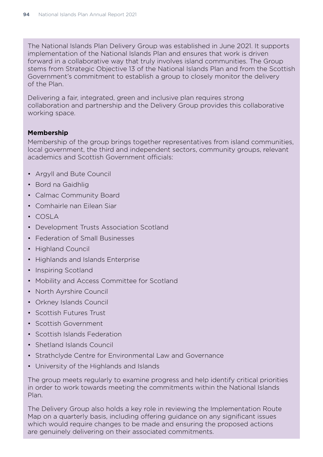The National Islands Plan Delivery Group was established in June 2021. It supports implementation of the National Islands Plan and ensures that work is driven forward in a collaborative way that truly involves island communities. The Group stems from Strategic Objective 13 of the National Islands Plan and from the Scottish Government's commitment to establish a group to closely monitor the delivery of the Plan.

Delivering a fair, integrated, green and inclusive plan requires strong collaboration and partnership and the Delivery Group provides this collaborative working space.

#### **Membership**

Membership of the group brings together representatives from island communities, local government, the third and independent sectors, community groups, relevant academics and Scottish Government officials:

- Argyll and Bute Council
- Bord na Gaidhlig
- Calmac Community Board
- Comhairle nan Eilean Siar
- COSLA
- Development Trusts Association Scotland
- Federation of Small Businesses
- Highland Council
- Highlands and Islands Enterprise
- Inspiring Scotland
- Mobility and Access Committee for Scotland
- North Ayrshire Council
- Orkney Islands Council
- Scottish Futures Trust
- Scottish Government
- Scottish Islands Federation
- Shetland Islands Council
- Strathclyde Centre for Environmental Law and Governance
- University of the Highlands and Islands

The group meets regularly to examine progress and help identify critical priorities in order to work towards meeting the commitments within the National Islands Plan.

The Delivery Group also holds a key role in reviewing the Implementation Route Map on a quarterly basis, including offering guidance on any significant issues which would require changes to be made and ensuring the proposed actions are genuinely delivering on their associated commitments.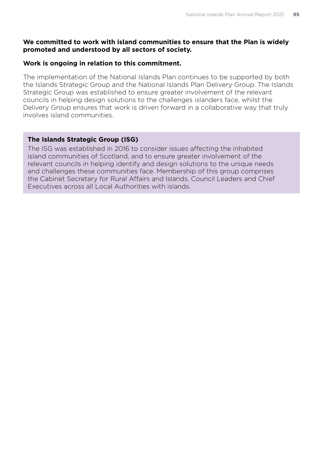# **We committed to work with island communities to ensure that the Plan is widely promoted and understood by all sectors of society.**

## **Work is ongoing in relation to this commitment.**

The implementation of the National Islands Plan continues to be supported by both the Islands Strategic Group and the National Islands Plan Delivery Group. The Islands Strategic Group was established to ensure greater involvement of the relevant councils in helping design solutions to the challenges islanders face, whilst the Delivery Group ensures that work is driven forward in a collaborative way that truly involves island communities.

# **The Islands Strategic Group (ISG)**

The ISG was established in 2016 to consider issues affecting the inhabited island communities of Scotland, and to ensure greater involvement of the relevant councils in helping identify and design solutions to the unique needs and challenges these communities face. Membership of this group comprises the Cabinet Secretary for Rural Affairs and Islands, Council Leaders and Chief Executives across all Local Authorities with islands.